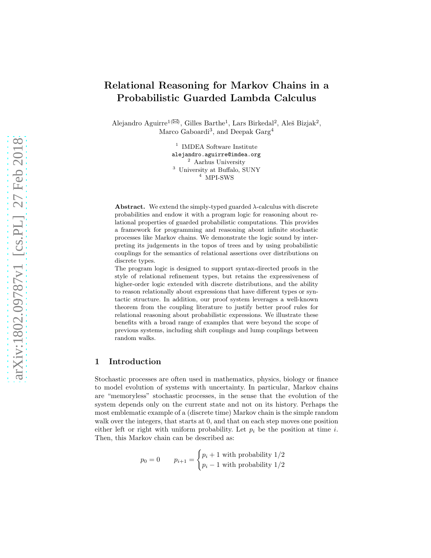# Relational Reasoning for Markov Chains in a Probabilistic Guarded Lambda Calculus

Alejandro Aguirre<sup>1( $\boxtimes$ )</sup>, Gilles Barthe<sup>1</sup>, Lars Birkedal<sup>2</sup>, Aleš Bizjak<sup>2</sup>, Marco Gaboardi<sup>3</sup>, and Deepak Garg<sup>4</sup>

> <sup>1</sup> IMDEA Software Institute alejandro.aguirre@imdea.org <sup>2</sup> Aarhus University  $^3$  University at Buffalo,  $\rm \ddot{S}$ <sup>4</sup> MPI-SWS

**Abstract.** We extend the simply-typed guarded  $\lambda$ -calculus with discrete probabilities and endow it with a program logic for reasoning about relational properties of guarded probabilistic computations. This provides a framework for programming and reasoning about infinite stochastic processes like Markov chains. We demonstrate the logic sound by interpreting its judgements in the topos of trees and by using probabilistic couplings for the semantics of relational assertions over distributions on discrete types.

The program logic is designed to support syntax-directed proofs in the style of relational refinement types, but retains the expressiveness of higher-order logic extended with discrete distributions, and the ability to reason relationally about expressions that have different types or syntactic structure. In addition, our proof system leverages a well-known theorem from the coupling literature to justify better proof rules for relational reasoning about probabilistic expressions. We illustrate these benefits with a broad range of examples that were beyond the scope of previous systems, including shift couplings and lump couplings between random walks.

### 1 Introduction

Stochastic processes are often used in mathematics, physics, biology or finance to model evolution of systems with uncertainty. In particular, Markov chains are "memoryless" stochastic processes, in the sense that the evolution of the system depends only on the current state and not on its history. Perhaps the most emblematic example of a (discrete time) Markov chain is the simple random walk over the integers, that starts at 0, and that on each step moves one position either left or right with uniform probability. Let  $p_i$  be the position at time i. Then, this Markov chain can be described as:

$$
p_0 = 0 \qquad p_{i+1} = \begin{cases} p_i + 1 \text{ with probability } 1/2\\ p_i - 1 \text{ with probability } 1/2 \end{cases}
$$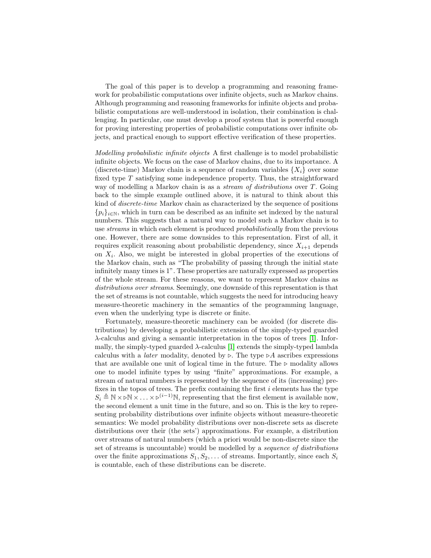The goal of this paper is to develop a programming and reasoning framework for probabilistic computations over infinite objects, such as Markov chains. Although programming and reasoning frameworks for infinite objects and probabilistic computations are well-understood in isolation, their combination is challenging. In particular, one must develop a proof system that is powerful enough for proving interesting properties of probabilistic computations over infinite objects, and practical enough to support effective verification of these properties.

Modelling probabilistic infinite objects A first challenge is to model probabilistic infinite objects. We focus on the case of Markov chains, due to its importance. A (discrete-time) Markov chain is a sequence of random variables  $\{X_i\}$  over some fixed type T satisfying some independence property. Thus, the straightforward way of modelling a Markov chain is as a stream of distributions over T . Going back to the simple example outlined above, it is natural to think about this kind of discrete-time Markov chain as characterized by the sequence of positions  ${p_i}_{i\in\mathbb{N}}$ , which in turn can be described as an infinite set indexed by the natural numbers. This suggests that a natural way to model such a Markov chain is to use *streams* in which each element is produced *probabilistically* from the previous one. However, there are some downsides to this representation. First of all, it requires explicit reasoning about probabilistic dependency, since  $X_{i+1}$  depends on  $X_i$ . Also, we might be interested in global properties of the executions of the Markov chain, such as "The probability of passing through the initial state infinitely many times is 1". These properties are naturally expressed as properties of the whole stream. For these reasons, we want to represent Markov chains as distributions over streams. Seemingly, one downside of this representation is that the set of streams is not countable, which suggests the need for introducing heavy measure-theoretic machinery in the semantics of the programming language, even when the underlying type is discrete or finite.

Fortunately, measure-theoretic machinery can be avoided (for discrete distributions) by developing a probabilistic extension of the simply-typed guarded  $\lambda$ -calculus and giving a semantic interpretation in the topos of trees [\[1\]](#page-24-0). Informally, the simply-typed guarded λ-calculus [\[1\]](#page-24-0) extends the simply-typed lambda calculus with a *later* modality, denoted by ⊳. The type ⊳A ascribes expressions that are available one unit of logical time in the future. The  $\triangleright$  modality allows one to model infinite types by using "finite" approximations. For example, a stream of natural numbers is represented by the sequence of its (increasing) prefixes in the topos of trees. The prefix containing the first  $i$  elements has the type  $S_i \triangleq \mathbb{N} \times \mathbb{N} \times \ldots \times \mathbb{N}^{(i-1)}\mathbb{N}$ , representing that the first element is available now, the second element a unit time in the future, and so on. This is the key to representing probability distributions over infinite objects without measure-theoretic semantics: We model probability distributions over non-discrete sets as discrete distributions over their (the sets') approximations. For example, a distribution over streams of natural numbers (which a priori would be non-discrete since the set of streams is uncountable) would be modelled by a sequence of distributions over the finite approximations  $S_1, S_2, \ldots$  of streams. Importantly, since each  $S_i$ is countable, each of these distributions can be discrete.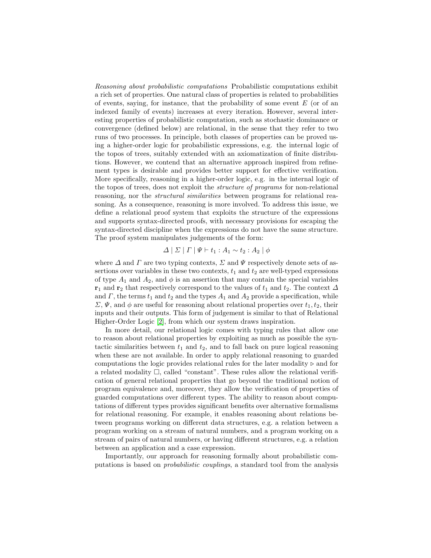Reasoning about probabilistic computations Probabilistic computations exhibit a rich set of properties. One natural class of properties is related to probabilities of events, saying, for instance, that the probability of some event  $E$  (or of an indexed family of events) increases at every iteration. However, several interesting properties of probabilistic computation, such as stochastic dominance or convergence (defined below) are relational, in the sense that they refer to two runs of two processes. In principle, both classes of properties can be proved using a higher-order logic for probabilistic expressions, e.g. the internal logic of the topos of trees, suitably extended with an axiomatization of finite distributions. However, we contend that an alternative approach inspired from refinement types is desirable and provides better support for effective verification. More specifically, reasoning in a higher-order logic, e.g. in the internal logic of the topos of trees, does not exploit the structure of programs for non-relational reasoning, nor the *structural similarities* between programs for relational reasoning. As a consequence, reasoning is more involved. To address this issue, we define a relational proof system that exploits the structure of the expressions and supports syntax-directed proofs, with necessary provisions for escaping the syntax-directed discipline when the expressions do not have the same structure. The proof system manipulates judgements of the form:

$$
\Delta | \Sigma | \Gamma | \Psi \vdash t_1 : A_1 \sim t_2 : A_2 | \phi
$$

where  $\Delta$  and  $\Gamma$  are two typing contexts,  $\Sigma$  and  $\Psi$  respectively denote sets of assertions over variables in these two contexts,  $t_1$  and  $t_2$  are well-typed expressions of type  $A_1$  and  $A_2$ , and  $\phi$  is an assertion that may contain the special variables  $\mathbf{r}_1$  and  $\mathbf{r}_2$  that respectively correspond to the values of  $t_1$  and  $t_2$ . The context  $\Delta$ and  $\Gamma$ , the terms  $t_1$  and  $t_2$  and the types  $A_1$  and  $A_2$  provide a specification, while  $\Sigma, \Psi$ , and  $\phi$  are useful for reasoning about relational properties over  $t_1, t_2$ , their inputs and their outputs. This form of judgement is similar to that of Relational Higher-Order Logic [\[2\]](#page-25-0), from which our system draws inspiration.

In more detail, our relational logic comes with typing rules that allow one to reason about relational properties by exploiting as much as possible the syntactic similarities between  $t_1$  and  $t_2$ , and to fall back on pure logical reasoning when these are not available. In order to apply relational reasoning to guarded computations the logic provides relational rules for the later modality  $\triangleright$  and for a related modality  $\Box$ , called "constant". These rules allow the relational verification of general relational properties that go beyond the traditional notion of program equivalence and, moreover, they allow the verification of properties of guarded computations over different types. The ability to reason about computations of different types provides significant benefits over alternative formalisms for relational reasoning. For example, it enables reasoning about relations between programs working on different data structures, e.g. a relation between a program working on a stream of natural numbers, and a program working on a stream of pairs of natural numbers, or having different structures, e.g. a relation between an application and a case expression.

Importantly, our approach for reasoning formally about probabilistic computations is based on probabilistic couplings, a standard tool from the analysis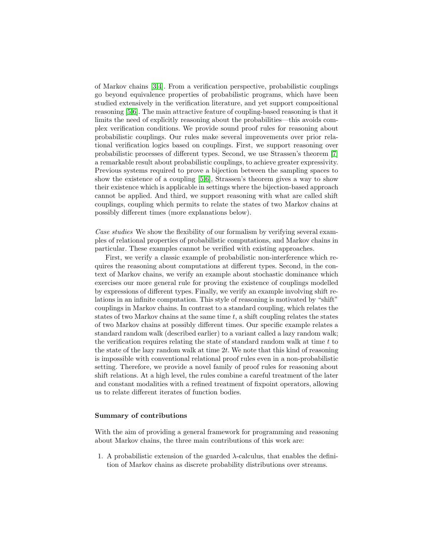of Markov chains [\[3,](#page-25-1)[4\]](#page-25-2). From a verification perspective, probabilistic couplings go beyond equivalence properties of probabilistic programs, which have been studied extensively in the verification literature, and yet support compositional reasoning [\[5,](#page-25-3)[6\]](#page-25-4). The main attractive feature of coupling-based reasoning is that it limits the need of explicitly reasoning about the probabilities—this avoids complex verification conditions. We provide sound proof rules for reasoning about probabilistic couplings. Our rules make several improvements over prior relational verification logics based on couplings. First, we support reasoning over probabilistic processes of different types. Second, we use Strassen's theorem [\[7\]](#page-25-5) a remarkable result about probabilistic couplings, to achieve greater expressivity. Previous systems required to prove a bijection between the sampling spaces to show the existence of a coupling [\[5](#page-25-3)[,6\]](#page-25-4), Strassen's theorem gives a way to show their existence which is applicable in settings where the bijection-based approach cannot be applied. And third, we support reasoning with what are called shift couplings, coupling which permits to relate the states of two Markov chains at possibly different times (more explanations below).

Case studies We show the flexibility of our formalism by verifying several examples of relational properties of probabilistic computations, and Markov chains in particular. These examples cannot be verified with existing approaches.

First, we verify a classic example of probabilistic non-interference which requires the reasoning about computations at different types. Second, in the context of Markov chains, we verify an example about stochastic dominance which exercises our more general rule for proving the existence of couplings modelled by expressions of different types. Finally, we verify an example involving shift relations in an infinite computation. This style of reasoning is motivated by "shift" couplings in Markov chains. In contrast to a standard coupling, which relates the states of two Markov chains at the same time  $t$ , a shift coupling relates the states of two Markov chains at possibly different times. Our specific example relates a standard random walk (described earlier) to a variant called a lazy random walk; the verification requires relating the state of standard random walk at time  $t$  to the state of the lazy random walk at time  $2t$ . We note that this kind of reasoning is impossible with conventional relational proof rules even in a non-probabilistic setting. Therefore, we provide a novel family of proof rules for reasoning about shift relations. At a high level, the rules combine a careful treatment of the later and constant modalities with a refined treatment of fixpoint operators, allowing us to relate different iterates of function bodies.

#### Summary of contributions

With the aim of providing a general framework for programming and reasoning about Markov chains, the three main contributions of this work are:

1. A probabilistic extension of the guarded  $\lambda$ -calculus, that enables the definition of Markov chains as discrete probability distributions over streams.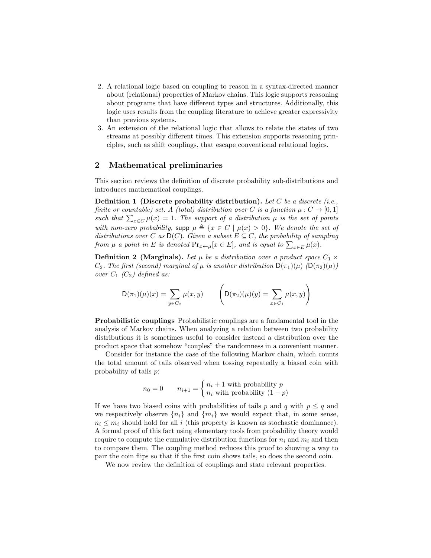- 2. A relational logic based on coupling to reason in a syntax-directed manner about (relational) properties of Markov chains. This logic supports reasoning about programs that have different types and structures. Additionally, this logic uses results from the coupling literature to achieve greater expressivity than previous systems.
- 3. An extension of the relational logic that allows to relate the states of two streams at possibly different times. This extension supports reasoning principles, such as shift couplings, that escape conventional relational logics.

### 2 Mathematical preliminaries

This section reviews the definition of discrete probability sub-distributions and introduces mathematical couplings.

Definition 1 (Discrete probability distribution). Let C be a discrete (i.e., finite or countable) set. A (total) distribution over C is a function  $\mu : C \to [0,1]$ such that  $\sum_{x \in C} \mu(x) = 1$ . The support of a distribution  $\mu$  is the set of points with non-zero probability, supp  $\mu \triangleq \{x \in C \mid \mu(x) > 0\}$ . We denote the set of distributions over C as  $D(C)$ . Given a subset  $E \subseteq C$ , the probability of sampling from  $\mu$  a point in E is denoted  $\Pr_{x \leftarrow \mu}[x \in E]$ , and is equal to  $\sum_{x \in E} \mu(x)$ .

**Definition 2** (Marginals). Let  $\mu$  be a distribution over a product space  $C_1 \times$  $C_2$ . The first (second) marginal of  $\mu$  is another distribution  $D(\pi_1)(\mu)$  ( $D(\pi_2)(\mu)$ ) over  $C_1$  ( $C_2$ ) defined as:

$$
D(\pi_1)(\mu)(x) = \sum_{y \in C_2} \mu(x, y) \qquad \left( D(\pi_2)(\mu)(y) = \sum_{x \in C_1} \mu(x, y) \right)
$$

Probabilistic couplings Probabilistic couplings are a fundamental tool in the analysis of Markov chains. When analyzing a relation between two probability distributions it is sometimes useful to consider instead a distribution over the product space that somehow "couples" the randomness in a convenient manner.

Consider for instance the case of the following Markov chain, which counts the total amount of tails observed when tossing repeatedly a biased coin with probability of tails p:

$$
n_0 = 0 \qquad n_{i+1} = \begin{cases} n_i + 1 \text{ with probability } p \\ n_i \text{ with probability } (1 - p) \end{cases}
$$

If we have two biased coins with probabilities of tails p and q with  $p \leq q$  and we respectively observe  $\{n_i\}$  and  $\{m_i\}$  we would expect that, in some sense,  $n_i \leq m_i$  should hold for all i (this property is known as stochastic dominance). A formal proof of this fact using elementary tools from probability theory would require to compute the cumulative distribution functions for  $n_i$  and  $m_i$  and then to compare them. The coupling method reduces this proof to showing a way to pair the coin flips so that if the first coin shows tails, so does the second coin.

We now review the definition of couplings and state relevant properties.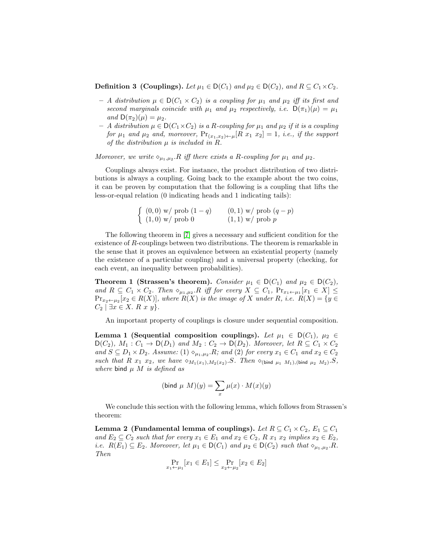**Definition 3 (Couplings).** Let  $\mu_1 \in D(C_1)$  and  $\mu_2 \in D(C_2)$ , and  $R \subseteq C_1 \times C_2$ .

- $A$  distribution  $\mu \in D(C_1 \times C_2)$  is a coupling for  $\mu_1$  and  $\mu_2$  iff its first and second marginals coincide with  $\mu_1$  and  $\mu_2$  respectively, i.e.  $D(\pi_1)(\mu) = \mu_1$ and  $D(\pi_2)(\mu) = \mu_2$ .
- $A$  distribution  $\mu \in D(C_1 \times C_2)$  is a R-coupling for  $\mu_1$  and  $\mu_2$  if it is a coupling for  $\mu_1$  and  $\mu_2$  and, moreover,  $\Pr_{(x_1,x_2)\leftarrow \mu}[R \ x_1 \ x_2] = 1$ , i.e., if the support of the distribution  $\mu$  is included in R.

Moreover, we write  $\diamond_{\mu_1,\mu_2}$ . R iff there exists a R-coupling for  $\mu_1$  and  $\mu_2$ .

Couplings always exist. For instance, the product distribution of two distributions is always a coupling. Going back to the example about the two coins, it can be proven by computation that the following is a coupling that lifts the less-or-equal relation (0 indicating heads and 1 indicating tails):

| $(0,0)$ w/ prob $(1-q)$ | $(0,1)$ w/ prob $(q-p)$ |
|-------------------------|-------------------------|
| $(1,0)$ w/ prob 0       | $(1,1)$ w/ prob p       |

The following theorem in [\[7\]](#page-25-5) gives a necessary and sufficient condition for the existence of R-couplings between two distributions. The theorem is remarkable in the sense that it proves an equivalence between an existential property (namely the existence of a particular coupling) and a universal property (checking, for each event, an inequality between probabilities).

**Theorem 1 (Strassen's theorem).** Consider  $\mu_1 \in D(C_1)$  and  $\mu_2 \in D(C_2)$ , and  $R \subseteq C_1 \times C_2$ . Then  $\diamond_{\mu_1,\mu_2}.R$  iff for every  $X \subseteq C_1$ ,  $\Pr_{x_1 \leftarrow \mu_1}[x_1 \in X] \leq$  $\Pr_{x_2 \leftarrow \mu_2}[x_2 \in R(X)]$ , where  $R(X)$  is the image of X under R, i.e.  $R(X) = \{y \in R(X) | y_2 \}$  $C_2 \mid \exists x \in X$ . R x y}.

<span id="page-5-0"></span>An important property of couplings is closure under sequential composition.

Lemma 1 (Sequential composition couplings). Let  $\mu_1 \in D(C_1)$ ,  $\mu_2 \in$  $D(C_2)$ ,  $M_1: C_1 \to D(D_1)$  and  $M_2: C_2 \to D(D_2)$ . Moreover, let  $R \subseteq C_1 \times C_2$ and  $S \subseteq D_1 \times D_2$ . Assume: (1)  $\diamond_{\mu_1,\mu_2}.R$ ; and (2) for every  $x_1 \in C_1$  and  $x_2 \in C_2$ such that R  $x_1$   $x_2$ , we have  $\diamond_{M_1(x_1),M_2(x_2)} S$ . Then  $\diamond_{(\text{bind } \mu_1 M_1),(\text{bind } \mu_2 M_2)} S$ , where bind  $\mu$  M is defined as

$$
(\text{bind } \mu \ M)(y) = \sum_{x} \mu(x) \cdot M(x)(y)
$$

We conclude this section with the following lemma, which follows from Strassen's theorem:

Lemma 2 (Fundamental lemma of couplings). Let  $R \subseteq C_1 \times C_2$ ,  $E_1 \subseteq C_1$ and  $E_2 \subseteq C_2$  such that for every  $x_1 \in E_1$  and  $x_2 \in C_2$ , R  $x_1$   $x_2$  implies  $x_2 \in E_2$ , *i.e.*  $R(E_1) \subseteq E_2$ . Moreover, let  $\mu_1 \in D(C_1)$  and  $\mu_2 \in D(C_2)$  such that  $\diamond_{\mu_1,\mu_2} R$ . Then

$$
\Pr_{x_1 \leftarrow \mu_1} [x_1 \in E_1] \le \Pr_{x_2 \leftarrow \mu_2} [x_2 \in E_2]
$$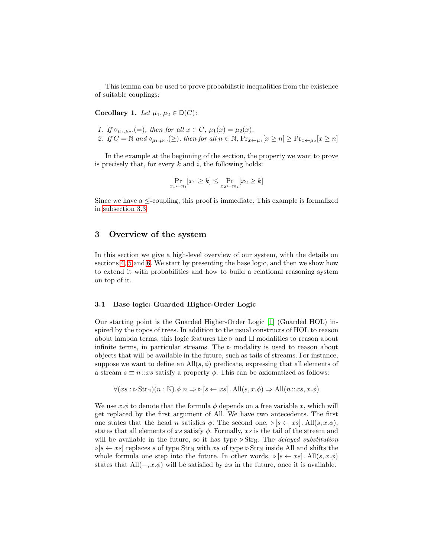<span id="page-6-0"></span>This lemma can be used to prove probabilistic inequalities from the existence of suitable couplings:

Corollary 1. Let  $\mu_1, \mu_2 \in D(C)$ :

\n- 1. If 
$$
\Diamond_{\mu_1,\mu_2}.
$$
 (=), then for all  $x \in C$ ,  $\mu_1(x) = \mu_2(x)$ .
\n- 2. If  $C = \mathbb{N}$  and  $\Diamond_{\mu_1,\mu_2}.$  ( $\geq$ ), then for all  $n \in \mathbb{N}$ ,  $\Pr_{x \leftarrow \mu_1}[x \geq n] \geq \Pr_{x \leftarrow \mu_2}[x \geq n]$
\n

In the example at the beginning of the section, the property we want to prove is precisely that, for every  $k$  and  $i$ , the following holds:

$$
\Pr_{x_1 \leftarrow n_i} [x_1 \ge k] \le \Pr_{x_2 \leftarrow m_i} [x_2 \ge k]
$$

Since we have a ≤-coupling, this proof is immediate. This example is formalized in [subsection 3.3.](#page-8-0)

### 3 Overview of the system

In this section we give a high-level overview of our system, with the details on sections [4,](#page-14-0) [5](#page-17-0) and [6.](#page-18-0) We start by presenting the base logic, and then we show how to extend it with probabilities and how to build a relational reasoning system on top of it.

#### 3.1 Base logic: Guarded Higher-Order Logic

Our starting point is the Guarded Higher-Order Logic [\[1\]](#page-24-0) (Guarded HOL) inspired by the topos of trees. In addition to the usual constructs of HOL to reason about lambda terms, this logic features the ⊳ and  $\Box$  modalities to reason about infinite terms, in particular streams. The ⊳ modality is used to reason about objects that will be available in the future, such as tails of streams. For instance, suppose we want to define an  $\text{All}(s, \phi)$  predicate, expressing that all elements of a stream  $s \equiv n::xs$  satisfy a property  $\phi$ . This can be axiomatized as follows:

 $\forall (xs : \triangleright \text{Str}_{\mathbb{N}})(n : \mathbb{N}).\phi\ n \Rightarrow \triangleright [s \leftarrow xs]$ . All $(s, x.\phi) \Rightarrow$  All $(n::xs, x.\phi)$ 

We use  $x.\phi$  to denote that the formula  $\phi$  depends on a free variable x, which will get replaced by the first argument of All. We have two antecedents. The first one states that the head n satisfies  $\phi$ . The second one,  $\triangleright$  [ $s \leftarrow xs$ ]. All $(s, x, \phi)$ , states that all elements of xs satisfy  $\phi$ . Formally, xs is the tail of the stream and will be available in the future, so it has type ⊳  $Str_N$ . The *delayed substitution*  $\triangleright$ [s ← xs] replaces s of type Str<sub>N</sub> with xs of type  $\triangleright$  Str<sub>N</sub> inside All and shifts the whole formula one step into the future. In other words,  $\triangleright$   $[s \leftarrow xs]$ . All $(s, x, \phi)$ states that  $All(-, x.\phi)$  will be satisfied by xs in the future, once it is available.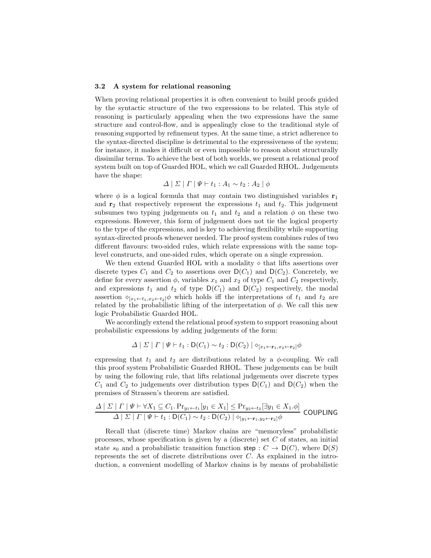#### <span id="page-7-0"></span>3.2 A system for relational reasoning

When proving relational properties it is often convenient to build proofs guided by the syntactic structure of the two expressions to be related. This style of reasoning is particularly appealing when the two expressions have the same structure and control-flow, and is appealingly close to the traditional style of reasoning supported by refinement types. At the same time, a strict adherence to the syntax-directed discipline is detrimental to the expressiveness of the system; for instance, it makes it difficult or even impossible to reason about structurally dissimilar terms. To achieve the best of both worlds, we present a relational proof system built on top of Guarded HOL, which we call Guarded RHOL. Judgements have the shape:

$$
\Delta | \Sigma | \Gamma | \Psi \vdash t_1 : A_1 \sim t_2 : A_2 | \phi
$$

where  $\phi$  is a logical formula that may contain two distinguished variables  $\mathbf{r}_1$ and  $r_2$  that respectively represent the expressions  $t_1$  and  $t_2$ . This judgement subsumes two typing judgements on  $t_1$  and  $t_2$  and a relation  $\phi$  on these two expressions. However, this form of judgement does not tie the logical property to the type of the expressions, and is key to achieving flexibility while supporting syntax-directed proofs whenever needed. The proof system combines rules of two different flavours: two-sided rules, which relate expressions with the same toplevel constructs, and one-sided rules, which operate on a single expression.

We then extend Guarded HOL with a modality  $\diamond$  that lifts assertions over discrete types  $C_1$  and  $C_2$  to assertions over  $\mathsf{D}(C_1)$  and  $\mathsf{D}(C_2)$ . Concretely, we define for every assertion  $\phi$ , variables  $x_1$  and  $x_2$  of type  $C_1$  and  $C_2$  respectively, and expressions  $t_1$  and  $t_2$  of type  $\mathsf{D}(C_1)$  and  $\mathsf{D}(C_2)$  respectively, the modal assertion  $\Diamond_{[x_1 \leftarrow t_1,x_2 \leftarrow t_2]} \phi$  which holds iff the interpretations of  $t_1$  and  $t_2$  are related by the probabilistic lifting of the interpretation of  $\phi$ . We call this new logic Probabilistic Guarded HOL.

We accordingly extend the relational proof system to support reasoning about probabilistic expressions by adding judgements of the form:

$$
\Delta | \Sigma | \Gamma | \Psi \vdash t_1 : \mathsf{D}(C_1) \sim t_2 : \mathsf{D}(C_2) | \diamond_{[x_1 \leftarrow \mathbf{r}_1, x_2 \leftarrow \mathbf{r}_2]} \phi
$$

expressing that  $t_1$  and  $t_2$  are distributions related by a  $\phi$ -coupling. We call this proof system Probabilistic Guarded RHOL. These judgements can be built by using the following rule, that lifts relational judgements over discrete types  $C_1$  and  $C_2$  to judgements over distribution types  $D(C_1)$  and  $D(C_2)$  when the premises of Strassen's theorem are satisfied.

$$
\frac{\Delta \mid \Sigma \mid \Gamma \mid \Psi \vdash \forall X_1 \subseteq C_1.\Pr_{y_1 \leftarrow t_1} [y_1 \in X_1] \le \Pr_{y_2 \leftarrow t_2} [\exists y_1 \in X_1. \phi]}{\Delta \mid \Sigma \mid \Gamma \mid \Psi \vdash t_1 : \mathsf{D}(C_1) \sim t_2 : \mathsf{D}(C_2) \mid \Diamond_{[y_1 \leftarrow \mathbf{r}_1, y_2 \leftarrow \mathbf{r}_2]} \phi} \text{COURLING}
$$

Recall that (discrete time) Markov chains are "memoryless" probabilistic processes, whose specification is given by a (discrete) set  $C$  of states, an initial state  $s_0$  and a probabilistic transition function step :  $C \rightarrow D(C)$ , where  $D(S)$ represents the set of discrete distributions over C. As explained in the introduction, a convenient modelling of Markov chains is by means of probabilistic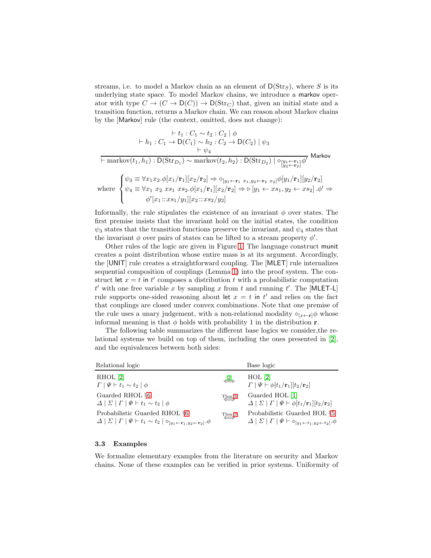streams, i.e. to model a Markov chain as an element of  $D(\text{Str}_S)$ , where S is its underlying state space. To model Markov chains, we introduce a markov operator with type  $C \to (C \to D(C)) \to D(\text{Str}_C)$  that, given an initial state and a transition function, returns a Markov chain. We can reason about Markov chains by the [Markov] rule (the context, omitted, does not change):

$$
\vdash t_1 : C_1 \sim t_2 : C_2 \mid \phi
$$
\n
$$
\vdash h_1 : C_1 \to \mathsf{D}(C_1) \sim h_2 : C_2 \to \mathsf{D}(C_2) \mid \psi_3
$$
\n
$$
\vdash \psi_4
$$
\n
$$
\vdash \text{markov}(t_1, h_1) : \mathsf{D}(\text{Str}_{D_1}) \sim \text{markov}(t_2, h_2) : \mathsf{D}(\text{Str}_{D_2}) \mid \diamond_{\left[\begin{matrix} y_1 \leftarrow \mathbf{r}_1 \end{matrix}\right]} \phi'} \text{Markov}
$$
\n
$$
\text{where }\begin{cases} \psi_3 \equiv \forall x_1 x_2 \ldots \phi[x_1/\mathbf{r}_1][x_2/\mathbf{r}_2] \Rightarrow \diamond_{\left[y_1 \leftarrow \mathbf{r}_1 \end{matrix}, x_1, y_2 \leftarrow x_2 \end{cases} x_2 \mid \phi[y_1/\mathbf{r}_1][y_2/\mathbf{r}_2] \Rightarrow \phi[y_1 \leftarrow xs_1, y_2 \leftarrow xs_2] \ldots \phi'[x_1 \ldots xs_1/y_1][x_2 \ldots xs_2/y_2] \end{cases}
$$

Informally, the rule stipulates the existence of an invariant  $\phi$  over states. The first premise insists that the invariant hold on the initial states, the condition  $\psi_3$  states that the transition functions preserve the invariant, and  $\psi_4$  states that the invariant  $\phi$  over pairs of states can be lifted to a stream property  $\phi'$ .

 $\phi'[x_1::xs_1/y_1][x_2::xs_2/y_2]$ 

Other rules of the logic are given in Figure [1.](#page-9-0) The language construct munit creates a point distribution whose entire mass is at its argument. Accordingly, the [UNIT] rule creates a straightforward coupling. The [MLET] rule internalizes sequential composition of couplings (Lemma [1\)](#page-5-0) into the proof system. The construct let  $x = t$  in  $t'$  composes a distribution  $t$  with a probabilistic computation  $t'$  with one free variable x by sampling x from t and running  $t'$ . The [MLET-L] rule supports one-sided reasoning about let  $x = t$  in  $t'$  and relies on the fact that couplings are closed under convex combinations. Note that one premise of the rule uses a unary judgement, with a non-relational modality  $\diamond_{[x \leftarrow \mathbf{r}]} \phi$  whose informal meaning is that  $\phi$  holds with probability 1 in the distribution **r**.

The following table summarizes the different base logics we consider,the relational systems we build on top of them, including the ones presented in [\[2\]](#page-25-0), and the equivalences between both sides:

| Relational logic                                                                                                                                                    |                                                          | Base logic                                                                                                                     |  |  |
|---------------------------------------------------------------------------------------------------------------------------------------------------------------------|----------------------------------------------------------|--------------------------------------------------------------------------------------------------------------------------------|--|--|
| RHOL <sup>[2]</sup><br>$\Gamma   \Psi \vdash t_1 \sim t_2   \phi$                                                                                                   | $\stackrel{[2]}{\longleftrightarrow}$                    | $HOL$ [2]<br>$\Gamma \mid \Psi \vdash \phi[t_1/\mathbf{r}_1][t_2/\mathbf{r}_2]$                                                |  |  |
| Guarded RHOL §6<br>$\Delta  \Sigma  \Gamma  \Psi \vdash t_1 \sim t_2  \phi$                                                                                         | $T_{\underleftarrow{\text{lim}}}^{\text{lim}}$           | Guarded HOL [1]<br>$\Delta  \Sigma  \Gamma  \Psi \vdash \phi[t_1/\mathbf{r}_1][t_2/\mathbf{r}_2]$                              |  |  |
| Probabilistic Guarded RHOL §6<br>$\Delta   \Sigma   \Gamma   \Psi \vdash t_1 \sim t_2   \diamond_{[y_1 \leftarrow \mathbf{r}_1, y_2 \leftarrow \mathbf{r}_2]} \phi$ | $\overset{\text{Thm}}{\Longleftrightarrow}$ <sup>3</sup> | Probabilistic Guarded HOL §5<br>$\Delta  \Sigma  \Gamma  \Psi \vdash \diamond_{[y_1 \leftarrow t_1, y_2 \leftarrow t_2]} \phi$ |  |  |

#### <span id="page-8-0"></span>3.3 Examples

We formalize elementary examples from the literature on security and Markov chains. None of these examples can be verified in prior systems. Uniformity of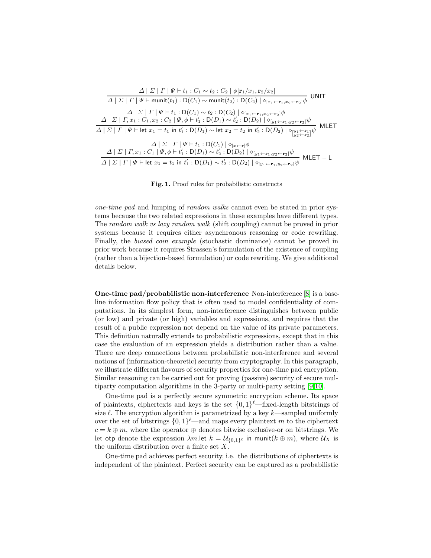$$
\frac{\Delta | \Sigma | \Gamma | \Psi \vdash t_{1} : C_{1} \sim t_{2} : C_{2} | \phi[\mathbf{r}_{1}/x_{1}, \mathbf{r}_{2}/x_{2}]}{\Delta | \Sigma | \Gamma | \Psi \vdash \text{munit}(t_{1}) : D(C_{1}) \sim \text{munit}(t_{2}) : D(C_{2}) | \diamond_{[x_{1} \leftarrow \mathbf{r}_{1}, x_{2} \leftarrow \mathbf{r}_{2}]} \phi} \text{ UNIT}
$$
\n
$$
\frac{\Delta | \Sigma | \Gamma | \Psi \vdash t_{1} : D(C_{1}) \sim t_{2} : D(C_{2}) | \diamond_{[x_{1} \leftarrow \mathbf{r}_{1}, x_{2} \leftarrow \mathbf{r}_{2}]} \phi}{\Delta | \Sigma | \Gamma, x_{1} : C_{1}, x_{2} : C_{2} | \Psi, \phi \vdash t_{1}' : D(D_{1}) \sim t_{2}' : D(D_{2}) | \diamond_{[y_{1} \leftarrow \mathbf{r}_{1}, y_{2} \leftarrow \mathbf{r}_{2}]} \psi}
$$
\n
$$
\frac{\Delta | \Sigma | \Gamma | \Psi \vdash \text{let } x_{1} = t_{1} \text{ in } t_{1}' : D(D_{1}) \sim \text{let } x_{2} = t_{2} \text{ in } t_{2}' : D(D_{2}) | \diamond_{[y_{1} \leftarrow \mathbf{r}_{1}]} \psi} \text{ MLET}
$$
\n
$$
\frac{\Delta | \Sigma | \Gamma | \Psi \vdash \text{let } x_{1} : D(C_{1}) | \diamond_{[x \leftarrow \mathbf{r}]} \phi}{\Delta | \Sigma | \Gamma, x_{1} : C_{1} | \Psi, \phi \vdash t_{1}' : D(D_{1}) \sim t_{2}' : D(D_{2}) | \diamond_{[y_{1} \leftarrow \mathbf{r}_{1}, y_{2} \leftarrow \mathbf{r}_{2}]} \psi} \text{ MLET} - \text{L}
$$

<span id="page-9-0"></span>Fig. 1. Proof rules for probabilistic constructs

one-time pad and lumping of random walks cannot even be stated in prior systems because the two related expressions in these examples have different types. The random walk vs lazy random walk (shift coupling) cannot be proved in prior systems because it requires either asynchronous reasoning or code rewriting. Finally, the *biased coin example* (stochastic dominance) cannot be proved in prior work because it requires Strassen's formulation of the existence of coupling (rather than a bijection-based formulation) or code rewriting. We give additional details below.

One-time pad/probabilistic non-interference Non-interference [\[8\]](#page-25-6) is a baseline information flow policy that is often used to model confidentiality of computations. In its simplest form, non-interference distinguishes between public (or low) and private (or high) variables and expressions, and requires that the result of a public expression not depend on the value of its private parameters. This definition naturally extends to probabilistic expressions, except that in this case the evaluation of an expression yields a distribution rather than a value. There are deep connections between probabilistic non-interference and several notions of (information-theoretic) security from cryptography. In this paragraph, we illustrate different flavours of security properties for one-time pad encryption. Similar reasoning can be carried out for proving (passive) security of secure multiparty computation algorithms in the 3-party or multi-party setting [\[9](#page-25-7)[,10\]](#page-25-8).

One-time pad is a perfectly secure symmetric encryption scheme. Its space of plaintexts, ciphertexts and keys is the set  $\{0,1\}^{\ell}$ —fixed-length bitstrings of size  $\ell$ . The encryption algorithm is parametrized by a key  $k$ —sampled uniformly over the set of bitstrings  $\{0,1\}^{\ell}$ —and maps every plaintext m to the ciphertext  $c = k \oplus m$ , where the operator  $\oplus$  denotes bitwise exclusive-or on bitstrings. We let otp denote the expression  $\lambda m$  let  $k = U_{\{0,1\}^{\ell}}$  in munit $(k \oplus m)$ , where  $U_X$  is the uniform distribution over a finite set  $X$ .

One-time pad achieves perfect security, i.e. the distributions of ciphertexts is independent of the plaintext. Perfect security can be captured as a probabilistic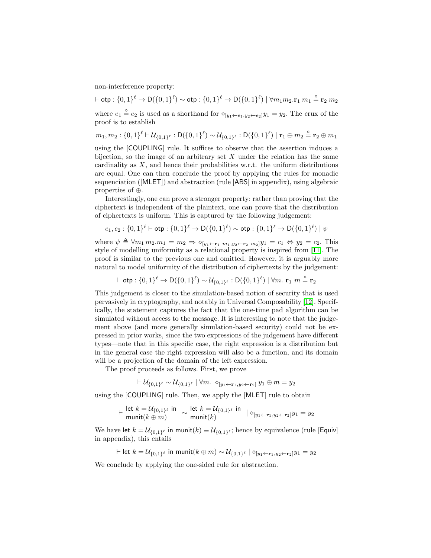non-interference property:

$$
\vdash \textsf{otp}: \{0,1\}^\ell \to \mathsf{D}(\{0,1\}^\ell) \sim \textsf{otp}: \{0,1\}^\ell \to \mathsf{D}(\{0,1\}^\ell) \mid \forall m_1 m_2 . \mathbf{r}_1 \ m_1 \stackrel{\circ}{=} \mathbf{r}_2 \ m_2
$$

where  $e_1 \stackrel{\circ}{=} e_2$  is used as a shorthand for  $\diamond_{[y_1 \leftarrow e_1, y_2 \leftarrow e_2]} y_1 = y_2$ . The crux of the proof is to establish

$$
m_1,m_2:\{0,1\}^\ell\vdash \mathcal{U}_{\{0,1\}^\ell}:\mathsf{D}(\{0,1\}^\ell)\sim \mathcal{U}_{\{0,1\}^\ell}:\mathsf{D}(\{0,1\}^\ell)\mid \mathbf{r}_1\oplus m_2\stackrel{\diamond}{=} \mathbf{r}_2\oplus m_1
$$

using the [COUPLING] rule. It suffices to observe that the assertion induces a bijection, so the image of an arbitrary set  $X$  under the relation has the same cardinality as  $X$ , and hence their probabilities w.r.t. the uniform distributions are equal. One can then conclude the proof by applying the rules for monadic sequenciation ([MLET]) and abstraction (rule [ABS] in appendix), using algebraic properties of ⊕.

Interestingly, one can prove a stronger property: rather than proving that the ciphertext is independent of the plaintext, one can prove that the distribution of ciphertexts is uniform. This is captured by the following judgement:

$$
c_1, c_2: \{0,1\}^{\ell} \vdash \textsf{otp}: \{0,1\}^{\ell} \to D(\{0,1\}^{\ell}) \sim \textsf{otp}: \{0,1\}^{\ell} \to D(\{0,1\}^{\ell}) \mid \psi
$$

where  $\psi \triangleq \forall m_1 m_2.m_1 = m_2 \Rightarrow \Diamond_{[y_1 \leftarrow \mathbf{r}_1 \ m_1, y_2 \leftarrow \mathbf{r}_2 \ m_2]} y_1 = c_1 \Leftrightarrow y_2 = c_2$ . This style of modelling uniformity as a relational property is inspired from [\[11\]](#page-25-9). The proof is similar to the previous one and omitted. However, it is arguably more natural to model uniformity of the distribution of ciphertexts by the judgement:

$$
\vdash \textsf{otp} : \{ 0, 1 \}^\ell \rightarrow \textsf{D}(\{ 0, 1 \}^\ell) \sim \mathcal{U}_{\{ 0, 1 \}^\ell} : \textsf{D}(\{ 0, 1 \}^\ell) \mid \forall m. \ \mathbf{r}_1 \ m \stackrel{\diamond}{=} \mathbf{r}_2
$$

This judgement is closer to the simulation-based notion of security that is used pervasively in cryptography, and notably in Universal Composability [\[12\]](#page-25-10). Specifically, the statement captures the fact that the one-time pad algorithm can be simulated without access to the message. It is interesting to note that the judgement above (and more generally simulation-based security) could not be expressed in prior works, since the two expressions of the judgement have different types—note that in this specific case, the right expression is a distribution but in the general case the right expression will also be a function, and its domain will be a projection of the domain of the left expression.

The proof proceeds as follows. First, we prove

$$
\vdash \mathcal{U}_{\{0,1\}^\ell} \sim \mathcal{U}_{\{0,1\}^\ell} \mid \forall m. \ \ \diamond_{[y_1 \leftarrow \mathbf{r}_1, y_2 \leftarrow \mathbf{r}_2]} y_1 \oplus m = y_2
$$

using the [COUPLING] rule. Then, we apply the [MLET] rule to obtain

$$
\vdash \frac{\text{let } k = \mathcal{U}_{\{0,1\}^{\ell}} \text{ in } \sim \text{let } k = \mathcal{U}_{\{0,1\}^{\ell}} \text{ in } \mid \Diamond_{[y_1 \leftarrow \mathbf{r}_1, y_2 \leftarrow \mathbf{r}_2]} y_1 = y_2
$$
  
munit( $k \oplus m$ )

We have let  $k = U_{\{0,1\}^{\ell}}$  in munit $(k) \equiv U_{\{0,1\}^{\ell}}$ ; hence by equivalence (rule [Equiv] in appendix), this entails

$$
\vdash \mathsf{let}\; k = \mathcal{U}_{\{0,1\}^\ell}\; \mathsf{in}\; \mathsf{munit}(k\oplus m) \sim \mathcal{U}_{\{0,1\}^\ell}\; |\diamond_{[y_1 \leftarrow \mathbf{r}_1, y_2 \leftarrow \mathbf{r}_2]} y_1 = y_2
$$

We conclude by applying the one-sided rule for abstraction.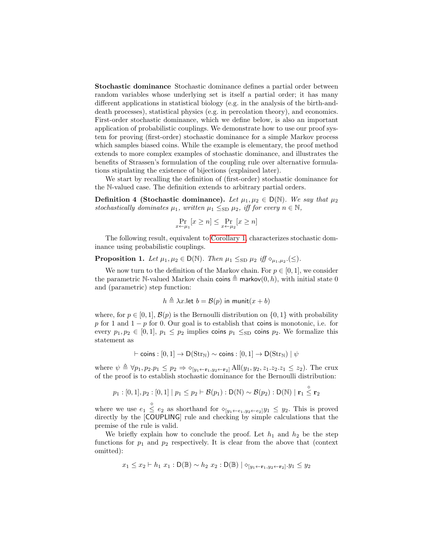Stochastic dominance Stochastic dominance defines a partial order between random variables whose underlying set is itself a partial order; it has many different applications in statistical biology (e.g. in the analysis of the birth-anddeath processes), statistical physics (e.g. in percolation theory), and economics. First-order stochastic dominance, which we define below, is also an important application of probabilistic couplings. We demonstrate how to use our proof system for proving (first-order) stochastic dominance for a simple Markov process which samples biased coins. While the example is elementary, the proof method extends to more complex examples of stochastic dominance, and illustrates the benefits of Strassen's formulation of the coupling rule over alternative formulations stipulating the existence of bijections (explained later).

We start by recalling the definition of (first-order) stochastic dominance for the N-valued case. The definition extends to arbitrary partial orders.

**Definition 4 (Stochastic dominance).** Let  $\mu_1, \mu_2 \in D(\mathbb{N})$ . We say that  $\mu_2$ stochastically dominates  $\mu_1$ , written  $\mu_1 \leq_{SD} \mu_2$ , iff for every  $n \in \mathbb{N}$ ,

$$
\Pr_{x \leftarrow \mu_1} [x \ge n] \le \Pr_{x \leftarrow \mu_2} [x \ge n]
$$

The following result, equivalent to [Corollary 1,](#page-6-0) characterizes stochastic dominance using probabilistic couplings.

**Proposition 1.** Let  $\mu_1, \mu_2 \in D(\mathbb{N})$ . Then  $\mu_1 \leq_{SD} \mu_2$  iff  $\diamond_{\mu_1, \mu_2} \cdot (\leq)$ .

We now turn to the definition of the Markov chain. For  $p \in [0, 1]$ , we consider the parametric N-valued Markov chain coins  $\triangleq$  markov $(0, h)$ , with initial state 0 and (parametric) step function:

$$
h \triangleq \lambda x.\mathsf{let}\ b = \mathcal{B}(p)\ \mathsf{in}\ \mathsf{munit}(x+b)
$$

where, for  $p \in [0, 1]$ ,  $\mathcal{B}(p)$  is the Bernoulli distribution on  $\{0, 1\}$  with probability p for 1 and  $1 - p$  for 0. Our goal is to establish that coins is monotonic, i.e. for every  $p_1, p_2 \in [0, 1], p_1 \leq p_2$  implies coins  $p_1 \leq_{SD}$  coins  $p_2$ . We formalize this statement as

$$
\vdash \mathsf{coins} : [0,1] \to \mathsf{D}(\mathrm{Str}_{\mathbb{N}}) \sim \mathsf{coins} : [0,1] \to \mathsf{D}(\mathrm{Str}_{\mathbb{N}}) \mid \psi
$$

where  $\psi \triangleq \forall p_1, p_2. p_1 \leq p_2 \Rightarrow \Diamond_{[y_1 \leftarrow \mathbf{r}_1, y_2 \leftarrow \mathbf{r}_2]}$  All $(y_1, y_2, z_1. z_2. z_1 \leq z_2)$ . The crux of the proof is to establish stochastic dominance for the Bernoulli distribution:

$$
p_1 : [0, 1], p_2 : [0, 1] | p_1 \leq p_2 \vdash B(p_1) : D(\mathbb{N}) \sim B(p_2) : D(\mathbb{N}) | \mathbf{r}_1 \leq \mathbf{r}_2
$$

where we use  $e_1 \leq e_2$  as shorthand for  $\diamond_{[y_1 \leftarrow e_1, y_2 \leftarrow e_2]} y_1 \leq y_2$ . This is proved directly by the [COUPLING] rule and checking by simple calculations that the premise of the rule is valid.

We briefly explain how to conclude the proof. Let  $h_1$  and  $h_2$  be the step functions for  $p_1$  and  $p_2$  respectively. It is clear from the above that (context omitted):

$$
x_1 \leq x_2 \vdash h_1 \ x_1 : \mathsf{D}(\mathbb{B}) \sim h_2 \ x_2 : \mathsf{D}(\mathbb{B}) \mid \diamond_{[y_1 \leftarrow \mathbf{r}_1, y_2 \leftarrow \mathbf{r}_2]} y_1 \leq y_2
$$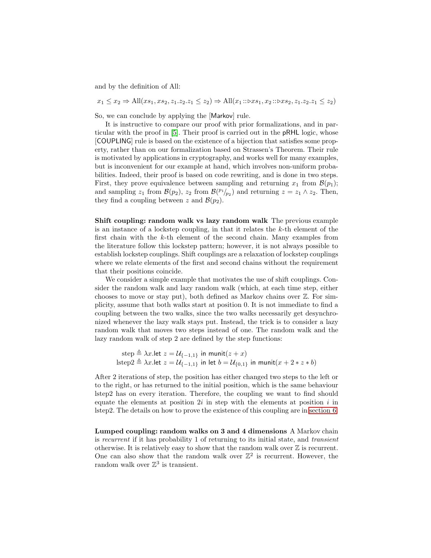and by the definition of All:

 $x_1 \leq x_2 \Rightarrow \text{All}(xs_1, xs_2, z_1.z_2.z_1 \leq z_2) \Rightarrow \text{All}(x_1::\triangleright xs_1, x_2::\triangleright xs_2, z_1.z_2.z_1 \leq z_2)$ 

So, we can conclude by applying the [Markov] rule.

It is instructive to compare our proof with prior formalizations, and in particular with the proof in [\[5\]](#page-25-3). Their proof is carried out in the pRHL logic, whose [COUPLING] rule is based on the existence of a bijection that satisfies some property, rather than on our formalization based on Strassen's Theorem. Their rule is motivated by applications in cryptography, and works well for many examples, but is inconvenient for our example at hand, which involves non-uniform probabilities. Indeed, their proof is based on code rewriting, and is done in two steps. First, they prove equivalence between sampling and returning  $x_1$  from  $\mathcal{B}(p_1)$ ; and sampling  $z_1$  from  $\mathcal{B}(p_2)$ ,  $z_2$  from  $\mathcal{B}(p_1/p_2)$  and returning  $z = z_1 \wedge z_2$ . Then, they find a coupling between z and  $\mathcal{B}(p_2)$ .

Shift coupling: random walk vs lazy random walk The previous example is an instance of a lockstep coupling, in that it relates the k-th element of the first chain with the k-th element of the second chain. Many examples from the literature follow this lockstep pattern; however, it is not always possible to establish lockstep couplings. Shift couplings are a relaxation of lockstep couplings where we relate elements of the first and second chains without the requirement that their positions coincide.

We consider a simple example that motivates the use of shift couplings. Consider the random walk and lazy random walk (which, at each time step, either chooses to move or stay put), both defined as Markov chains over  $\mathbb{Z}$ . For simplicity, assume that both walks start at position 0. It is not immediate to find a coupling between the two walks, since the two walks necessarily get desynchronized whenever the lazy walk stays put. Instead, the trick is to consider a lazy random walk that moves two steps instead of one. The random walk and the lazy random walk of step 2 are defined by the step functions:

$$
\begin{array}{l}\n\text{step} \triangleq \lambda x.\text{let } z = \mathcal{U}_{\{-1,1\}} \text{ in } \text{munit}(z+x) \\
\text{lstep2} \triangleq \lambda x.\text{let } z = \mathcal{U}_{\{-1,1\}} \text{ in } \text{let } b = \mathcal{U}_{\{0,1\}} \text{ in } \text{munit}(x+2*z*b)\n\end{array}
$$

After 2 iterations of step, the position has either changed two steps to the left or to the right, or has returned to the initial position, which is the same behaviour lstep2 has on every iteration. Therefore, the coupling we want to find should equate the elements at position  $2i$  in step with the elements at position  $i$  in lstep2. The details on how to prove the existence of this coupling are in [section 6.](#page-18-0)

Lumped coupling: random walks on 3 and 4 dimensions A Markov chain is recurrent if it has probability 1 of returning to its initial state, and transient otherwise. It is relatively easy to show that the random walk over  $\mathbb Z$  is recurrent. One can also show that the random walk over  $\mathbb{Z}^2$  is recurrent. However, the random walk over  $\mathbb{Z}^3$  is transient.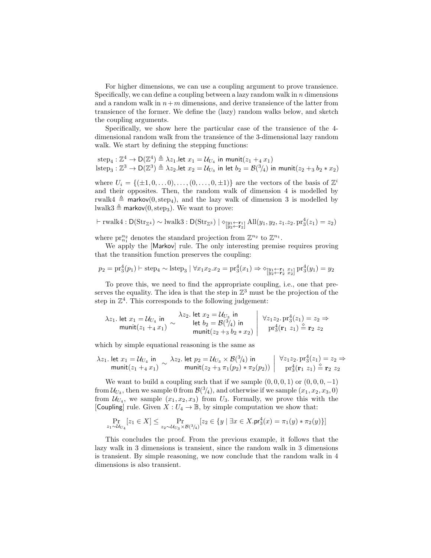For higher dimensions, we can use a coupling argument to prove transience. Specifically, we can define a coupling between a lazy random walk in  $n$  dimensions and a random walk in  $n+m$  dimensions, and derive transience of the latter from transience of the former. We define the (lazy) random walks below, and sketch the coupling arguments.

Specifically, we show here the particular case of the transience of the 4 dimensional random walk from the transience of the 3-dimensional lazy random walk. We start by defining the stepping functions:

$$
\begin{array}{l}\text{step}_4: \mathbb{Z}^4 \to \mathsf{D}(\mathbb{Z}^4) \triangleq \lambda z_1.\text{let } x_1 = \mathcal{U}_{U_4} \text{ in } \text{munit}(z_1 +_4 x_1) \\ \text{lstep}_3: \mathbb{Z}^3 \to \mathsf{D}(\mathbb{Z}^3) \triangleq \lambda z_2.\text{let } x_2 = \mathcal{U}_{U_3} \text{ in } \text{let } b_2 = \mathcal{B}(\frac{3}{4}) \text{ in } \text{munit}(z_2 +_3 b_2 * x_2)\end{array}
$$

where  $U_i = \{(\pm 1, 0, \ldots, 0), \ldots, (0, \ldots, 0, \pm 1)\}$  are the vectors of the basis of  $\mathbb{Z}^i$ and their opposites. Then, the random walk of dimension 4 is modelled by rwalk4  $\triangleq$  markov(0, step<sub>4</sub>), and the lazy walk of dimension 3 is modelled by lwalk3  $\triangleq$  markov(0, step<sub>3</sub>). We want to prove:

$$
\vdash \text{rwalk4}: D(\text{Str}_{\mathbb{Z}^4}) \sim \text{lwalk3}: D(\text{Str}_{\mathbb{Z}^3}) \mid \diamond_{\substack{[y_1 \leftarrow \mathbf{r}_1] \\ y_2 \leftarrow \mathbf{r}_2}} All(y_1, y_2, z_1. z_2. pr_3^4(z_1) = z_2)
$$

where  $\operatorname{pr}_{n_1}^{n_2}$  denotes the standard projection from  $\mathbb{Z}^{n_2}$  to  $\mathbb{Z}^{n_1}$ .

We apply the [Markov] rule. The only interesting premise requires proving that the transition function preserves the coupling:

$$
p_2 = \text{pr}_3^4(p_1) \vdash \text{step}_4 \sim \text{lstep}_3 \mid \forall x_1 x_2 . x_2 = \text{pr}_3^4(x_1) \Rightarrow \Diamond_{\substack{[y_1 \leftarrow \mathbf{r}_1 \\ y_2 \leftarrow \mathbf{r}_2}} x_2]} \text{pr}_3^4(y_1) = y_2
$$

To prove this, we need to find the appropriate coupling, i.e., one that preserves the equality. The idea is that the step in  $\mathbb{Z}^3$  must be the projection of the step in  $\mathbb{Z}^4$ . This corresponds to the following judgement:

$$
\lambda z_1 \text{. let } x_1 = \mathcal{U}_{U_4} \text{ in } \newline \text{mult}(z_1 +_4 x_1) \sim \begin{cases} \lambda z_2 \text{. let } x_2 = \mathcal{U}_{U_3} \text{ in } \\ \text{let } b_2 = \mathcal{B}(\frac{3}{4}) \text{ in } \\ \text{mult}(z_2 +_3 b_2 * x_2) \end{cases} \begin{cases} \forall z_1 z_2 \text{.} \text{pr}_3^4(z_1) = z_2 \Rightarrow \\ \text{pr}_3^4(\mathbf{r}_1 \ z_1) \stackrel{\circ}{=} \mathbf{r}_2 \ z_2 \end{cases}
$$

which by simple equational reasoning is the same as

$$
\lambda z_1. \text{ let } x_1 = \mathcal{U}_{U_4} \text{ in } \sim \lambda z_2. \text{ let } p_2 = \mathcal{U}_{U_3} \times \mathcal{B}(3/4) \text{ in } \forall z_1 z_2. \text{ pr}_3^4(z_1) = z_2 \Rightarrow \text{minit}(z_1 +_4 x_1) \sim \text{minit}(z_2 +_3 \pi_1(p_2) * \pi_2(p_2)) \Big| \quad \forall z_1 z_2. \text{ pr}_3^4(z_1) = z_2 \Rightarrow \text{minit}(z_1 +_4 x_1) \sim \text{minit}(z_2 +_3 \pi_1(p_2) * \pi_2(p_2)) \Big| \quad \forall z_1 z_2. \text{ pr}_3^4(z_1) = z_2 \Rightarrow \text{minit}(z_1 +_4 x_1) \sim \text{minit}(z_2 +_3 \pi_1(p_2) * \pi_2(p_2)) \Big| \quad \forall z_1 z_2. \text{ pr}_3^4(z_1) = z_2 \Rightarrow \text{minit}(z_1 +_4 x_1) \sim \text{minit}(z_2 +_3 \pi_1(p_2) * \pi_2(p_2)) \Big| \quad \forall z_1 z_2. \text{ pr}_3^4(z_1) = z_2 \Rightarrow \text{minit}(z_1 +_4 x_1) \sim \text{minit}(z_2 +_3 \pi_1(p_2) * \pi_2(p_2)) \Big| \quad \forall z_1 z_2. \text{ pr}_3^4(z_1) = z_2 \Rightarrow \text{minit}(z_1 +_4 x_1) \sim \text{minit}(z_2 +_3 \pi_1(p_2) * \pi_2(p_2)) \Big| \quad \forall z_1 z_2. \text{ pr}_3^4(z_1) = z_2 \Rightarrow \text{minit}(z_2 +_4 x_1) \sim \text{minit}(z_2 +_3 \pi_1(p_2) * \pi_2(p_2)) \Big| \quad \forall z_1 z_2. \text{ pr}_3^4(z_1) = z_2 \Rightarrow \text{minit}(z_1 +_4 x_1) \sim \text{minit}(z_2 +_3 \pi_1(p_2) * \pi_2(p_2)) \Big| \quad \forall z_1 z_2. \text{ pr}_3^4(z_1) = z_2 \Rightarrow \text{minit}(z_1 +_4 x_1) \sim \text{minit}(z_2
$$

We want to build a coupling such that if we sample  $(0, 0, 0, 1)$  or  $(0, 0, 0, -1)$ from  $\mathcal{U}_{U_3}$ , then we sample 0 from  $\mathcal{B}(\frac{3}{4})$ , and otherwise if we sample  $(x_1, x_2, x_3, 0)$ from  $\mathcal{U}_{U_4}$ , we sample  $(x_1, x_2, x_3)$  from  $U_3$ . Formally, we prove this with the [Coupling] rule. Given  $X: U_4 \to \mathbb{B}$ , by simple computation we show that:

$$
\Pr_{z_1 \sim \mathcal{U}_{U_4}}[z_1 \in X] \le \Pr_{z_2 \sim \mathcal{U}_{U_3} \times \mathcal{B}(3/4)}[z_2 \in \{y \mid \exists x \in X.\text{pr}_3^4(x) = \pi_1(y) * \pi_2(y)\}]
$$

This concludes the proof. From the previous example, it follows that the lazy walk in 3 dimensions is transient, since the random walk in 3 dimensions is transient. By simple reasoning, we now conclude that the random walk in 4 dimensions is also transient.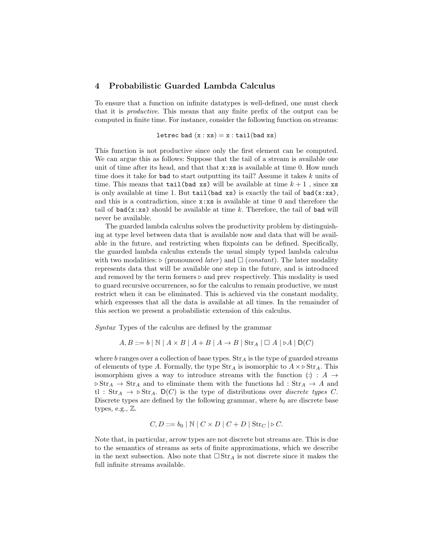### <span id="page-14-0"></span>4 Probabilistic Guarded Lambda Calculus

To ensure that a function on infinite datatypes is well-defined, one must check that it is productive. This means that any finite prefix of the output can be computed in finite time. For instance, consider the following function on streams:

letrec bad  $(x : xs) = x : tail(bad xs)$ 

This function is not productive since only the first element can be computed. We can argue this as follows: Suppose that the tail of a stream is available one unit of time after its head, and that that  $x:xs$  is available at time 0. How much time does it take for bad to start outputting its tail? Assume it takes  $k$  units of time. This means that tail(bad xs) will be available at time  $k + 1$ , since xs is only available at time 1. But tail(bad  $xs$ ) is exactly the tail of bad( $x:xs$ ), and this is a contradiction, since x:xs is available at time 0 and therefore the tail of  $bad(x:xs)$  should be available at time k. Therefore, the tail of bad will never be available.

The guarded lambda calculus solves the productivity problem by distinguishing at type level between data that is available now and data that will be available in the future, and restricting when fixpoints can be defined. Specifically, the guarded lambda calculus extends the usual simply typed lambda calculus with two modalities: ⊳ (pronounced *later*) and  $\Box$  (*constant*). The later modality represents data that will be available one step in the future, and is introduced and removed by the term formers  $\triangleright$  and prev respectively. This modality is used to guard recursive occurrences, so for the calculus to remain productive, we must restrict when it can be eliminated. This is achieved via the constant modality, which expresses that all the data is available at all times. In the remainder of this section we present a probabilistic extension of this calculus.

Syntax Types of the calculus are defined by the grammar

$$
A,B::=b\mid \mathbb{N}\mid A\times B\mid A+B\mid A\rightarrow B\mid\mathrm{Str}_A\mid\Box\ A\mid\triangleright A\mid\mathsf{D}(C)
$$

where b ranges over a collection of base types.  $Str_A$  is the type of guarded streams of elements of type A. Formally, the type  $\text{Str}_A$  is isomorphic to  $A \times \text{Str}_A$ . This isomorphism gives a way to introduce streams with the function (::) :  $A \rightarrow$  $\triangleright$ Str<sub>A</sub>  $\rightarrow$  Str<sub>A</sub> and to eliminate them with the functions hd : Str<sub>A</sub>  $\rightarrow$  A and tl :  $\text{Str}_A \to \text{Str}_A$ . D(C) is the type of distributions over *discrete types* C. Discrete types are defined by the following grammar, where  $b_0$  are discrete base types, e.g.,  $\mathbb{Z}$ .

$$
C,D::=b_0\mid \mathbb{N}\mid C\times D\mid C+D\mid \textnormal{Str}_C\mid \triangleright C.
$$

Note that, in particular, arrow types are not discrete but streams are. This is due to the semantics of streams as sets of finite approximations, which we describe in the next subsection. Also note that  $\Box$  Str<sub>A</sub> is not discrete since it makes the full infinite streams available.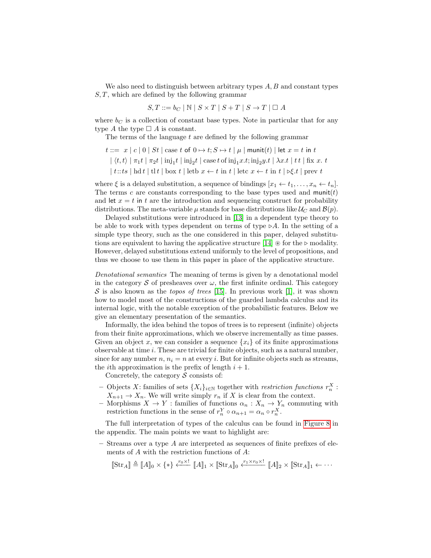We also need to distinguish between arbitrary types  $A, B$  and constant types  $S, T$ , which are defined by the following grammar

$$
S,T::=b_C\mid \mathbb{N}\mid S\times T\mid S+T\mid S\rightarrow T\mid \Box\ A
$$

where  $b<sub>C</sub>$  is a collection of constant base types. Note in particular that for any type A the type  $\Box$  A is constant.

The terms of the language t are defined by the following grammar

t ::=  $x | c | 0 | St | \cose t$  of  $0 \mapsto t; S \mapsto t | \mu | \text{munit}(t) | \text{let } x = t \text{ in } t$  $|\langle t,t\rangle| \pi_1 t | \pi_2 t | \text{inj}_1 t | \text{inj}_2 t | \text{case } t \text{ of } \text{inj}_1 x.t; \text{inj}_2 y.t | \lambda x.t | t t | \text{fix } x. t$ | t::ts | hd t | tl t | box t | letb  $x \leftarrow t$  in t | letc  $x \leftarrow t$  in  $t \mid \in \mathcal{E}.t$  | prev t

where  $\xi$  is a delayed substitution, a sequence of bindings  $[x_1 \leftarrow t_1, \ldots, x_n \leftarrow t_n].$ The terms c are constants corresponding to the base types used and munit(t) and let  $x = t$  in t are the introduction and sequencing construct for probability distributions. The meta-variable  $\mu$  stands for base distributions like  $\mathcal{U}_C$  and  $\mathcal{B}(p)$ .

Delayed substitutions were introduced in [\[13\]](#page-25-11) in a dependent type theory to be able to work with types dependent on terms of type ⊳A. In the setting of a simple type theory, such as the one considered in this paper, delayed substitu-tions are equivalent to having the applicative structure [\[14\]](#page-25-12)  $\circledast$  for the ⊳ modality. However, delayed substitutions extend uniformly to the level of propositions, and thus we choose to use them in this paper in place of the applicative structure.

Denotational semantics The meaning of terms is given by a denotational model in the category  $S$  of presheaves over  $\omega$ , the first infinite ordinal. This category S is also known as the *topos of trees* [\[15\]](#page-25-13). In previous work [\[1\]](#page-24-0), it was shown how to model most of the constructions of the guarded lambda calculus and its internal logic, with the notable exception of the probabilistic features. Below we give an elementary presentation of the semantics.

Informally, the idea behind the topos of trees is to represent (infinite) objects from their finite approximations, which we observe incrementally as time passes. Given an object x, we can consider a sequence  $\{x_i\}$  of its finite approximations observable at time  $i$ . These are trivial for finite objects, such as a natural number, since for any number n,  $n_i = n$  at every i. But for infinite objects such as streams, the *i*th approximation is the prefix of length  $i + 1$ .

Concretely, the category  $\mathcal S$  consists of:

- Objects X: families of sets  $\{X_i\}_{i \in \mathbb{N}}$  together with restriction functions  $r_n^X$ :  $X_{n+1} \rightarrow X_n.$  We will write simply  $r_n$  if  $X$  is clear from the context.
- Morphisms  $X \to Y$ : families of functions  $\alpha_n : X_n \to Y_n$  commuting with restriction functions in the sense of  $r_n^Y \circ \alpha_{n+1} = \alpha_n \circ r_n^X$ .

The full interpretation of types of the calculus can be found in [Figure 8](#page-28-0) in the appendix. The main points we want to highlight are:

 $-$  Streams over a type A are interpreted as sequences of finite prefixes of elements of A with the restriction functions of A:

 $\llbracket \text{Str}_A \rrbracket \triangleq \llbracket A \rrbracket_0 \times \{ * \} \xleftarrow{r_0 \times !} \llbracket A \rrbracket_1 \times \llbracket \text{Str}_A \rrbracket_0 \xleftarrow{r_1 \times r_0 \times !} \llbracket A \rrbracket_2 \times \llbracket \text{Str}_A \rrbracket_1 \leftarrow \cdots$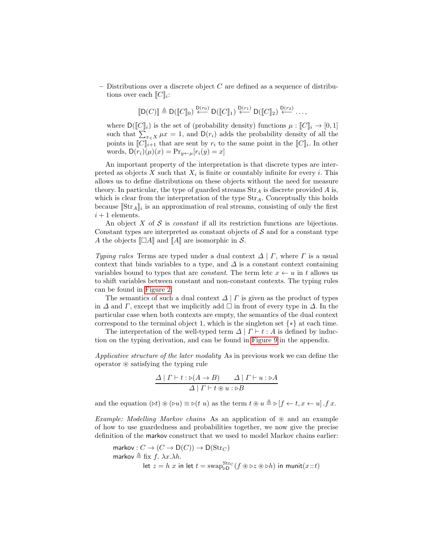– Distributions over a discrete object C are defined as a sequence of distributions over each  $\llbracket C \rrbracket_i$ :

$$
[\![D(C)]\!] \triangleq D([\![C]\!]_0) \stackrel{\mathsf{D}(r_0)}{\longleftarrow} D([\![C]\!]_1) \stackrel{\mathsf{D}(r_1)}{\longleftarrow} D([\![C]\!]_2) \stackrel{\mathsf{D}(r_2)}{\longleftarrow} \ldots,
$$

where  $\mathsf{D}(\llbracket C \rrbracket_i)$  is the set of (probability density) functions  $\mu : \llbracket C \rrbracket_i \to [0,1]$ such that  $\sum_{x \in X} \mu x = 1$ , and  $\mathsf{D}(r_i)$  adds the probability density of all the points in  $\llbracket C \rrbracket_{i+1}$  that are sent by  $r_i$  to the same point in the  $\llbracket C \rrbracket_i$ . In other words,  $D(r_i)(\mu)(x) = Pr_{y \leftarrow \mu}[r_i(y) = x]$ 

An important property of the interpretation is that discrete types are interpreted as objects X such that  $X_i$  is finite or countably infinite for every i. This allows us to define distributions on these objects without the need for measure theory. In particular, the type of guarded streams  $\text{Str}_A$  is discrete provided A is, which is clear from the interpretation of the type  $\text{Str}_A$ . Conceptually this holds because  $[\![\text{Str}_A]\!]_i$  is an approximation of real streams, consisting of only the first  $i+1$  elements.

An object X of S is *constant* if all its restriction functions are bijections. Constant types are interpreted as constant objects of  $S$  and for a constant type A the objects  $\llbracket \Box A \rrbracket$  and  $\llbracket A \rrbracket$  are isomorphic in S.

Typing rules Terms are typed under a dual context  $\Delta | \Gamma$ , where  $\Gamma$  is a usual context that binds variables to a type, and  $\Delta$  is a constant context containing variables bound to types that are *constant*. The term letc  $x \leftarrow u$  in t allows us to shift variables between constant and non-constant contexts. The typing rules can be found in [Figure 2.](#page-17-1)

The semantics of such a dual context  $\Delta | \Gamma$  is given as the product of types in  $\Delta$  and  $\Gamma$ , except that we implicitly add  $\Box$  in front of every type in  $\Delta$ . In the particular case when both contexts are empty, the semantics of the dual context correspond to the terminal object 1, which is the singleton set  $\{*\}$  at each time.

The interpretation of the well-typed term  $\Delta | \Gamma \vdash t : A$  is defined by induction on the typing derivation, and can be found in [Figure 9](#page-29-0) in the appendix.

Applicative structure of the later modality As in previous work we can define the operator ⊛ satisfying the typing rule

$$
\frac{\Delta | \Gamma \vdash t : \triangleright (A \to B) \qquad \Delta | \Gamma \vdash u : \triangleright A}{\Delta | \Gamma \vdash t \circledast u : \triangleright B}
$$

and the equation  $(\triangleright t) \circledast (\triangleright u) \equiv \triangleright (t \ u)$  as the term  $t \circledast u \triangleq \triangleright [f \leftarrow t, x \leftarrow u]$ .  $f x$ .

Example: Modelling Markov chains As an application of ⊛ and an example of how to use guardedness and probabilities together, we now give the precise definition of the markov construct that we used to model Markov chains earlier:

$$
\begin{aligned}\n\text{markov}: C &\rightarrow (C \to \mathsf{D}(C)) \to \mathsf{D}(\text{Str}_C) \\
\text{markov} &\triangleq \text{fix } f. \ \lambda x. \lambda h. \\
\text{let } z &= h \ x \text{ in let } t = \text{swap}_{\text{bD}}^{\text{Str}_C}(f \circledast \triangleright z \circledast \triangleright h) \text{ in } \text{munit}(x::t)\n\end{aligned}
$$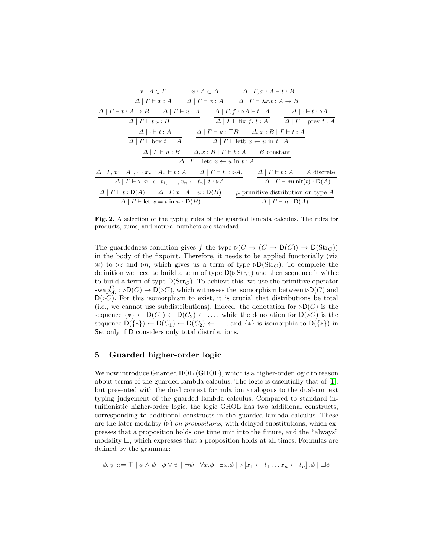|                                                                                                                                                                                               | $x:A\in\Gamma$ $x:A\in\Delta$ $\Delta\mid\Gamma,x:A\vdash t:B$                            |                                        |                                       |  |  |  |
|-----------------------------------------------------------------------------------------------------------------------------------------------------------------------------------------------|-------------------------------------------------------------------------------------------|----------------------------------------|---------------------------------------|--|--|--|
| $\Delta   \Gamma \vdash x : A$ $\Delta   \Gamma \vdash x : A$ $\Delta   \Gamma \vdash \lambda x.t : A \rightarrow B$                                                                          |                                                                                           |                                        |                                       |  |  |  |
| $\Delta  \Gamma \vdash t : A \rightarrow B$ $\Delta  \Gamma \vdash u : A$ $\Delta  \Gamma, f : \triangleright A \vdash t : A$ $\Delta  \cdot \vdash t : \triangleright A$                     |                                                                                           |                                        |                                       |  |  |  |
| $\Delta$   $\Gamma$ + $t u$ : $B$                                                                                                                                                             | $\Delta   \Gamma \vdash$ fix f. t: A $\Delta   \Gamma \vdash$ prev t: A                   |                                        |                                       |  |  |  |
| $\Delta \mid \cdot \vdash t : A$ $\Delta \mid \Gamma \vdash u : \Box B$ $\Delta, x : B \mid \Gamma \vdash t : A$                                                                              |                                                                                           |                                        |                                       |  |  |  |
| $\Delta   \Gamma \vdash$ box $t : \Box A$ $\Delta   \Gamma \vdash$ letb $x \leftarrow u$ in $t : A$                                                                                           |                                                                                           |                                        |                                       |  |  |  |
|                                                                                                                                                                                               | $\Delta   \Gamma \vdash u : B \quad \Delta, x : B   \Gamma \vdash t : A \quad B$ constant |                                        |                                       |  |  |  |
| $\Delta   \Gamma \vdash \text{letc } x \leftarrow u \text{ in } t : A$                                                                                                                        |                                                                                           |                                        |                                       |  |  |  |
| $\Delta   \Gamma, x_1 : A_1, \cdots x_n : A_n \vdash t : A \quad \Delta   \Gamma \vdash t_i : \triangleright A_i \quad \Delta   \Gamma \vdash t : A \quad A$ discrete                         |                                                                                           |                                        |                                       |  |  |  |
| $\Delta \mid \Gamma \vdash \triangleright [\pi_1 \leftarrow t_1, \ldots, \pi_n \leftarrow t_n] \cdot t : \triangleright A \qquad \Delta \mid \Gamma \vdash \mathsf{munit}(t) : \mathsf{D}(A)$ |                                                                                           |                                        |                                       |  |  |  |
| $\Delta   \Gamma \vdash t : D(A) \quad \Delta   \Gamma, x : A \vdash u : D(B)$                                                                                                                |                                                                                           | $\mu$ primitive distribution on type A |                                       |  |  |  |
| $\Delta   \Gamma \vdash$ let $x = t$ in $u : D(B)$                                                                                                                                            |                                                                                           |                                        | $\Delta$   $\Gamma \vdash \mu : D(A)$ |  |  |  |

<span id="page-17-1"></span>Fig. 2. A selection of the typing rules of the guarded lambda calculus. The rules for products, sums, and natural numbers are standard.

The guardedness condition gives f the type  $\triangleright (C \rightarrow (C \rightarrow D(C)) \rightarrow D(\text{Str}_C))$ in the body of the fixpoint. Therefore, it needs to be applied functorially (via ⊛) to ⊳z and ⊳h, which gives us a term of type ⊳D(Str<sub>C</sub>). To complete the definition we need to build a term of type  $D(\triangleright Str_C)$  and then sequence it with :: to build a term of type  $D(\text{Str}_C)$ . To achieve this, we use the primitive operator  $\sup_{\geq D}^{\mathcal{C}} : \mathsf{D}(C) \to \mathsf{D}(\mathsf{C})$ , which witnesses the isomorphism between ⊳D(C) and  $D(\triangleright C)$ . For this isomorphism to exist, it is crucial that distributions be total (i.e., we cannot use subdistributions). Indeed, the denotation for  $\rhd(D(C))$  is the sequence  $\{*\} \leftarrow D(C_1) \leftarrow D(C_2) \leftarrow \ldots$ , while the denotation for  $D(\triangleright C)$  is the sequence  $D({*}) \leftarrow D(C_1) \leftarrow D(C_2) \leftarrow \dots$ , and  ${*}$  is isomorphic to  $D({*})$  in Set only if D considers only total distributions.

### <span id="page-17-0"></span>5 Guarded higher-order logic

We now introduce Guarded HOL (GHOL), which is a higher-order logic to reason about terms of the guarded lambda calculus. The logic is essentially that of [\[1\]](#page-24-0), but presented with the dual context formulation analogous to the dual-context typing judgement of the guarded lambda calculus. Compared to standard intuitionistic higher-order logic, the logic GHOL has two additional constructs, corresponding to additional constructs in the guarded lambda calculus. These are the later modality (⊳) on propositions, with delayed substitutions, which expresses that a proposition holds one time unit into the future, and the "always" modality  $\Box$ , which expresses that a proposition holds at all times. Formulas are defined by the grammar:

$$
\phi, \psi ::= \top \mid \phi \land \psi \mid \phi \lor \psi \mid \neg \psi \mid \forall x. \phi \mid \exists x. \phi \mid \phi \mid [x_1 \leftarrow t_1 \dots x_n \leftarrow t_n]. \phi \mid \Box \phi
$$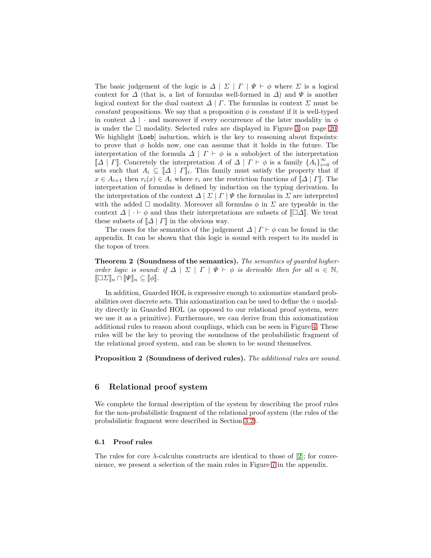The basic judgement of the logic is  $\Delta | \Sigma | \Gamma | \Psi \vdash \phi$  where  $\Sigma$  is a logical context for  $\Delta$  (that is, a list of formulas well-formed in  $\Delta$ ) and  $\Psi$  is another logical context for the dual context  $\Delta | \Gamma$ . The formulas in context  $\Sigma$  must be constant propositions. We say that a proposition  $\phi$  is constant if it is well-typed in context  $\Delta$  |  $\cdot$  and moreover if every occurrence of the later modality in  $\phi$ is under the  $\Box$  modality. Selected rules are displayed in Figure [3](#page-19-0) on page [20.](#page-19-0) We highlight [Loeb] induction, which is the key to reasoning about fixpoints: to prove that  $\phi$  holds now, one can assume that it holds in the future. The interpretation of the formula  $\Delta | \Gamma \vdash \phi$  is a subobject of the interpretation  $[\![\Delta\mid\varGamma]\!]$ . Concretely the interpretation A of  $\Delta\mid\varGamma\vdash\phi$  is a family  $\{A_i\}_{i=0}^\infty$  of sets such that  $A_i \subseteq \llbracket \Delta \mid \Gamma \rrbracket_i$ . This family must satisfy the property that if  $x \in A_{i+1}$  then  $r_i(x) \in A_i$  where  $r_i$  are the restriction functions of  $\llbracket \Delta \mid \Gamma \rrbracket$ . The interpretation of formulas is defined by induction on the typing derivation. In the interpretation of the context  $\Delta | \Sigma | \Gamma | \Psi$  the formulas in  $\Sigma$  are interpreted with the added  $\Box$  modality. Moreover all formulas  $\phi$  in  $\Sigma$  are typeable in the context  $\Delta \mid \cdot \vdash \phi$  and thus their interpretations are subsets of  $\llbracket \Box \Delta \rrbracket$ . We treat these subsets of  $\Delta | \Gamma |$  in the obvious way.

The cases for the semantics of the judgement  $\Delta | \Gamma \vdash \phi$  can be found in the appendix. It can be shown that this logic is sound with respect to its model in the topos of trees.

<span id="page-18-1"></span>Theorem 2 (Soundness of the semantics). The semantics of guarded higherorder logic is sound: if  $\Delta \mid \Sigma \mid \Gamma \mid \Psi \vdash \phi$  is derivable then for all  $n \in \mathbb{N}$ ,  $[\Box \Sigma]_n \cap [\![\Psi]\!]_n \subseteq [\![\phi]\!]$ .

In addition, Guarded HOL is expressive enough to axiomatize standard probabilities over discrete sets. This axiomatization can be used to define the  $\diamond$  modality directly in Guarded HOL (as opposed to our relational proof system, were we use it as a primitive). Furthermore, we can derive from this axiomatization additional rules to reason about couplings, which can be seen in Figure [4.](#page-19-1) These rules will be the key to proving the soundness of the probabilistic fragment of the relational proof system, and can be shown to be sound themselves.

Proposition 2 (Soundness of derived rules). The additional rules are sound.

### <span id="page-18-0"></span>6 Relational proof system

We complete the formal description of the system by describing the proof rules for the non-probabilistic fragment of the relational proof system (the rules of the probabilistic fragment were described in Section [3.2\)](#page-7-0).

#### 6.1 Proof rules

The rules for core  $\lambda$ -calculus constructs are identical to those of [\[2\]](#page-25-0); for convenience, we present a selection of the main rules in Figure [7](#page-27-0) in the appendix.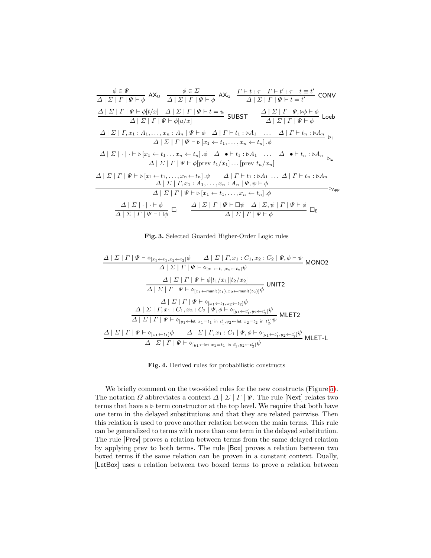| $\frac{\phi \in \Psi}{\Delta  \Sigma  \Gamma  \Psi \vdash \phi}$ AX <sub>U</sub> $\frac{\phi \in \Sigma}{\Delta  \Sigma  \Gamma  \Psi \vdash \phi}$ AX <sub>G</sub> $\frac{\Gamma \vdash t : \tau \Gamma \vdash t' : \tau \ t \equiv t'}{\Delta  \Sigma  \Gamma  \Psi \vdash t \equiv t'}$ CONV                                              |
|----------------------------------------------------------------------------------------------------------------------------------------------------------------------------------------------------------------------------------------------------------------------------------------------------------------------------------------------|
| $\frac{\Delta  \Sigma \Gamma \Psi\vdash\phi[t/x]\quad\Delta  \Sigma \Gamma \Psi\vdash t=u}{\Delta  \Sigma \Gamma \Psi\vdash\phi[u/x]} \text{ SUBST}\qquad \frac{\Delta  \Sigma \Gamma \Psi,\triangleright\phi\vdash\phi}{\Delta  \Sigma \Gamma \Psi\vdash\phi} \text{ Loeb}$                                                                 |
| $\Delta   \Sigma   \Gamma, x_1 : A_1, \ldots, x_n : A_n   \Psi \vdash \phi \quad \Delta   \Gamma \vdash t_1 : \triangleright A_1 \quad \ldots \quad \Delta   \Gamma \vdash t_n : \triangleright A_n$                                                                                                                                         |
| $\Delta \mid \Sigma \mid \Gamma \mid \Psi \vdash \triangleright [x_1 \leftarrow t_1, \ldots, x_n \leftarrow t_n] . \phi$                                                                                                                                                                                                                     |
| $\frac{\Delta  \Sigma  \cdot  \cdot \vdash \triangleright [x_1 \leftarrow t_1  x_n \leftarrow t_n] . \phi \quad \Delta   \bullet \vdash t_1 : \triangleright A_1 \quad  \quad \Delta   \bullet \vdash t_n : \triangleright A_n}{\Delta  \Sigma  \Gamma   \Psi \vdash \phi[\text{prev } t_1/x_1]  [\text{prev } t_n/x_n]} \triangleright_{E}$ |
|                                                                                                                                                                                                                                                                                                                                              |
| $\Delta  \Sigma  \Gamma  \Psi \vdash \triangleright [x_1 \leftarrow t_1, \ldots, x_n \leftarrow t_n] \psi$ $\Delta  \Gamma \vdash t_1 : \triangleright A_1 \ldots \Delta  \Gamma \vdash t_n : \triangleright A_n$<br>$\Delta \mid \Sigma \mid \Gamma, x_1 : A_1, \ldots, x_n : A_n \mid \Psi, \psi \vdash \phi$                              |
| =⊳ <sub>App</sub><br>$\Delta \mid \Sigma \mid \Gamma \mid \Psi \vdash \triangleright [x_1 \leftarrow t_1, \ldots, x_n \leftarrow t_n] . \phi$                                                                                                                                                                                                |
| $\frac{\Delta  \Sigma  \Gamma  \Psi \vdash \Box \psi \quad \Delta  \Sigma, \psi   \Gamma  \Psi \vdash \phi}{\Delta  \Sigma  \Gamma  \Psi \vdash \phi} \Box_{\mathsf{E}}$<br>$\frac{\Delta  \Sigma  \cdot   \cdot \vdash \phi}{\Delta  \Sigma  \Gamma  \Psi \vdash \Box \phi} \Box$                                                           |

<span id="page-19-0"></span>

$$
\frac{\Delta | \Sigma | \Gamma | \Psi \vdash \diamond_{[x_1 \leftarrow t_1, x_2 \leftarrow t_2]} \phi \quad \Delta | \Sigma | \Gamma, x_1 : C_1, x_2 : C_2 | \Psi, \phi \vdash \psi \quad \text{MONO2}
$$
\n
$$
\frac{\Delta | \Sigma | \Gamma | \Psi \vdash \diamond_{[x_1 \leftarrow t_1, x_2 \leftarrow t_2]} \psi}{\Delta | \Sigma | \Gamma | \Psi \vdash \phi[t_1/x_1][t_2/x_2]} \quad \text{UNIT2}
$$
\n
$$
\frac{\Delta | \Sigma | \Gamma | \Psi \vdash \diamond_{[x_1 \leftarrow \text{min}(t_1), x_2 \leftarrow \text{min}(t_2)]} \phi}{\Delta | \Sigma | \Gamma | \Psi \vdash \diamond_{[x_1 \leftarrow t_1, x_2 \leftarrow t_2]} \phi}
$$
\n
$$
\frac{\Delta | \Sigma | \Gamma | \Psi \vdash \diamond_{[x_1 \leftarrow t_1, x_2 \leftarrow t_2]} \psi}{\Delta | \Sigma | \Gamma | \Psi \vdash \diamond_{[y_1 \leftarrow \text{let } x_1 = t_1 \text{ in } t_1', y_2 \leftarrow \text{let } x_2 = t_2 \text{ in } t_2']} \psi} \quad \text{MLET2}
$$
\n
$$
\frac{\Delta | \Sigma | \Gamma | \Psi \vdash \diamond_{[x_1 \leftarrow t_1]} \phi \quad \Delta | \Sigma | \Gamma, x_1 : C_1 | \Psi, \phi \vdash \diamond_{[y_1 \leftarrow t_1', y_2 \leftarrow t_2']} \psi}{\Delta | \Sigma | \Gamma | \Psi \vdash \diamond_{[y_1 \leftarrow \text{let } x_1 = t_1 \text{ in } t_1', y_2 \leftarrow t_2']} \psi} \quad \text{MLET-L}
$$

<span id="page-19-1"></span>Fig. 4. Derived rules for probabilistic constructs

We briefly comment on the two-sided rules for the new constructs (Figure [5\)](#page-21-0). The notation  $\Omega$  abbreviates a context  $\Delta | \Sigma | \Gamma | \Psi$ . The rule [Next] relates two terms that have a  $\triangleright$  term constructor at the top level. We require that both have one term in the delayed substitutions and that they are related pairwise. Then this relation is used to prove another relation between the main terms. This rule can be generalized to terms with more than one term in the delayed substitution. The rule [Prev] proves a relation between terms from the same delayed relation by applying prev to both terms. The rule [Box] proves a relation between two boxed terms if the same relation can be proven in a constant context. Dually, [LetBox] uses a relation between two boxed terms to prove a relation between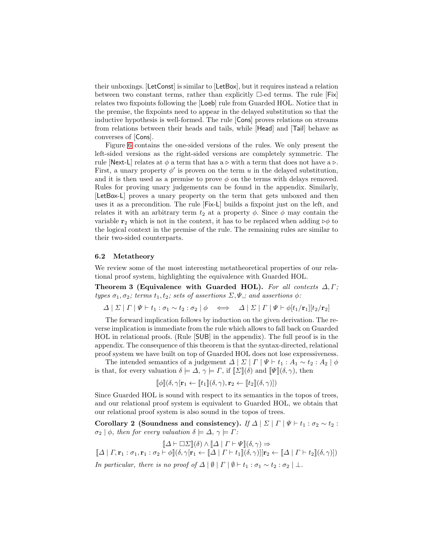their unboxings. [LetConst] is similar to [LetBox], but it requires instead a relation between two constant terms, rather than explicitly  $\Box$ -ed terms. The rule  $|Fix|$ relates two fixpoints following the [Loeb] rule from Guarded HOL. Notice that in the premise, the fixpoints need to appear in the delayed substitution so that the inductive hypothesis is well-formed. The rule [Cons] proves relations on streams from relations between their heads and tails, while [Head] and [Tail] behave as converses of [Cons].

Figure [6](#page-22-0) contains the one-sided versions of the rules. We only present the left-sided versions as the right-sided versions are completely symmetric. The rule [Next-L] relates at  $\phi$  a term that has a ⊳ with a term that does not have a ⊳. First, a unary property  $\phi'$  is proven on the term u in the delayed substitution, and it is then used as a premise to prove  $\phi$  on the terms with delays removed. Rules for proving unary judgements can be found in the appendix. Similarly, [LetBox-L] proves a unary property on the term that gets unboxed and then uses it as a precondition. The rule [Fix-L] builds a fixpoint just on the left, and relates it with an arbitrary term  $t_2$  at a property  $\phi$ . Since  $\phi$  may contain the variable  $r_2$  which is not in the context, it has to be replaced when adding ⊳ $\phi$  to the logical context in the premise of the rule. The remaining rules are similar to their two-sided counterparts.

#### 6.2 Metatheory

We review some of the most interesting metatheoretical properties of our relational proof system, highlighting the equivalence with Guarded HOL.

Theorem 3 (Equivalence with Guarded HOL). For all contexts  $\Delta, \Gamma$ ; types  $\sigma_1, \sigma_2$ ; terms  $t_1, t_2$ ; sets of assertions  $\Sigma, \Psi$ ,; and assertions  $\phi$ :

 $\Delta \mid \Sigma \mid \Gamma \mid \Psi \vdash t_1 : \sigma_1 \sim t_2 : \sigma_2 \mid \phi \iff \Delta \mid \Sigma \mid \Gamma \mid \Psi \vdash \phi[t_1/\mathbf{r}_1][t_2/\mathbf{r}_2]$ 

The forward implication follows by induction on the given derivation. The reverse implication is immediate from the rule which allows to fall back on Guarded HOL in relational proofs. (Rule [SUB] in the appendix). The full proof is in the appendix. The consequence of this theorem is that the syntax-directed, relational proof system we have built on top of Guarded HOL does not lose expressiveness.

The intended semantics of a judgement  $\Delta | \Sigma | \Gamma | \Psi \vdash t_1 : A_1 \sim t_2 : A_2 | \phi$ is that, for every valuation  $\delta \models \Delta, \gamma \models \Gamma$ , if  $\llbracket \Sigma \rrbracket(\delta)$  and  $\llbracket \Psi \rrbracket(\delta, \gamma)$ , then

<span id="page-20-0"></span>
$$
[\![\phi]\!](\delta, \gamma[\mathbf{r}_1 \leftarrow [\![t_1]\!](\delta, \gamma), \mathbf{r}_2 \leftarrow [\![t_2]\!](\delta, \gamma)])
$$

Since Guarded HOL is sound with respect to its semantics in the topos of trees, and our relational proof system is equivalent to Guarded HOL, we obtain that our relational proof system is also sound in the topos of trees.

Corollary 2 (Soundness and consistency). If  $\Delta | \Sigma | \Gamma | \Psi \vdash t_1 : \sigma_2 \sim t_2$ :  $\sigma_2 \mid \phi$ , then for every valuation  $\delta \models \Delta, \gamma \models \Gamma$ :

$$
\llbracket \Delta \vdash \Box \Sigma \rrbracket(\delta) \land \llbracket \Delta \mid \Gamma \vdash \Psi \rrbracket(\delta, \gamma) \Rightarrow
$$
\n
$$
\llbracket \Delta \mid \Gamma, \mathbf{r}_1 : \sigma_1, \mathbf{r}_1 : \sigma_2 \vdash \phi \rrbracket(\delta, \gamma | \mathbf{r}_1 \leftarrow \llbracket \Delta \mid \Gamma \vdash t_1 \rrbracket(\delta, \gamma) | [\mathbf{r}_2 \leftarrow \llbracket \Delta \mid \Gamma \vdash t_2 \rrbracket(\delta, \gamma)] )
$$
\nIn particular, there is no proof of  $\Delta \mid \emptyset \mid \Gamma \mid \emptyset \vdash t_1 : \sigma_1 \sim t_2 : \sigma_2 \mid \bot$ .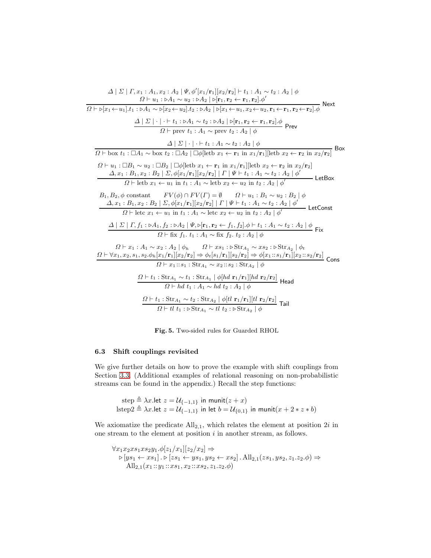$$
\Delta | \Sigma | P, x_1 : A_1, x_2 : A_2 | \psi, \phi'[x_1/r_1][x_2/r_2] \rightharpoonup t_1 : A_1 \sim t_2 : A_2 | \phi
$$
\n
$$
\Omega \vdash b[x_1 + u_1], t_1 : bA_1 \sim b[x_2 + u_2], t_2 : bA_2 | b[x_1 + u_1, x_2 + u_2, r_1 + r_1, r_2 + r_2], \phi
$$
\n
$$
\Omega \vdash b[x_1 + u_1], t_1 : bA_1 \sim b[x_2 + u_2], t_2 : bA_2 | b[x_1 + u_1, x_2 + u_2, r_1 + r_1, r_2 + r_2], \phi]
$$
\n
$$
\Delta | \Sigma | \cdot | \cdot | \cdot | t_1 : bA_1 \sim t_2 : bA_2 | b[r_1, r_2 + r_1, r_2], \phi]
$$
\n
$$
\Omega \vdash \text{box } t_1 : \Box A_1 \sim \text{box } t_2 : \Box A_2 | \Box \phi \text{ [letb } x_1 + r_1 \text{ in } x_1/r_1] \text{ [letb } x_2 + r_2 \text{ in } x_2/r_2]
$$
\n
$$
\Delta | \Sigma | \cdot | \cdot | \cdot | t_1 : A_1 \sim t_2 : A_2 | \phi
$$
\n
$$
\Omega \vdash u_1 : \Box B_1 \sim u_2 : \Box B_2 | \Box \phi \text{ [letb } x_1 + r_1 \text{ in } x_1/r_1] \text{ [letb } x_2 + r_2 \text{ in } x_2/r_2]
$$
\n
$$
\Delta x_1 : B_1, x_2 : B_2 | \Sigma, \phi[x_1/r_1][x_2/r_2] | \Gamma | \psi + t_1 : A_1 \sim t_2 : A_2 | \phi'
$$
\n
$$
\Delta x_1 : B_1, x_2 : B_2 | \Sigma, \phi[x_1/r_1][x_2/r_2] | \Gamma | \psi + t_1 : A_1 \sim t_2 : A_2 | \phi'
$$
\n
$$
\Delta x_1 : B_1, x_2 : B_2 | \Sigma, \phi[x_1/r_1][x_2/r_2] | \Gamma | \psi + t_1 : A_1 \sim t_2 : A_2 | \phi'
$$
\n $$ 

<span id="page-21-0"></span>Fig. 5. Two-sided rules for Guarded RHOL

### 6.3 Shift couplings revisited

We give further details on how to prove the example with shift couplings from Section [3.3.](#page-8-0) (Additional examples of relational reasoning on non-probabilistic streams can be found in the appendix.) Recall the step functions:

step  $\triangleq \lambda x$ .let  $z = \mathcal{U}_{\{-1,1\}}$  in munit $(z + x)$ lstep $2 \triangleq \lambda x.$ let  $z = \mathcal{U}_{\{-1,1\}}$  in let  $b = \mathcal{U}_{\{0,1\}}$  in munit $(x + 2 * z * b)$ 

We axiomatize the predicate  $\text{All}_{2,1}$ , which relates the element at position  $2i$  in one stream to the element at position  $i$  in another stream, as follows.

$$
\forall x_1 x_2 x s_1 x s_2 y_1.\phi[z_1/x_1][z_2/x_2] \Rightarrow
$$
  
\n
$$
\triangleright [ys_1 \leftarrow xs_1] . \triangleright [zs_1 \leftarrow ys_1, ys_2 \leftarrow xs_2] . All_{2,1}(zs_1, ys_2, z_1.z_2.\phi) \Rightarrow
$$
  
\n
$$
All_{2,1}(x_1::y_1::xs_1, x_2::xs_2, z_1.z_2.\phi)
$$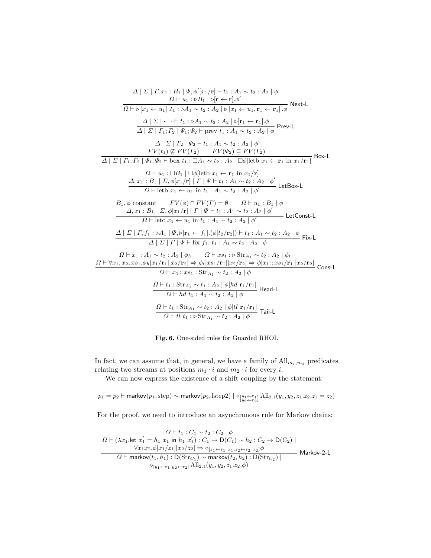$$
\Delta \mid \Sigma \mid T, x_1 : B_1 \mid \Psi, \phi'[x_1/r] \vdash t_1 : A_1 \sim t_2 : A_2 \mid \phi
$$
\n
$$
\Omega \vdash b[x \leftarrow r], \phi'
$$
\n
$$
\Omega \vdash b[x \leftarrow r], \phi'
$$
\n
$$
\Omega \vdash b[x \leftarrow r], \phi'
$$
\nNext-L\n
$$
\Delta \mid \Sigma \mid \cdot | \cdot t_1 : \triangleright A_1 \sim t_2 : A_2 \mid \triangleright [x_1 \leftarrow u_1, r_1 \leftarrow r_1], \phi
$$
\nNext-L\n
$$
\Delta \mid \Sigma \mid r_1 : \triangleright A_1 \sim t_2 : A_2 \mid \triangleright [r_1 \leftarrow r_1], \phi
$$
\n
$$
\Delta \mid \Sigma \mid r_1; \Gamma_2 \mid \Psi_1; \Psi_2 \vdash \text{prev } t_1 : A_1 \sim t_2 : A_2 \mid \phi
$$
\n
$$
\Delta \mid \Sigma \mid T_1; \Gamma_2 \mid \Psi_1; \Psi_2 \vdash b x_1 : \Box A_1 \sim t_2 : A_2 \mid \Box \phi
$$
\n
$$
\Delta \mid \Sigma \mid T_1; \Gamma_2 \mid \Psi_1; \Psi_2 \vdash b x_1 : \Box A_1 \sim t_2 : A_2 \mid \Box \phi
$$
\n
$$
\Omega \vdash u_1 : \Box B_1 \mid \Box \phi
$$
\n
$$
\text{let } x_1 \leftarrow r_1 \text{ in } x_1/r_1
$$
\n
$$
\Delta x_1 : B_1 \mid \Sigma, \phi[x_1/r] \mid \Gamma \mid \Psi \vdash t_1 : A_1 \sim t_2 : A_2 \mid \phi'
$$
\n
$$
B_1, \phi \text{ constant} \qquad FV(\phi) \cap FV(\Gamma) = \emptyset \qquad \Omega \vdash u_1 : B_1 \mid \phi
$$
\n
$$
\Delta x_1 : B_1 \mid \Sigma, \phi[x_1/r] \mid \Gamma \mid \Psi \vdash t_1 : A_1 \sim t_2 : A_2 \mid \phi'
$$
\n
$$
\text{let } x_1 \leftarrow u_1 \text{ in } t_1 : A_1 \sim t_2 : A_2 \mid \phi'
$$
\n
$$
\text{let } x_1 \leftarrow u
$$

<span id="page-22-0"></span>Fig. 6. One-sided rules for Guarded RHOL

In fact, we can assume that, in general, we have a family of  $\text{All}_{m_1,m_2}$  predicates relating two streams at positions  $m_1 \cdot i$  and  $m_2 \cdot i$  for every  $i.$ 

We can now express the existence of a shift coupling by the statement:

 $p_1=p_2\vdash$  markov $(p_1,\text{step})\sim$  markov $(p_2,\text{step2})\mid \diamond_{[\frac{y_1}{y_2\leftarrow \mathbf{r}_2]} } \text{All}_{2,1}(y_1,y_2,z_1.z_2.z_1=z_2)$ 

For the proof, we need to introduce an asynchronous rule for Markov chains:

$$
\Omega \vdash t_1 : C_1 \sim t_2 : C_2 \mid \phi
$$
\n
$$
\Omega \vdash (\lambda x_1 . \text{let } x_1' = h_1 x_1 \text{ in } h_1 x_1') : C_1 \to \mathsf{D}(C_1) \sim h_2 : C_2 \to \mathsf{D}(C_2) \mid
$$
\n
$$
\forall x_1 x_2 . \phi[x_1/z_1][x_2/z_2] \Rightarrow \diamond_{[z_1 \leftarrow \mathbf{r}_1 x_1, z_2 \leftarrow \mathbf{r}_2 x_2]} \phi
$$
\n
$$
\Omega \vdash \text{markov}(t_1, h_1) : \mathsf{D}(\text{Str}_{C_1}) \sim \text{markov}(t_2, h_2) : \mathsf{D}(\text{Str}_{C_2}) \mid
$$
\n
$$
\diamond_{[y_1 \leftarrow \mathbf{r}_1, y_2 \leftarrow \mathbf{r}_2]} \text{All}_{2,1}(y_1, y_2, z_1. z_2. \phi)
$$
\nMarkov-2-1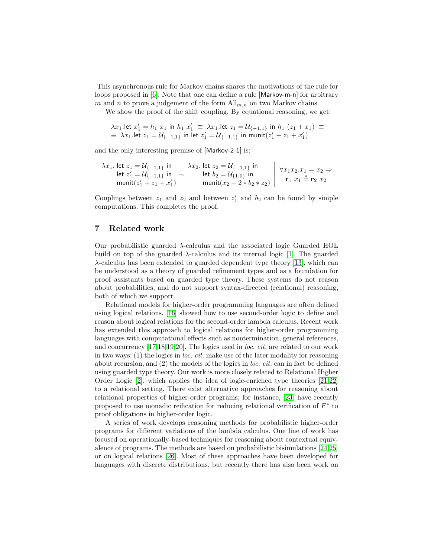This asynchronous rule for Markov chains shares the motivations of the rule for loops proposed in [\[6\]](#page-25-4). Note that one can define a rule [Markov-m-n] for arbitrary m and n to prove a judgement of the form  $\text{All}_{m,n}$  on two Markov chains.

We show the proof of the shift coupling. By equational reasoning, we get:

$$
\begin{array}{l}\lambda x_1.\mathsf{let}\ x_1' = h_1\ x_1\ \mathsf{in}\ h_1\ x_1' \equiv \lambda x_1.\mathsf{let}\ z_1 = \mathcal{U}_{\{-1,1\}}\ \mathsf{in}\ h_1\ (z_1 + x_1) \equiv \\ \equiv \ \lambda x_1.\mathsf{let}\ z_1 = \mathcal{U}_{\{-1,1\}}\ \mathsf{in}\ \mathsf{let}\ z_1' = \mathcal{U}_{\{-1,1\}}\ \mathsf{in}\ \mathsf{munit}(z_1' + z_1 + x_1')\end{array}
$$

and the only interesting premise of [Markov-2-1] is:

$$
\lambda x_1. \text{ let } z_1 = \mathcal{U}_{\{-1,1\}} \text{ in } \lambda x_2. \text{ let } z_2 = \mathcal{U}_{\{-1,1\}} \text{ in } \lambda x_3. \text{ let } z_4 = \mathcal{U}_{\{1,0\}} \text{ in } \lambda x_4. \text{ Let } b_2 = \mathcal{U}_{\{1,0\}} \text{ in } \lambda x_1 x_2. x_1 = x_2 \Rightarrow
$$
\n
$$
\text{mult}(z_1' + z_1 + x_1') \qquad \text{mult}(x_2 + 2 * b_2 * z_2) \qquad \text{tr}_1 x_1 \stackrel{\simeq}{=} \text{tr}_2 x_2
$$

Couplings between  $z_1$  and  $z_2$  and between  $z'_1$  and  $b_2$  can be found by simple computations. This completes the proof.

### 7 Related work

Our probabilistic guarded  $\lambda$ -calculus and the associated logic Guarded HOL build on top of the guarded  $\lambda$ -calculus and its internal logic [\[1\]](#page-24-0). The guarded λ-calculus has been extended to guarded dependent type theory [\[13\]](#page-25-11), which can be understood as a theory of guarded refinement types and as a foundation for proof assistants based on guarded type theory. These systems do not reason about probabilities, and do not support syntax-directed (relational) reasoning, both of which we support.

Relational models for higher-order programming languages are often defined using logical relations. [\[16\]](#page-25-14) showed how to use second-order logic to define and reason about logical relations for the second-order lambda calculus. Recent work has extended this approach to logical relations for higher-order programming languages with computational effects such as nontermination, general references, and concurrency [\[17](#page-25-15)[,18,](#page-25-16)[19,](#page-25-17)[20\]](#page-25-18). The logics used in loc. cit. are related to our work in two ways: (1) the logics in loc. cit. make use of the later modality for reasoning about recursion, and (2) the models of the logics in loc. cit. can in fact be defined using guarded type theory. Our work is more closely related to Relational Higher Order Logic [\[2\]](#page-25-0), which applies the idea of logic-enriched type theories [\[21,](#page-25-19)[22\]](#page-25-20) to a relational setting. There exist alternative approaches for reasoning about relational properties of higher-order programs; for instance, [\[23\]](#page-26-0) have recently proposed to use monadic reification for reducing relational verification of  $F^*$  to proof obligations in higher-order logic.

A series of work develops reasoning methods for probabilistic higher-order programs for different variations of the lambda calculus. One line of work has focused on operationally-based techniques for reasoning about contextual equivalence of programs. The methods are based on probabilistic bisimulations [24,25] or on logical relations [26]. Most of these approaches have been developed for languages with discrete distributions, but recently there has also been work on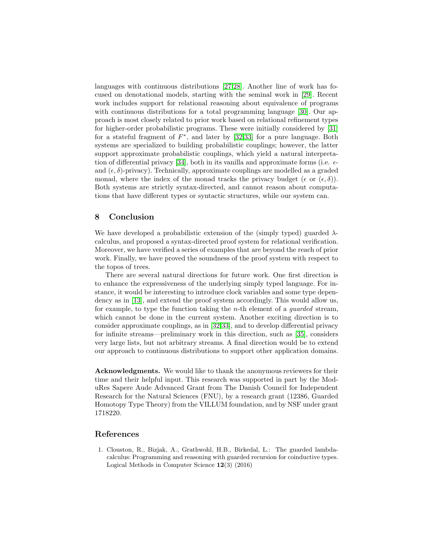languages with continuous distributions [27,28]. Another line of work has focused on denotational models, starting with the seminal work in [\[29\]](#page-26-1). Recent work includes support for relational reasoning about equivalence of programs with continuous distributions for a total programming language [30]. Our approach is most closely related to prior work based on relational refinement types for higher-order probabilistic programs. These were initially considered by [\[31\]](#page-26-2) for a stateful fragment of  $F^*$ , and later by [\[32,](#page-26-3)[33\]](#page-26-4) for a pure language. Both systems are specialized to building probabilistic couplings; however, the latter support approximate probabilistic couplings, which yield a natural interpreta-tion of differential privacy [\[34\]](#page-26-5), both in its vanilla and approximate forms (i.e.  $\epsilon$ and  $(\epsilon, \delta)$ -privacy). Technically, approximate couplings are modelled as a graded monad, where the index of the monad tracks the privacy budget ( $\epsilon$  or  $(\epsilon, \delta)$ ). Both systems are strictly syntax-directed, and cannot reason about computations that have different types or syntactic structures, while our system can.

### 8 Conclusion

We have developed a probabilistic extension of the (simply typed) guarded  $\lambda$ calculus, and proposed a syntax-directed proof system for relational verification. Moreover, we have verified a series of examples that are beyond the reach of prior work. Finally, we have proved the soundness of the proof system with respect to the topos of trees.

There are several natural directions for future work. One first direction is to enhance the expressiveness of the underlying simply typed language. For instance, it would be interesting to introduce clock variables and some type dependency as in [\[13\]](#page-25-11), and extend the proof system accordingly. This would allow us, for example, to type the function taking the *n*-th element of a *quarded* stream, which cannot be done in the current system. Another exciting direction is to consider approximate couplings, as in [\[32](#page-26-3)[,33\]](#page-26-4), and to develop differential privacy for infinite streams—preliminary work in this direction, such as [\[35\]](#page-26-6), considers very large lists, but not arbitrary streams. A final direction would be to extend our approach to continuous distributions to support other application domains.

Acknowledgments. We would like to thank the anonymous reviewers for their time and their helpful input. This research was supported in part by the ModuRes Sapere Aude Advanced Grant from The Danish Council for Independent Research for the Natural Sciences (FNU), by a research grant (12386, Guarded Homotopy Type Theory) from the VILLUM foundation, and by NSF under grant 1718220.

### <span id="page-24-0"></span>References

1. Clouston, R., Bizjak, A., Grathwohl, H.B., Birkedal, L.: The guarded lambdacalculus: Programming and reasoning with guarded recursion for coinductive types. Logical Methods in Computer Science 12(3) (2016)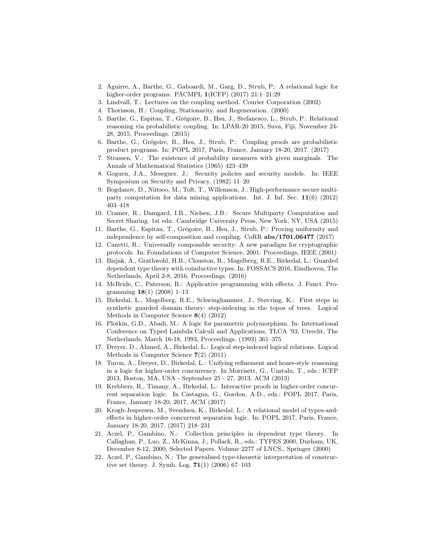- <span id="page-25-1"></span><span id="page-25-0"></span>2. Aguirre, A., Barthe, G., Gaboardi, M., Garg, D., Strub, P.: A relational logic for higher-order programs. PACMPL 1(ICFP) (2017) 21:1-21:29
- <span id="page-25-2"></span>3. Lindvall, T.: Lectures on the coupling method. Courier Corporation (2002)
- <span id="page-25-3"></span>4. Thorisson, H.: Coupling, Stationarity, and Regeneration. (2000)
- 5. Barthe, G., Espitau, T., Grégoire, B., Hsu, J., Stefanesco, L., Strub, P.: Relational reasoning via probabilistic coupling. In: LPAR-20 2015, Suva, Fiji, November 24- 28, 2015, Proceedings. (2015)
- <span id="page-25-5"></span><span id="page-25-4"></span>6. Barthe, G., Grégoire, B., Hsu, J., Strub, P.: Coupling proofs are probabilistic product programs. In: POPL 2017, Paris, France, January 18-20, 2017. (2017)
- 7. Strassen, V.: The existence of probability measures with given marginals. The Annals of Mathematical Statistics (1965) 423–439
- <span id="page-25-6"></span>8. Goguen, J.A., Meseguer, J.: Security policies and security models. In: IEEE Symposium on Security and Privacy. (1982) 11–20
- <span id="page-25-7"></span>9. Bogdanov, D., Niitsoo, M., Toft, T., Willemson, J.: High-performance secure multiparty computation for data mining applications. Int. J. Inf. Sec. 11(6) (2012) 403–418
- <span id="page-25-8"></span>10. Cramer, R., Damgard, I.B., Nielsen, J.B.: Secure Multiparty Computation and Secret Sharing. 1st edn. Cambridge University Press, New York, NY, USA (2015)
- <span id="page-25-9"></span>11. Barthe, G., Espitau, T., Grégoire, B., Hsu, J., Strub, P.: Proving uniformity and independence by self-composition and coupling. CoRR abs/1701.06477 (2017)
- <span id="page-25-10"></span>12. Canetti, R.: Universally composable security: A new paradigm for cryptographic protocols. In: Foundations of Computer Science, 2001. Proceedings, IEEE (2001)
- <span id="page-25-11"></span>13. Bizjak, A., Grathwohl, H.B., Clouston, R., Møgelberg, R.E., Birkedal, L.: Guarded dependent type theory with coinductive types. In: FOSSACS 2016, Eindhoven, The Netherlands, April 2-8, 2016, Proceedings. (2016)
- <span id="page-25-12"></span>14. McBride, C., Paterson, R.: Applicative programming with effects. J. Funct. Programming 18(1) (2008) 1–13
- <span id="page-25-13"></span>15. Birkedal, L., Møgelberg, R.E., Schwinghammer, J., Støvring, K.: First steps in synthetic guarded domain theory: step-indexing in the topos of trees. Logical Methods in Computer Science 8(4) (2012)
- <span id="page-25-14"></span>16. Plotkin, G.D., Abadi, M.: A logic for parametric polymorphism. In: International Conference on Typed Lambda Calculi and Applications, TLCA '93, Utrecht, The Netherlands, March 16-18, 1993, Proceedings. (1993) 361–375
- <span id="page-25-15"></span>17. Dreyer, D., Ahmed, A., Birkedal, L.: Logical step-indexed logical relations. Logical Methods in Computer Science 7(2) (2011)
- <span id="page-25-16"></span>18. Turon, A., Dreyer, D., Birkedal, L.: Unifying refinement and hoare-style reasoning in a logic for higher-order concurrency. In Morrisett, G., Uustalu, T., eds.: ICFP 2013, Boston, MA, USA - September 25 - 27, 2013, ACM (2013)
- <span id="page-25-17"></span>19. Krebbers, R., Timany, A., Birkedal, L.: Interactive proofs in higher-order concurrent separation logic. In Castagna, G., Gordon, A.D., eds.: POPL 2017, Paris, France, January 18-20, 2017, ACM (2017)
- <span id="page-25-18"></span>20. Krogh-Jespersen, M., Svendsen, K., Birkedal, L.: A relational model of types-andeffects in higher-order concurrent separation logic. In: POPL 2017, Paris, France, January 18-20, 2017. (2017) 218–231
- <span id="page-25-19"></span>21. Aczel, P., Gambino, N.: Collection principles in dependent type theory. In Callaghan, P., Luo, Z., McKinna, J., Pollack, R., eds.: TYPES 2000, Durham, UK, December 8-12, 2000, Selected Papers. Volume 2277 of LNCS., Springer (2000)
- <span id="page-25-20"></span>22. Aczel, P., Gambino, N.: The generalised type-theoretic interpretation of constructive set theory. J. Symb. Log.  $71(1)$  (2006) 67-103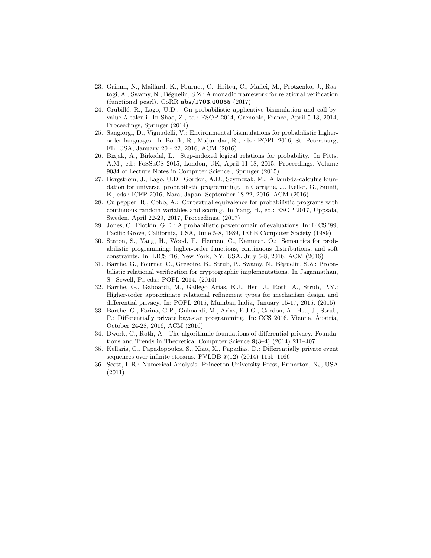- <span id="page-26-0"></span>23. Grimm, N., Maillard, K., Fournet, C., Hritcu, C., Maffei, M., Protzenko, J., Rastogi, A., Swamy, N., Béguelin, S.Z.: A monadic framework for relational verification (functional pearl). CoRR abs/1703.00055 (2017)
- 24. Crubillé, R., Lago, U.D.: On probabilistic applicative bisimulation and call-byvalue λ-calculi. In Shao, Z., ed.: ESOP 2014, Grenoble, France, April 5-13, 2014, Proceedings, Springer (2014)
- 25. Sangiorgi, D., Vignudelli, V.: Environmental bisimulations for probabilistic higherorder languages. In Bod´ık, R., Majumdar, R., eds.: POPL 2016, St. Petersburg, FL, USA, January 20 - 22, 2016, ACM (2016)
- 26. Bizjak, A., Birkedal, L.: Step-indexed logical relations for probability. In Pitts, A.M., ed.: FoSSaCS 2015, London, UK, April 11-18, 2015. Proceedings. Volume 9034 of Lecture Notes in Computer Science., Springer (2015)
- 27. Borgström, J., Lago, U.D., Gordon, A.D., Szymczak, M.: A lambda-calculus foundation for universal probabilistic programming. In Garrigue, J., Keller, G., Sumii, E., eds.: ICFP 2016, Nara, Japan, September 18-22, 2016, ACM (2016)
- 28. Culpepper, R., Cobb, A.: Contextual equivalence for probabilistic programs with continuous random variables and scoring. In Yang, H., ed.: ESOP 2017, Uppsala, Sweden, April 22-29, 2017, Proceedings. (2017)
- <span id="page-26-1"></span>29. Jones, C., Plotkin, G.D.: A probabilistic powerdomain of evaluations. In: LICS '89, Pacific Grove, California, USA, June 5-8, 1989, IEEE Computer Society (1989)
- 30. Staton, S., Yang, H., Wood, F., Heunen, C., Kammar, O.: Semantics for probabilistic programming: higher-order functions, continuous distributions, and soft constraints. In: LICS '16, New York, NY, USA, July 5-8, 2016, ACM (2016)
- <span id="page-26-2"></span>31. Barthe, G., Fournet, C., Grégoire, B., Strub, P., Swamy, N., Béguelin, S.Z.: Probabilistic relational verification for cryptographic implementations. In Jagannathan, S., Sewell, P., eds.: POPL 2014. (2014)
- <span id="page-26-3"></span>32. Barthe, G., Gaboardi, M., Gallego Arias, E.J., Hsu, J., Roth, A., Strub, P.Y.: Higher-order approximate relational refinement types for mechanism design and differential privacy. In: POPL 2015, Mumbai, India, January 15-17, 2015. (2015)
- <span id="page-26-4"></span>33. Barthe, G., Farina, G.P., Gaboardi, M., Arias, E.J.G., Gordon, A., Hsu, J., Strub, P.: Differentially private bayesian programming. In: CCS 2016, Vienna, Austria, October 24-28, 2016, ACM (2016)
- <span id="page-26-5"></span>34. Dwork, C., Roth, A.: The algorithmic foundations of differential privacy. Foundations and Trends in Theoretical Computer Science 9(3–4) (2014) 211–407
- <span id="page-26-6"></span>35. Kellaris, G., Papadopoulos, S., Xiao, X., Papadias, D.: Differentially private event sequences over infinite streams. PVLDB  $7(12)$   $(2014)$  1155–1166
- <span id="page-26-7"></span>36. Scott, L.R.: Numerical Analysis. Princeton University Press, Princeton, NJ, USA (2011)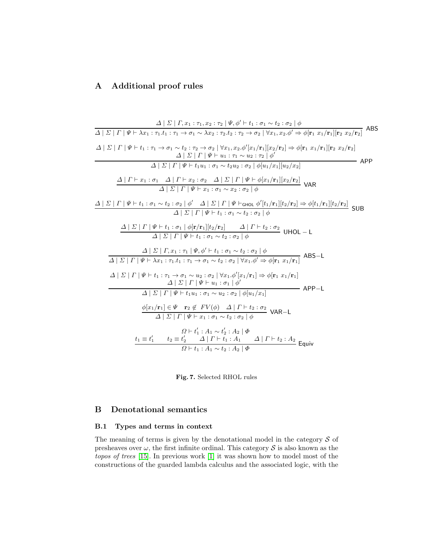## A Additional proof rules

$$
\frac{\Delta | \Sigma | \Gamma, x_1 : \tau_1, x_2 : \tau_2 | \Psi, \phi' \vdash t_1 : \sigma_1 \sim t_2 : \sigma_2 | \phi}{\Delta | \Sigma | \Gamma | \Psi \vdash \lambda x_1 : \tau_1, t_1 : \tau_1 \rightarrow \sigma_1 \sim \lambda x_2 : \tau_2, t_2 : \tau_2 \rightarrow \sigma_2 | \forall x_1, x_2, \phi' \Rightarrow \phi[\mathbf{r}_1 x_1/\mathbf{r}_1][\mathbf{r}_2 x_2/\mathbf{r}_2]} \mathsf{ABS}
$$
\n
$$
\Delta | \Sigma | \Gamma | \Psi \vdash t_1 : \tau_1 \rightarrow \sigma_1 \sim t_2 : \tau_2 \rightarrow \sigma_2 | \forall x_1, x_2, \phi'[x_1/\mathbf{r}_1][x_2/\mathbf{r}_2] \Rightarrow \phi[\mathbf{r}_1 x_1/\mathbf{r}_1][\mathbf{r}_2 x_2/\mathbf{r}_2]}{\Delta | \Sigma | \Gamma | \Psi \vdash u_1 : \tau_1 \sim u_2 : \tau_2 | \phi'}
$$
\n
$$
\Delta | \Sigma | \Gamma | \Psi \vdash t_1 u_1 : \sigma_1 \sim t_2 u_2 : \sigma_2 | \phi[u_1/x_1][u_2/x_2]} \mathsf{QR}
$$
\n
$$
\Delta | \Sigma | \Gamma | \Psi \vdash t_1 u_1 : \sigma_1 \sim t_2 u_2 : \sigma_2 | \phi
$$
\n
$$
\Delta | \Sigma | \Gamma | \Psi \vdash t_1 : \sigma_1 \sim x_2 : \sigma_2 | \phi
$$
\n
$$
\Delta | \Sigma | \Gamma | \Psi \vdash t_1 : \sigma_1 \sim t_2 : \sigma_2 | \phi
$$
\n
$$
\Delta | \Sigma | \Gamma | \Psi \vdash t_1 : \sigma_1 \sim t_2 : \sigma_2 | \phi
$$
\n
$$
\Delta | \Sigma | \Gamma | \Psi \vdash t_1 : \sigma_1 \sim t_2 : \sigma_2 | \phi
$$
\n
$$
\Delta | \Sigma | \Gamma | \Psi \vdash t_1 : \sigma_1 \sim t_2 : \sigma_2 | \phi
$$
\n
$$
\Delta | \Sigma | \Gamma | \Psi \vdash t_1 : \sigma_1 \sim t_2 : \sigma_2 | \phi
$$
\n
$$
\Delta | \Sigma | \Gamma | \Psi \vdash t_1 :
$$

<span id="page-27-0"></span>Fig. 7. Selected RHOL rules

### B Denotational semantics

### B.1 Types and terms in context

The meaning of terms is given by the denotational model in the category  $S$  of presheaves over  $\omega$ , the first infinite ordinal. This category  $S$  is also known as the topos of trees [\[15\]](#page-25-13). In previous work [\[1\]](#page-24-0) it was shown how to model most of the constructions of the guarded lambda calculus and the associated logic, with the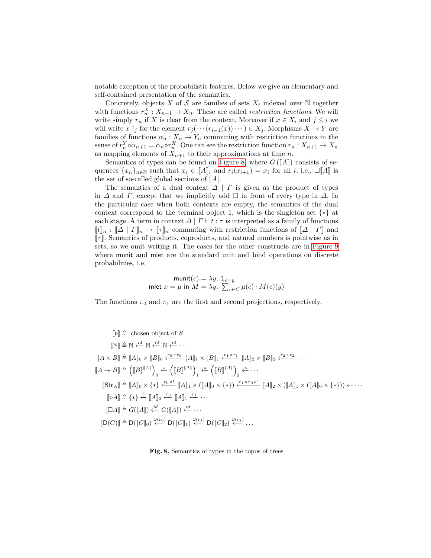notable exception of the probabilistic features. Below we give an elementary and self-contained presentation of the semantics.

Concretely, objects X of S are families of sets  $X_i$  indexed over N together with functions  $r_n^X : X_{n+1} \to X_n$ . These are called *restriction functions*. We will write simply  $r_n$  if X is clear from the context. Moreover if  $x \in X_i$  and  $j \leq i$  we will write x  $\restriction_j$  for the element  $r_j(\cdots(r_{i-1}(x))\cdots) \in X_j$ . Morphisms  $X \to Y$  are families of functions  $\alpha_n : X_n \to Y_n$  commuting with restriction functions in the sense of  $r_n^Y \circ \alpha_{n+1} = \alpha_n \circ r_n^X$ . One can see the restriction function  $r_n : X_{n+1} \to X_n$ as mapping elements of  $X_{n+1}$  to their approximations at time n.

Semantics of types can be found on [Figure 8,](#page-28-0) where  $G([A])$  consists of sequences  $\{x_n\}_{n\in\mathbb{N}}$  such that  $x_i \in [A]_i$  and  $r_i(x_{i+1}) = x_i$  for all i, i.e.,  $\Box A$  is the set of so-called global sections of  $\llbracket A \rrbracket$ .

The semantics of a dual context  $\Delta \mid \Gamma$  is given as the product of types in  $\Delta$  and  $\Gamma$ , except that we implicitly add  $\Box$  in front of every type in  $\Delta$ . In the particular case when both contexts are empty, the semantics of the dual context correspond to the terminal object 1, which is the singleton set {∗} at each stage. A term in context  $\Delta | \Gamma \vdash t : \tau$  is interpreted as a family of functions  $\llbracket t \rrbracket_n : \llbracket \Delta \mid \Gamma \rrbracket_n \to \llbracket \tau \rrbracket_n$  commuting with restriction functions of  $\llbracket \Delta \mid \Gamma \rrbracket$  and  $\llbracket \tau \rrbracket$ . Semantics of products, coproducts, and natural numbers is pointwise as in sets, so we omit writing it. The cases for the other constructs are in [Figure 9](#page-29-0) where munit and mlet are the standard unit and bind operations on discrete probabilities, i.e.

$$
\begin{array}{c} \textnormal{munit}(c) = \lambda y. \ 1_{c=y} \\ \textnormal{mlet } x = \mu \textnormal{ in } M = \lambda y. \ \sum_{c \in C} \mu(c) \cdot M(c)(y) \end{array}
$$

The functions  $\pi_0$  and  $\pi_1$  are the first and second projections, respectively.

$$
\begin{aligned}\n\llbracket b \rrbracket &\triangleq \text{ chosen object of } \mathcal{S} \\
\llbracket \mathbb{N} \rrbracket &\triangleq \mathbb{N} \stackrel{i d}{\longleftarrow} \mathbb{N} \stackrel{i d}{\longleftarrow} \mathbb{N} \stackrel{i d}{\longleftarrow} \cdots \\
\llbracket A \times B \rrbracket &\triangleq \llbracket A \rrbracket_0 \times \llbracket B \rrbracket_0 \stackrel{r_0 \times r_0}{\longleftarrow} \llbracket A \rrbracket_1 \times \llbracket B \rrbracket_1 \stackrel{r_1 \times r_1}{\longleftarrow} \llbracket A \rrbracket_2 \times \llbracket B \rrbracket_2 \stackrel{r_2 \times r_2}{\longleftarrow} \cdots \\
\llbracket A \to B \rrbracket &\triangleq \left( \llbracket B \rrbracket^{\llbracket A \rrbracket} \right)_0 \stackrel{\pi}{\longleftarrow} \left( \llbracket B \rrbracket^{\llbracket A \rrbracket} \right)_1 \stackrel{\pi}{\longleftarrow} \left( \llbracket B \rrbracket^{\llbracket A \rrbracket} \right)_2 \stackrel{\pi}{\longleftarrow} \cdots \\
\llbracket \mathbb{N} \mathbb{N} \rrbracket &\triangleq \llbracket A \rrbracket_0 \times \{ * \} \stackrel{r_0 \times 1}{\longleftarrow} \llbracket A \rrbracket_1 \times (\llbracket A \rrbracket_0 \times \{ * \} \right) \stackrel{r_1 \times r_0 \times 1}{\longleftarrow} \llbracket A \rrbracket_2 \times (\llbracket A \rrbracket_1 \times (\llbracket A \rrbracket_0 \times \{ * \} \right)) \leftarrow \cdots \\
\llbracket \mathbb{D} A \rrbracket &\triangleq \{ * \} \stackrel{i d}{\longleftarrow} \llbracket A \rrbracket_1 \stackrel{i d}{\longleftarrow} \cdots \\
\llbracket \mathsf{D}(C) \rrbracket &\triangleq \mathsf{D}(\llbracket C \rrbracket_0) \stackrel{\mathsf{D}(r_0)}{\longleftarrow} \mathsf{D}(\llbracket C \rrbracket_1) \stackrel{\mathsf{D}(r_1)}{\longleftarrow} \mathsf{D}(\llbracket C \rrbracket_2) \stackrel{\mathsf{D}(r_2)}{\longleftarrow} \cdots\n\end{aligned}
$$

<span id="page-28-0"></span>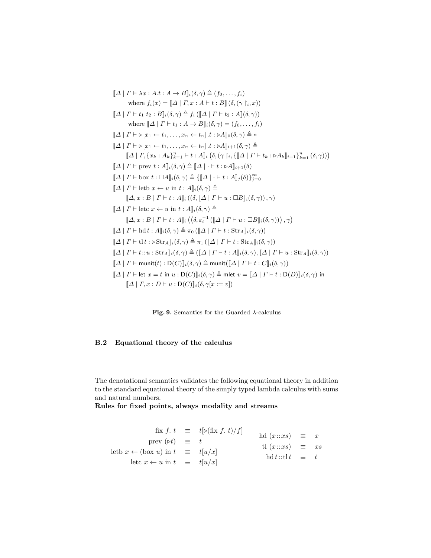$$
\llbracket \Delta \mid \Gamma \vdash \lambda x : A.t : A \rightarrow B \rrbracket_i(\delta, \gamma) \triangleq (f_0, \ldots, f_i)
$$
\nwhere  $f_i(x) = \llbracket \Delta \mid \Gamma, x : A \vdash t : B \rrbracket(\delta, (\gamma \restriction_i, x))$   
\n
$$
\llbracket \Delta \mid \Gamma \vdash t_1 t_2 : B \rrbracket_i(\delta, \gamma) \triangleq f_i(\llbracket \Delta \mid \Gamma \vdash t_2 : A \rrbracket(\delta, \gamma))
$$
\nwhere  $\llbracket \Delta \mid \Gamma \vdash t_1 : A \rightarrow B \rrbracket_i(\delta, \gamma) = (f_0, \ldots, f_i)$   
\n
$$
\llbracket \Delta \mid \Gamma \vdash \triangleright [x_1 \leftarrow t_1, \ldots, x_n \leftarrow t_n], t : \triangleright A \rrbracket_0(\delta, \gamma) \triangleq *
$$
  
\n
$$
\llbracket \Delta \mid \Gamma \vdash \triangleright [x_1 \leftarrow t_1, \ldots, x_n \leftarrow t_n], t : \Delta \rrbracket_{i+1}(\delta, \gamma) \triangleq
$$
  
\n
$$
\llbracket \Delta \mid \Gamma \vdash \text{prev } t : A \rrbracket_i(\delta, \gamma) \triangleq \llbracket \Delta \mid \Gamma \vdash t : \Delta \rrbracket_i(\delta, (\gamma \restriction_i, {\llbracket \Delta \mid \Gamma \vdash t : \Delta t_n \rrbracket_{i+1})^n) \rrbracket_1(\delta, \gamma))
$$
  
\n
$$
\llbracket \Delta \mid \Gamma \vdash \text{box } t : \Box A \rrbracket_i(\delta, \gamma) \triangleq {\llbracket \Delta \mid \cdot \vdash t : A \rrbracket_i(\delta) \rrbracket_{i+1}^{\infty})^{\infty}}
$$
  
\n
$$
\llbracket \Delta, x : B \mid \Gamma \vdash t : A \rrbracket_i(\delta, \gamma) \triangleq
$$
  
\n
$$
\llbracket \Delta, x : B \mid \Gamma \vdash t : A \rrbracket_i(\delta, \gamma) \triangleq
$$
  
\n
$$
\llbracket \Delta, x : B \mid \Gamma \vdash t : A \rrbracket_i(\delta, \gamma) \triangleq
$$
  
\n
$$
\llbracket \Delta, x : B \mid \Gamma \vdash t : A \rrbracket_i(\delta, \gamma) \triangleq
$$

<span id="page-29-0"></span>

### B.2 Equational theory of the calculus

The denotational semantics validates the following equational theory in addition to the standard equational theory of the simply typed lambda calculus with sums and natural numbers.

Rules for fixed points, always modality and streams

$$
\text{first } f. \ t \quad \equiv \quad t[\triangleright(\text{fix } f. \ t)/f] \qquad \text{hd } (x::xs) \quad \equiv \quad x
$$
\n
$$
\text{letb } x \leftarrow (\text{box } u) \text{ in } t \quad \equiv \quad t[u/x] \qquad \qquad \text{td } (x::xs) \quad \equiv \quad xs
$$
\n
$$
\text{letc } x \leftarrow u \text{ in } t \quad \equiv \quad t[u/x] \qquad \qquad \text{hd } t::t1t \quad \equiv \quad t
$$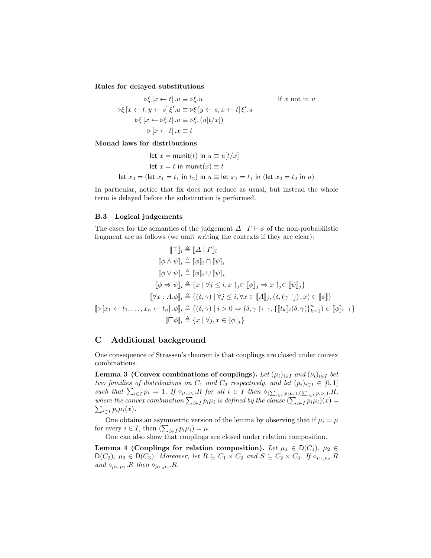Rules for delayed substitutions

$$
\triangleright \xi [x \leftarrow t] . u \equiv \triangleright \xi . u \qquad \text{if } x \text{ not in } u
$$
  

$$
\triangleright \xi [x \leftarrow t, y \leftarrow s] \xi'. u \equiv \triangleright \xi [y \leftarrow s, x \leftarrow t] \xi'. u
$$
  

$$
\triangleright \xi [x \leftarrow \triangleright \xi. t] . u \equiv \triangleright \xi. (u[t/x])
$$
  

$$
\triangleright [x \leftarrow t] . x \equiv t
$$

Monad laws for distributions

$$
\begin{aligned}\n\text{let } x &= \text{munit}(t) \text{ in } u \equiv u[t/x] \\
\text{let } x &= t \text{ in } \text{munit}(x) \equiv t \\
\text{let } x_2 &= (\text{let } x_1 = t_1 \text{ in } t_2) \text{ in } u \equiv \text{let } x_1 = t_1 \text{ in } (\text{let } x_2 = t_2 \text{ in } u)\n\end{aligned}
$$

In particular, notice that fix does not reduce as usual, but instead the whole term is delayed before the substitution is performed.

#### B.3 Logical judgements

The cases for the semantics of the judgement  $\Delta | \Gamma \vdash \phi$  of the non-probabilistic fragment are as follows (we omit writing the contexts if they are clear):

$$
\llbracket \top \rrbracket_i \triangleq \llbracket \Delta \mid \Gamma \rrbracket_i
$$
\n
$$
\llbracket \phi \wedge \psi \rrbracket_i \triangleq \llbracket \phi \rrbracket_i \cap \llbracket \psi \rrbracket_i
$$
\n
$$
\llbracket \phi \vee \psi \rrbracket_i \triangleq \llbracket \phi \rrbracket_i \cup \llbracket \psi \rrbracket_i
$$
\n
$$
\llbracket \phi \Rightarrow \psi \rrbracket_i \triangleq \llbracket x \mid \forall j \leq i, x \upharpoonright_j \in \llbracket \phi \rrbracket_j \Rightarrow x \upharpoonright_j \in \llbracket \psi \rrbracket_j \}
$$
\n
$$
\llbracket \forall x : A. \phi \rrbracket_i \triangleq \{ (\delta, \gamma) \mid \forall j \leq i, \forall x \in \llbracket A \rrbracket_j, (\delta, (\gamma \upharpoonright_j), x) \in \llbracket \phi \rrbracket \}
$$
\n
$$
\llbracket \triangleright \llbracket x_1 \leftarrow t_1, \dots, x_n \leftarrow t_n \rrbracket . \phi \rrbracket_i \triangleq \{ (\delta, \gamma) \mid i > 0 \Rightarrow (\delta, \gamma \upharpoonright_{i-1}, \{\llbracket t_k \rrbracket_i (\delta, \gamma) \}_{k=1}^n) \in \llbracket \phi \rrbracket_{i-1} \}
$$
\n
$$
\llbracket \Box \phi \rrbracket_i \triangleq \{ x \mid \forall j, x \in \llbracket \phi \rrbracket_j \}
$$

### C Additional background

<span id="page-30-0"></span>One consequence of Strassen's theorem is that couplings are closed under convex combinations.

Lemma 3 (Convex combinations of couplings). Let  $(\mu_i)_{i\in I}$  and  $(\nu_i)_{i\in I}$  bet two families of distributions on  $C_1$  and  $C_2$  respectively, and let  $(p_i)_{i \in I} \in [0,1]$ such that  $\sum_{i\in I} p_i = 1$ . If  $\diamond_{\mu_i,\nu_i}$ . R for all  $i \in I$  then  $\diamond_{(\sum_{i\in I} p_i\mu_i),(\sum_{i\in I} p_i\nu_i)}$ . R, where the convex combination  $\sum_{i\in I} p_i\mu_i$  is defined by the clause  $(\sum_{i\in I} p_i\mu_i)(x) =$  $\sum_{i\in I} p_i \mu_i(x)$ .

One obtains an asymmetric version of the lemma by observing that if  $\mu_i = \mu$ for every  $i \in I$ , then  $\left(\sum_{i \in I} p_i \mu_i\right) = \mu$ .

One can also show that couplings are closed under relation composition.

Lemma 4 (Couplings for relation composition). Let  $\mu_1 \in D(C_1)$ ,  $\mu_2 \in$  $D(C_2)$ ,  $\mu_3 \in D(C_3)$ . Moreover, let  $R \subseteq C_1 \times C_2$  and  $S \subseteq C_2 \times C_3$ . If  $\diamond_{\mu_1,\mu_2}$ . R and  $\diamond_{\mu_2,\mu_3}$ . R then  $\diamond_{\mu_1,\mu_3}$ . R.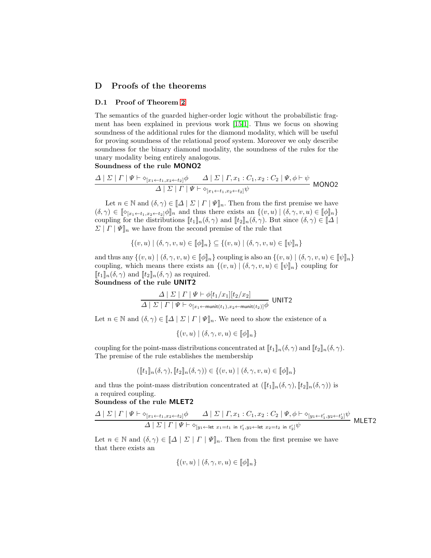### D Proofs of the theorems

#### D.1 Proof of Theorem [2](#page-18-1)

The semantics of the guarded higher-order logic without the probabilistic fragment has been explained in previous work [\[15](#page-25-13)[,1\]](#page-24-0). Thus we focus on showing soundness of the additional rules for the diamond modality, which will be useful for proving soundness of the relational proof system. Moreover we only describe soundness for the binary diamond modality, the soundness of the rules for the unary modality being entirely analogous.

### Soundness of the rule MONO2

$$
\frac{\Delta |\Sigma| \Gamma |\Psi \vdash \diamond_{[x_1 \leftarrow t_1, x_2 \leftarrow t_2]} \phi \quad \Delta |\Sigma| \Gamma, x_1 : C_1, x_2 : C_2 |\Psi, \phi \vdash \psi}{\Delta |\Sigma| \Gamma |\Psi \vdash \diamond_{[x_1 \leftarrow t_1, x_2 \leftarrow t_2]} \psi} \text{ MONO2}
$$

Let  $n \in \mathbb{N}$  and  $(\delta, \gamma) \in [\![\Delta\!mid \Sigma \mid \Gamma \mid \Psi ]\!]_n$ . Then from the first premise we have  $(\delta, \gamma) \in [\![\diamond_{[x_1 \leftarrow t_1, x_2 \leftarrow t_2]}] \phi]\!]_n$  and thus there exists an  $\{(v, u) \mid (\delta, \gamma, v, u) \in [\![\phi]\!]_n\}$ coupling for the distributions  $[\![t_1]\!]_n(\delta, \gamma)$  and  $[\![t_2]\!]_n(\delta, \gamma)$ . But since  $(\delta, \gamma) \in [\![\Delta\!$  $\sum | \Gamma | \Psi |$ <sub>n</sub> we have from the second premise of the rule that

$$
\{(v, u) \mid (\delta, \gamma, v, u) \in [\![\phi]\!]_n\} \subseteq \{(v, u) \mid (\delta, \gamma, v, u) \in [\![\psi]\!]_n\}
$$

and thus any  $\{(v, u) | (\delta, \gamma, v, u) \in [\![\phi]\!]_n\}$  coupling is also an  $\{(v, u) | (\delta, \gamma, v, u) \in [\![\psi]\!]_n\}$ coupling, which means there exists an  $\{(v, u) | (\delta, \gamma, v, u) \in [\psi]_n\}$  coupling for  $[\![t_1]\!]_n(\delta, \gamma)$  and  $[\![t_2]\!]_n(\delta, \gamma)$  as required. Soundness of the rule UNIT2

 $\Delta$  |  $\Gamma$  |  $\Gamma$  |  $\nu$ [t][t][t](x]

$$
\frac{\Delta |\Sigma| \Gamma |\Psi \vdash \phi[t_1/x_1][t_2/x_2]}{\Delta |\Sigma| \Gamma |\Psi \vdash \Diamond_{[x_1 \leftarrow \text{munit}(t_1), x_2 \leftarrow \text{munit}(t_2)]}\phi} \text{ UNIT2}
$$

Let  $n \in \mathbb{N}$  and  $(\delta, \gamma) \in [\![\Delta\!mid \Sigma \mid \Gamma \mid \Psi ]\!]_n$ . We need to show the existence of a

$$
\{(v, u) \mid (\delta, \gamma, v, u) \in [\![\phi]\!]_n\}
$$

coupling for the point-mass distributions concentrated at  $[\![t_1]\!]_n(\delta, \gamma)$  and  $[\![t_2]\!]_n(\delta, \gamma)$ . The premise of the rule establishes the membership

$$
(\llbracket t_1 \rrbracket_n(\delta, \gamma), \llbracket t_2 \rrbracket_n(\delta, \gamma)) \in \{(v, u) \mid (\delta, \gamma, v, u) \in \llbracket \phi \rrbracket_n\}
$$

and thus the point-mass distribution concentrated at  $([[t_1]]_n(\delta, \gamma), [[t_2]]_n(\delta, \gamma))$  is a required coupling.

#### Soundess of the rule MLET2

$$
\frac{\Delta |\Sigma| \Gamma |\Psi \vdash \diamond_{[x_1 \leftarrow t_1, x_2 \leftarrow t_2]} \phi}{\Delta |\Sigma| \Gamma |\Psi \vdash \diamond_{[y_1 \leftarrow \text{let } x_1 = t_1 \text{ in } t'_1, y_2 \leftarrow \text{let } x_2 = t_2 \text{ in } t'_2] } \psi}
$$
 **MLET2**

Let  $n \in \mathbb{N}$  and  $(\delta, \gamma) \in [\![\Delta \mid \Sigma \mid \Gamma \mid \Psi ]\!]_n$ . Then from the first premise we have that there exists an

$$
\{(v, u) \mid (\delta, \gamma, v, u) \in [\![\phi]\!]_n\}
$$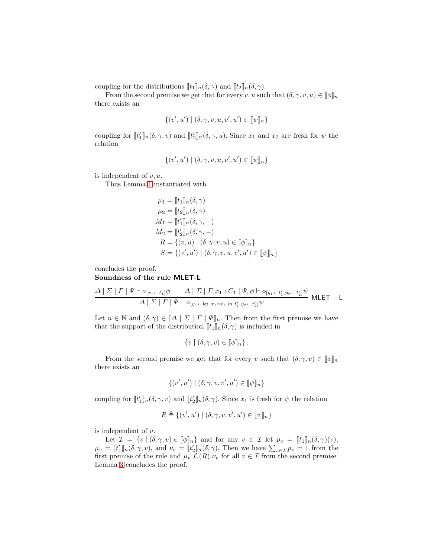coupling for the distributions  $[\![t_1]\!]_n(\delta, \gamma)$  and  $[\![t_2]\!]_n(\delta, \gamma)$ .

From the second premise we get that for every v, u such that  $(\delta, \gamma, v, u) \in [\![\phi]\!]_n$ there exists an

$$
\{(v',u')\mid (\delta,\gamma,v,u,v',u')\in [\![\psi]\!]_n\}
$$

coupling for  $[[t_1']_n(\delta, \gamma, v)$  and  $[[t_2']_n(\delta, \gamma, u)$ . Since  $x_1$  and  $x_2$  are fresh for  $\psi$  the relation

$$
\{(v',u') \mid (\delta,\gamma,v,u,v',u') \in [\![\psi]\!]_n\}
$$

is independent of  $v, u$ .

Thus Lemma [1](#page-5-0) instantiated with

$$
\mu_1 = [\![t_1]\!]_n(\delta, \gamma)
$$
  
\n
$$
\mu_2 = [\![t_2]\!]_n(\delta, \gamma)
$$
  
\n
$$
M_1 = [\![t'_1]\!]_n(\delta, \gamma, -)
$$
  
\n
$$
M_2 = [\![t'_2]\!]_n(\delta, \gamma, -)
$$
  
\n
$$
R = \{ (v, u) \mid (\delta, \gamma, v, u) \in [\![\phi]\!]_n \}
$$
  
\n
$$
S = \{ (v', u') \mid (\delta, \gamma, v, u, v', u') \in [\![\psi]\!]_n \}
$$

concludes the proof.

Soundness of the rule MLET-L

$$
\frac{\Delta |\Sigma| \Gamma |\Psi \vdash \diamond_{[x_1 \leftarrow t_1]} \phi \qquad \Delta |\Sigma| \Gamma, x_1 :C_1 |\Psi, \phi \vdash \diamond_{[y_1 \leftarrow t_1', y_2 \leftarrow t_2']} \psi}{\Delta |\Sigma| \Gamma |\Psi \vdash \diamond_{[y_1 \leftarrow \text{let } x_1 = t_1 \text{ in } t_1', y_2 \leftarrow t_2']} \psi} \text{ MLET}-\text{L}
$$

Let  $n \in \mathbb{N}$  and  $(\delta, \gamma) \in [\![\Delta \mid \Sigma \mid \Gamma \mid \Psi ]\!]_n$ . Then from the first premise we have that the support of the distribution  $[\![t_1]\!]_n(\delta, \gamma)$  is included in

$$
\{v \mid (\delta, \gamma, v) \in [\![\phi]\!]_n\}.
$$

From the second premise we get that for every v such that  $(\delta, \gamma, v) \in \llbracket \phi \rrbracket_n$ there exists an

$$
\{(v',u')\mid (\delta,\gamma,v,v',u')\in [\![\psi]\!]_n\}
$$

coupling for  $[\![t'_1]\!]_n(\delta, \gamma, v)$  and  $[\![t'_2]\!]_n(\delta, \gamma)$ . Since  $x_1$  is fresh for  $\psi$  the relation

$$
R \triangleq \{ (v', u') \mid (\delta, \gamma, v, v', u') \in [\![\psi]\!]_n \}
$$

is independent of v.

Let  $\mathcal{I} = \{v \mid (\delta, \gamma, v) \in [\![\phi]\!]_n\}$  and for any  $v \in \mathcal{I}$  let  $p_v = [\![t_1]\!]_n(\delta, \gamma)(v)$ ,  $\mu_v = [\![t'_1]\!]_n(\delta, \gamma, v)$ , and  $\nu_v = [\![t'_2]\!]_n(\delta, \gamma)$ . Then we have  $\sum_{v \in \mathcal{I}} p_v = 1$  from the first premise of the rule and  $\mu_v \mathcal{L}(R) \nu_v$  for all  $v \in \mathcal{I}$  from the second premise. Lemma [3](#page-30-0) concludes the proof.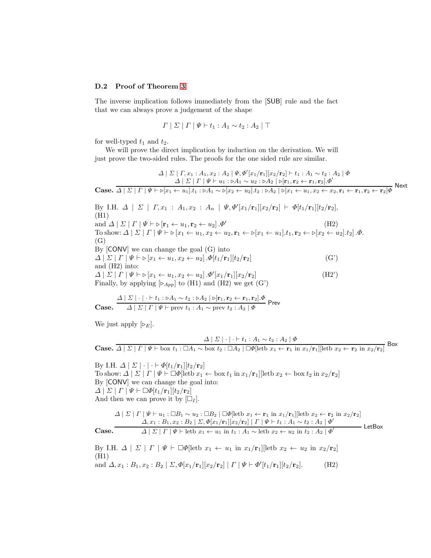### D.2 Proof of Theorem [3](#page-20-0)

The inverse implication follows immediately from the [SUB] rule and the fact that we can always prove a judgement of the shape

$$
\Gamma \mid \Sigma \mid \Gamma \mid \Psi \vdash t_1 : A_1 \sim t_2 : A_2 \mid \top
$$

for well-typed  $t_1$  and  $t_2$ .

We will prove the direct implication by induction on the derivation. We will just prove the two-sided rules. The proofs for the one sided rule are similar.

$$
\Delta \mid \Sigma \mid \Gamma, x_1 : A_1, x_2 : A_2 \mid \Psi, \Phi'[x_1/\mathbf{r}_1][x_2/\mathbf{r}_2] \vdash t_1 : A_1 \sim t_2 : A_2 \mid \Phi
$$
\n
$$
\Delta \mid \Sigma \mid \Gamma \mid \Psi \vdash u_1 : \triangleright A_1 \sim u_2 : \triangleright A_2 \mid \triangleright [\mathbf{r}_1, \mathbf{r}_2 \leftarrow \mathbf{r}_1, \mathbf{r}_2].\Phi'
$$
\nCase. 
$$
\overline{\Delta} \mid \Sigma \mid \Gamma \mid \Psi \vdash \triangleright [x_1 \leftarrow u_1].t_1 : \triangleright A_1 \sim \triangleright [x_2 \leftarrow u_2].t_2 : \triangleright A_2 \mid \triangleright [x_1 \leftarrow u_1, x_2 \leftarrow x_2, \mathbf{r}_1 \leftarrow \mathbf{r}_1, \mathbf{r}_2 \leftarrow \mathbf{r}_2] \Phi
$$
 Next\nBy I.H. 
$$
\Delta \mid \Sigma \mid \Gamma, x_1 : A_1, x_2 : A_n \mid \Psi, \Phi'[x_1/\mathbf{r}_1][x_2/\mathbf{r}_2] \vdash \Phi[t_1/\mathbf{r}_1][t_2/\mathbf{r}_2],
$$
\n(H1)\nand 
$$
\Delta \mid \Sigma \mid \Gamma \mid \Psi \vdash \triangleright [\mathbf{r}_1 \leftarrow u_1, \mathbf{r}_2 \leftarrow u_2].\Phi'
$$
\n(H2)

To show:  $\Delta | \Sigma | \Gamma | \Psi \vdash \vartriangleright [x_1 \leftarrow u_1, x_2 \leftarrow u_2, \mathbf{r}_1 \leftarrow \vartriangleright [x_1 \leftarrow u_1].t_1, \mathbf{r}_2 \leftarrow \vartriangleright [x_2 \leftarrow u_2].t_2].\Phi.$  $(G)$ By [CONV] we can change the goal (G) into  $\Delta \mid \Sigma \mid \Gamma \mid \Psi \vdash \triangleright [x_1 \leftarrow u_1, x_2 \leftarrow u_2] \cdot \Phi[t_1/\mathbf{r}_1][t_2/\mathbf{r}_2]$  (G') and (H2) into:  $\Delta \mid \Sigma \mid \Gamma \mid \Psi \vdash \triangleright [x_1 \leftarrow u_1, x_2 \leftarrow u_2] \cdot \Phi'[x_1/\mathbf{r}_1][x_2/\mathbf{r}_2]$  (H2') Finally, by applying  $[\triangleright_{App}]$  to (H1) and (H2) we get (G')

Case. 
$$
\frac{\Delta |\Sigma| \cdot |\cdot| \cdot \vdash t_1 : \triangleright A_1 \sim t_2 : \triangleright A_2 | \triangleright [\mathbf{r}_1, \mathbf{r}_2 \leftarrow \mathbf{r}_1, \mathbf{r}_2] \cdot \Phi}{\Delta |\Sigma| \Gamma |\Psi \vdash \text{prev } t_1 : A_1 \sim \text{prev } t_2 : A_2 | \Phi}
$$
prev

We just apply  $[\triangleright_E]$ .

Case. 
$$
\frac{\Delta |\Sigma| \cdot |\cdot + t_1 : A_1 \sim t_2 : A_2 | \Phi}{\Delta |\Sigma| \Gamma |\Psi \vdash \text{box } t_1 : \Box A_1 \sim \text{box } t_2 : \Box A_2 | \Box \Phi[\text{leb } x_1 \leftarrow \mathbf{r}_1 \text{ in } x_1/\mathbf{r}_1][\text{leb } x_2 \leftarrow \mathbf{r}_2 \text{ in } x_2/\mathbf{r}_2]} \text{Box}
$$

By I.H.  $\Delta | \Sigma | \cdot | \cdot | \Phi[t_1/\mathbf{r}_1][t_2/\mathbf{r}_2]$ To show:  $\Delta | \Sigma | \Gamma | \Psi \vdash \Box \Phi$ [letb  $x_1 \leftarrow$  box  $t_1$  in  $x_1/\mathbf{r}_1$ ][letb  $x_2 \leftarrow$  box  $t_2$  in  $x_2/\mathbf{r}_2$ ] By [CONV] we can change the goal into:  $\Delta \mid \Sigma \mid \Gamma \mid \Psi \vdash \Box \Phi[t_1/\mathbf{r}_1][t_2/\mathbf{r}_2]$ And then we can prove it by  $[\Box_I]$ .

$$
\Delta | \Sigma | \Gamma | \Psi \vdash u_1 : \Box B_1 \sim u_2 : \Box B_2 | \Box \Phi [\text{leb } x_1 \leftarrow \mathbf{r}_1 \text{ in } x_1/\mathbf{r}_1][\text{letb } x_2 \leftarrow \mathbf{r}_2 \text{ in } x_2/\mathbf{r}_2]
$$
\n
$$
\Delta, x_1 : B_1, x_2 : B_2 | \Sigma, \Phi[x_1/\mathbf{r}_1][x_2/\mathbf{r}_2] | \Gamma | \Psi \vdash t_1 : A_1 \sim t_2 : A_2 | \Phi'
$$
\nCase.  
\n
$$
\Delta | \Sigma | \Gamma | \Psi \vdash \text{letb } x_1 \leftarrow u_1 \text{ in } t_1 : A_1 \sim \text{letb } x_2 \leftarrow u_2 \text{ in } t_2 : A_2 | \Phi'
$$
\nLetBox\nBy I.H. 
$$
\Delta | \Sigma | \Gamma | \Psi \vdash \Box \Phi [\text{letb } x_1 \leftarrow u_1 \text{ in } x_1/\mathbf{r}_1][\text{letb } x_2 \leftarrow u_2 \text{ in } x_2/\mathbf{r}_2]
$$
\n(H1)\nand 
$$
\Delta, x_1 : B_1, x_2 : B_2 | \Sigma, \Phi[x_1/\mathbf{r}_1][x_2/\mathbf{r}_2] | \Gamma | \Psi \vdash \Phi'[t_1/\mathbf{r}_1][t_2/\mathbf{r}_2].
$$
\n(H2)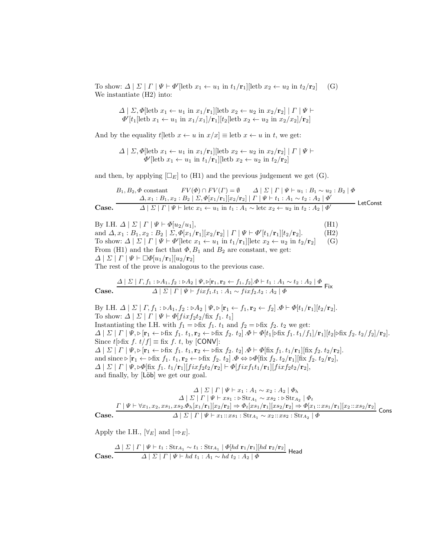To show:  $\Delta | \Sigma | \Gamma | \Psi \vdash \Phi'$  [let  $x_1 \leftarrow u_1$  in  $t_1/r_1$ ] [let  $x_2 \leftarrow u_2$  in  $t_2/r_2$ ] (G) We instantiate (H2) into:

$$
\Delta | \Sigma, \Phi[\text{leb } x_1 \leftarrow u_1 \text{ in } x_1/\mathbf{r}_1] [\text{leb } x_2 \leftarrow u_2 \text{ in } x_2/\mathbf{r}_2] | \Gamma | \Psi \vdash
$$
  

$$
\Phi'[t_1[\text{leb } x_1 \leftarrow u_1 \text{ in } x_1/x_1] / \mathbf{r}_1] [t_2[\text{leb } x_2 \leftarrow u_2 \text{ in } x_2/x_2] / \mathbf{r}_2]
$$

And by the equality  $t$ [letb  $x \leftarrow u$  in  $x/x$ ]  $\equiv$  letb  $x \leftarrow u$  in  $t$ , we get:

$$
\Delta | \Sigma, \Phi[\text{leb } x_1 \leftarrow u_1 \text{ in } x_1/\mathbf{r}_1] [\text{leb } x_2 \leftarrow u_2 \text{ in } x_2/\mathbf{r}_2] | \Gamma | \Psi \vdash
$$
  

$$
\Phi'[\text{leb } x_1 \leftarrow u_1 \text{ in } t_1/\mathbf{r}_1] [\text{leb } x_2 \leftarrow u_2 \text{ in } t_2/\mathbf{r}_2]
$$

and then, by applying  $[\Box_E]$  to (H1) and the previous judgement we get (G).

$$
B_1, B_2, \Phi \text{ constant } FV(\Phi) \cap FV(\Gamma) = \emptyset \qquad \Delta \mid \Sigma \mid \Gamma \mid \Psi \vdash u_1 : B_1 \sim u_2 : B_2 \mid \Phi
$$
  

$$
\Delta, x_1 : B_1, x_2 : B_2 \mid \Sigma, \Phi[x_1/\mathbf{r}_1][x_2/\mathbf{r}_2] \mid \Gamma \mid \Psi \vdash t_1 : A_1 \sim t_2 : A_2 \mid \Phi'
$$
  
Case.  

$$
\Delta \mid \Sigma \mid \Gamma \mid \Psi \vdash \text{letc } x_1 \leftarrow u_1 \text{ in } t_1 : A_1 \sim \text{letc } x_2 \leftarrow u_2 \text{ in } t_2 : A_2 \mid \Phi'
$$

By I.H.  $\Delta \mid \Sigma \mid \Gamma \mid \Psi \vdash \Phi[u_2/u_1],$ <br>and  $\Delta, x_1 : B_1, x_2 : B_2 \mid \Sigma, \Phi[x_1/\mathbf{r}_1][x_2/\mathbf{r}_2] \mid \Gamma \mid \Psi \vdash \Phi'[t_1/\mathbf{r}_1][t_2/\mathbf{r}_2].$  (H2) and  $\Delta, x_1 : B_1, x_2 : B_2 | \Sigma, \Phi[x_1/\mathbf{r}_1][x_2/\mathbf{r}_2] | \Gamma | \Psi \vdash \Phi'[t_1/\mathbf{r}_1][t_2/\mathbf{r}_2].$  (H2) To show:  $\Delta | \Sigma | \Gamma | \Psi \vdash \Phi'$  [letc  $x_1 \leftarrow u_1$  in  $t_1/r_1$  [letc  $x_2 \leftarrow u_2$  in  $t_2/r_2$ ] (G) From (H1) and the fact that  $\Phi$ ,  $B_1$  and  $B_2$  are constant, we get:  $\Delta \mid \Sigma \mid \Gamma \mid \Psi \vdash \Box \Phi[u_1/\mathbf{r}_1][u_2/\mathbf{r}_2]$ The rest of the prove is analogous to the previous case.

Case. 
$$
\frac{\Delta |\Sigma| \Gamma, f_1 : \Delta A_1, f_2 : \Delta A_2 |\Psi, \triangleright[\mathbf{r}_1, \mathbf{r}_2 \leftarrow f_1, f_2] \cdot \Phi + t_1 : A_1 \sim t_2 : A_2 |\Phi}{\Delta |\Sigma| \Gamma |\Psi + f \text{ if } t_1 : A_1 \sim f \text{ if } t_2 : t_2 : A_2 |\Phi} \text{ Fix}
$$

By I.H.  $\Delta \mid \Sigma \mid \Gamma, f_1 : \triangleright A_1, f_2 : \triangleright A_2 \mid \Psi, \triangleright [\mathbf{r}_1 \leftarrow f_1, \mathbf{r}_2 \leftarrow f_2] \cdot \Phi \vdash \Phi[t_1/\mathbf{r}_1][t_2/\mathbf{r}_2].$ To show:  $\Delta | \Sigma | \Gamma | \Psi \vdash \Phi[ fixf_2t_2/\text{fix } f_1 \ldots t_1 ]$ Instantiating the I.H. with  $f_1 = \triangleright$  fix  $f_1$ .  $t_1$  and  $f_2 = \triangleright$  fix  $f_2$ .  $t_2$  we get:  $\Delta \mid \Sigma \mid \Gamma \mid \Psi, \triangleright [\mathbf{r}_1 \leftarrow \triangleright \text{fix } f_1, t_1, \mathbf{r}_2 \leftarrow \triangleright \text{fix } f_2, t_2] \cdot \Phi \vdash \Phi[t_1 [\triangleright \text{fix } f_1, t_1/f_1] / \mathbf{r}_1][t_2 [\triangleright \text{fix } f_2, t_2/f_2] / \mathbf{r}_2].$ Since  $t[\triangleright$  fix  $f. t/f] \equiv$  fix  $f. t$ , by [CONV]:  $\Delta \mid \Sigma \mid \Gamma \mid \Psi, \triangleright [\mathbf{r}_1 \leftarrow \triangleright \text{fix } f_1, t_1, \mathbf{r}_2 \leftarrow \triangleright \text{fix } f_2, t_2 \mid \Phi \vdash \Phi[\text{fix } f_1, t_1/\mathbf{r}_1][\text{fix } f_2, t_2/\mathbf{r}_2].$ and since  $\triangleright$  [ $\mathbf{r}_1 \leftarrow \triangleright$  fix  $f_1, t_1, \mathbf{r}_2 \leftarrow \triangleright$  fix  $f_2, t_2$ ] .  $\Phi \Leftrightarrow \triangleright \Phi$ [fix  $f_2, t_2/\mathbf{r}_1$ ] [fix  $f_2, t_2/\mathbf{r}_2$ ],  $\Delta \mid \Sigma \mid \Gamma \mid \Psi, \triangleright \Phi$ [fix  $f_1$ . t<sub>1</sub>/r<sub>1</sub>][ $fixf_2t_2/r_2$ ] ⊢  $\Phi$ [ $fixf_1t_1/r_1$ ][ $fixf_2t_2/r_2$ ], and finally, by [Löb] we get our goal.

$$
\Delta \mid \Sigma \mid \Gamma \mid \Psi \vdash x_1 : A_1 \sim x_2 : A_2 \mid \Phi_h
$$

$$
\Delta \mid \Sigma \mid \Gamma \mid \Psi \vdash x s_1 : \triangleright \text{Str}_{A_1} \sim x s_2 : \triangleright \text{Str}_{A_2} \mid \Phi_t
$$

$$
\frac{\Gamma \mid \Psi \vdash \forall x_1, x_2, x s_1, x s_2. \Phi_h[x_1/\mathbf{r}_1][x_2/\mathbf{r}_2] \Rightarrow \Phi_t[x_3/\mathbf{r}_1][x s_2/\mathbf{r}_2] \Rightarrow \Phi[x_1::xs_1/\mathbf{r}_1][x_2::xs_2/\mathbf{r}_2]}{\Delta \mid \Sigma \mid \Gamma \mid \Psi \vdash x_1::xs_1 : \text{Str}_{A_1} \sim x_2::xs_2 : \text{Str}_{A_2} \mid \Phi}
$$
Cons

Apply the I.H.,  $[\forall_E]$  and  $[\Rightarrow_E]$ .

Case.  
\n
$$
\frac{\Delta |\Sigma| \Gamma |\Psi \vdash t_1 : \text{Str}_{A_1} \sim t_1 : \text{Str}_{A_1} |\Phi[hd \mathbf{r}_1/\mathbf{r}_1][hd \mathbf{r}_2/\mathbf{r}_2]}{\Delta |\Sigma| \Gamma |\Psi \vdash hd \ t_1 : A_1 \sim hd \ t_2 : A_2 |\Phi}
$$
Head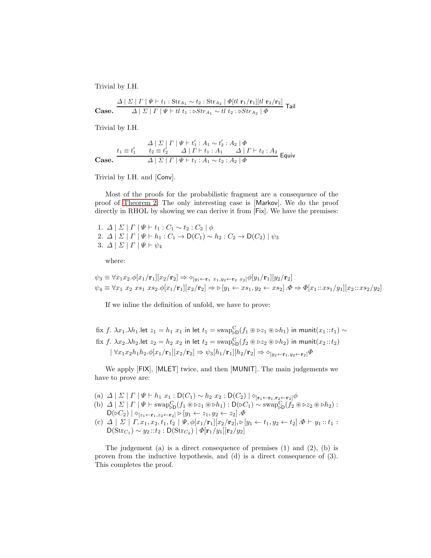Trivial by I.H.

Case. 
$$
\frac{\Delta |\Sigma| \Gamma |\Psi \vdash t_1: \text{Str}_{A_1} \sim t_2: \text{Str}_{A_2} |\Phi[t] \mathbf{r}_1/\mathbf{r}_1][t\mathbf{l} \mathbf{r}_2/\mathbf{r}_2]}{\Delta |\Sigma| \Gamma |\Psi \vdash t_1 t_1: \triangleright \text{Str}_{A_1} \sim t_1 t_2: \triangleright \text{Str}_{A_2} |\Phi}
$$
Tail

Trivial by I.H.

$$
\Delta | \Sigma | \Gamma | \Psi \vdash t_1' : A_1 \sim t_2' : A_2 | \Phi
$$
  
Case. 
$$
\frac{t_1 \equiv t_1' \qquad t_2 \equiv t_2' \qquad \Delta | \Gamma \vdash t_1 : A_1 \qquad \Delta | \Gamma \vdash t_2 : A_2}{\Delta | \Sigma | \Gamma | \Psi \vdash t_1 : A_1 \sim t_2 : A_2 | \Phi}
$$
Equiv

Trivial by I.H. and [Conv].

Most of the proofs for the probabilistic fragment are a consequence of the proof of [Theorem 2.](#page-18-1) The only interesting case is [Markov]. We do the proof directly in RHOL by showing we can derive it from [Fix]. We have the premises:

1.  $\Delta | \Sigma | \Gamma | \Psi \vdash t_1 : C_1 \sim t_2 : C_2 | \phi$ 2.  $\Delta |\Sigma| |\Gamma| \Psi \vdash h_1 : C_1 \to D(C_1) \sim h_2 : C_2 \to D(C_2) | \psi_3$ 3.  $\Delta \mid \Sigma \mid \Gamma \mid \Psi \vdash \psi_4$ 

where:

 $\psi_3 \equiv \forall x_1x_2.\phi[x_1/\mathbf{r}_1][x_2/\mathbf{r}_2] \Rightarrow \Diamond_{[y_1\leftarrow \mathbf{r}_1 \ x_1, y_2\leftarrow \mathbf{r}_2 \ x_2]}\phi[y_1/\mathbf{r}_1][y_2/\mathbf{r}_2]$  $\psi_4 \equiv \forall x_1 \; x_2 \; xs_1 \; xs_2.\phi[x_1/\mathbf{r}_1][x_2/\mathbf{r}_2] \Rightarrow \varphi[y_1 \leftarrow xs_1, y_2 \leftarrow xs_2] \cdot \Phi \Rightarrow \Phi[x_1::xs_1/y_1][x_2::xs_2/y_2]$ 

If we inline the definition of unfold, we have to prove:

fix f.  $\lambda x_1.\lambda h_1$ .let  $z_1 = h_1 x_1$  in let  $t_1 = \text{swap}_{\text{D}}^C(f_1 \circledast \triangleright z_1 \circledast \triangleright h_1)$  in munit $(x_1 :: t_1) \sim$ fix  $f$ .  $\lambda x_2 \cdot \lambda h_2$ .let  $z_2 = h_2$   $x_2$  in let  $t_2 = \text{swap}_{\text{bD}}^C(f_2 \circledast \triangleright z_2 \circledast \triangleright h_2)$  in munit $(x_2::t_2)$  $|\forall x_1x_2h_1h_2.\phi[x_1/\mathbf{r}_1][x_2/\mathbf{r}_2] \Rightarrow \psi_3[h_1/\mathbf{r}_1][h_2/\mathbf{r}_2] \Rightarrow \Diamond_{[y_2\leftarrow \mathbf{r}_1,y_2\leftarrow \mathbf{r}_2]}\Phi$ 

We apply [FIX], [MLET] twice, and then [MUNIT]. The main judgements we have to prove are:

- (a)  $\Delta | \Sigma | \Gamma | \Psi \vdash h_1 x_1 : D(C_1) \sim h_2 x_2 : D(C_2) | \diamond_{[\mathbf{r}_1 \leftarrow \mathbf{r}_1, \mathbf{r}_2 \leftarrow \mathbf{r}_2]} \phi$
- (b)  $\Delta | \Sigma | \Gamma | \Psi \vdash \text{swap}_{\text{D}}^C(f_1 \otimes \text{D}z_1 \otimes \text{D}h_1) : D(\text{D}C_1) \sim \text{swap}_{\text{D}}^C(f_2 \otimes \text{D}z_2 \otimes \text{D}h_2) :$  $\mathsf{D}(\triangleright C_2) \mid \diamond_{[z_1 \leftarrow \mathbf{r}_1, z_2 \leftarrow \mathbf{r}_2]} \triangleright [y_1 \leftarrow z_1, y_2 \leftarrow z_2] \cdot \Phi$
- (c)  $\Delta \mid \Sigma \mid \Gamma, x_1, x_2, t_1, t_2 \mid \Psi, \phi[x_1/\mathbf{r}_1][x_2/\mathbf{r}_2], \triangleright [y_1 \leftarrow t_1, y_2 \leftarrow t_2] \cdot \Phi \vdash y_1 :: t_1 :$  $D(\text{Str}_{C_1}) \sim y_2 :: t_2 : D(\text{Str}_{C_2}) \mid \Phi[\mathbf{r}_1/y_1][\mathbf{r}_2/y_2]$

The judgement (a) is a direct consequence of premises  $(1)$  and  $(2)$ ,  $(b)$  is proven from the inductive hypothesis, and (d) is a direct consequence of (3). This completes the proof.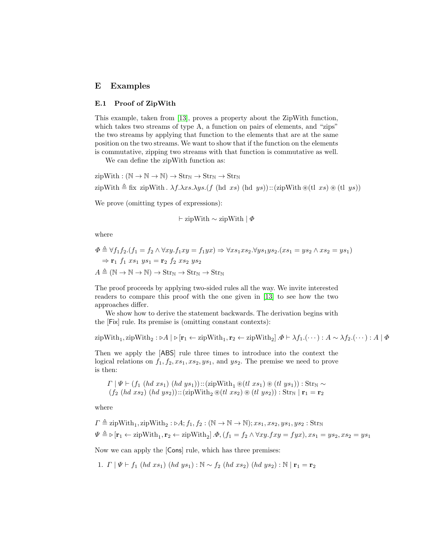### E Examples

#### E.1 Proof of ZipWith

This example, taken from [\[13\]](#page-25-11), proves a property about the ZipWith function, which takes two streams of type A, a function on pairs of elements, and "zips" the two streams by applying that function to the elements that are at the same position on the two streams. We want to show that if the function on the elements is commutative, zipping two streams with that function is commutative as well.

We can define the zipWith function as:

$$
zipWith: (\mathbb{N} \to \mathbb{N} \to \mathbb{N}) \to Str_{\mathbb{N}} \to Str_{\mathbb{N}} \to Str_{\mathbb{N}}
$$
  
zipWith  $\triangleq$  fix zipWith.  $\lambda f. \lambda xs. \lambda ys.(f (hd xs) (hd ys))::(zipWith \circledast (tl xs) \circledast (tl ys))$ 

We prove (omitting types of expressions):

$$
\vdash \mathrm{zipWith} \sim \mathrm{zipWith} \mid \varPhi
$$

where

$$
\Phi \triangleq \forall f_1 f_2.(f_1 = f_2 \land \forall xy. f_1 xy = f_1 yx) \Rightarrow \forall xs_1 xs_2. \forall ys_1 ys_2. (xs_1 = ys_2 \land xs_2 = ys_1)
$$
  
\n
$$
\Rightarrow \mathbf{r}_1 f_1 xs_1 ys_1 = \mathbf{r}_2 f_2 xs_2 ys_2
$$
  
\n
$$
A \triangleq (N \to N \to N) \to \text{Str}_{N} \to \text{Str}_{N} \to \text{Str}_{N}
$$

The proof proceeds by applying two-sided rules all the way. We invite interested readers to compare this proof with the one given in [\[13\]](#page-25-11) to see how the two approaches differ.

We show how to derive the statement backwards. The derivation begins with the [Fix] rule. Its premise is (omitting constant contexts):

zipWith<sub>1</sub>, zipWith<sub>2</sub>: ⊳A | ⊳ [ $\mathbf{r}_1 \leftarrow$  zipWith<sub>1</sub>,  $\mathbf{r}_2 \leftarrow$  zipWith<sub>2</sub>]. $\Phi \vdash \lambda f_1.(\cdots) : A \sim \lambda f_2.(\cdots) : A \mid \Phi$ 

Then we apply the [ABS] rule three times to introduce into the context the logical relations on  $f_1, f_2, xs_1, xs_2, ys_1, and ys_2. The premise we need to prove$ is then:

$$
\Gamma \mid \Psi \vdash (f_1 \; (hd \; xs_1) \; (hd \; ys_1)) :: (zipWith_1 \circledast (tl \; xs_1) \circledast (tl \; ys_1)) : Str_N \sim (f_2 \; (hd \; xs_2) \; (hd \; ys_2)) :: (zipWith_2 \circledast (tl \; xs_2) \circledast (tl \; ys_2)) : Str_N \mid \mathbf{r}_1 = \mathbf{r}_2
$$

where

$$
\Gamma \triangleq \text{zipWith}_1, \text{zipWith}_2: \triangleright A; f_1, f_2: (\mathbb{N} \to \mathbb{N} \to \mathbb{N}); xs_1, xs_2, ys_1, ys_2: Str\mathbb{N}
$$
  

$$
\Psi \triangleq \triangleright [\mathbf{r}_1 \leftarrow \text{zipWith}_1, \mathbf{r}_2 \leftarrow \text{zipWith}_2].\Phi, (f_1 = f_2 \land \forall xy \cdot fxy = fyx), xs_1 = ys_2, xs_2 = ys_1
$$

Now we can apply the [Cons] rule, which has three premises:

1. 
$$
\Gamma | \Psi \vdash f_1 \ (hd \ xs_1) \ (hd \ ys_1) : \mathbb{N} \sim f_2 \ (hd \ xs_2) \ (hd \ ys_2) : \mathbb{N} | \mathbf{r}_1 = \mathbf{r}_2
$$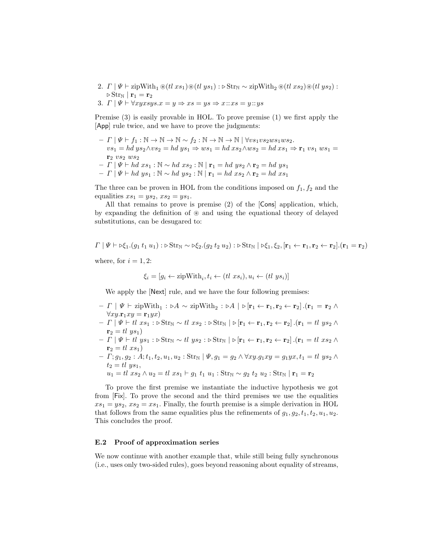- 2.  $\Gamma \mid \Psi \vdash \text{zipWith}_1 \circledast (tl \; xs_1) \circledast (tl \; ys_1) : \triangleright \text{Str}_{\mathbb{N}} \sim \text{zipWith}_2 \circledast (tl \; xs_2) \circledast (tl \; ys_2) :$  $\triangleright$  Str<sub>N</sub> |  $\mathbf{r}_1 = \mathbf{r}_2$
- 3.  $\Gamma \mid \Psi \vdash \forall xyxsys.x = y \Rightarrow xs = ys \Rightarrow x::xs = y::ys$

Premise (3) is easily provable in HOL. To prove premise (1) we first apply the [App] rule twice, and we have to prove the judgments:

- $-I \mid \Psi \vdash f_1 : \mathbb{N} \to \mathbb{N} \to \mathbb{N} \sim f_2 : \mathbb{N} \to \mathbb{N} \to \mathbb{N} \mid \forall vs_1vs_2ws_1ws_2.$  $vs_1 = hd$   $ys_2 \wedge vs_2 = hd$   $ys_1 \Rightarrow ws_1 = hd$   $xs_2 \wedge ws_2 = hd$   $xs_1 \Rightarrow r_1\ vs_1\ vs_1 =$  $r_2$   $vs_2$   $ws_2$  $-I \mid \Psi \vdash hd \; xs_1 : \mathbb{N} \sim hd \; xs_2 : \mathbb{N} \mid \mathbf{r}_1 = hd \; ys_2 \wedge \mathbf{r}_2 = hd \; ys_1$
- $Γ | Ψ ⊢ h d y s<sub>1</sub> : ℕ ~ h d y s<sub>2</sub> : ℕ | **r**<sub>1</sub> = h d x s<sub>2</sub> ∧ **r**<sub>2</sub> = h d x s<sub>1</sub>$

The three can be proven in HOL from the conditions imposed on  $f_1, f_2$  and the equalities  $xs_1 = ys_2, xs_2 = ys_1$ .

All that remains to prove is premise (2) of the [Cons] application, which, by expanding the definition of ⊛ and using the equational theory of delayed substitutions, can be desugared to:

$$
\Gamma | \Psi \vdash \phi \xi_1. (g_1 t_1 u_1) : \phi \text{Str}_{\mathbb{N}} \sim \phi \xi_2. (g_2 t_2 u_2) : \phi \text{Str}_{\mathbb{N}} | \phi \xi_1, \xi_2, [\mathbf{r}_1 \leftarrow \mathbf{r}_1, \mathbf{r}_2 \leftarrow \mathbf{r}_2]. (\mathbf{r}_1 = \mathbf{r}_2)
$$

where, for  $i = 1, 2$ :

$$
\xi_i = [g_i \leftarrow zipWith_i, t_i \leftarrow (tl \; xs_i), u_i \leftarrow (tl \; ys_i)]
$$

We apply the  $[Next]$  rule, and we have the four following premises:

- $\begin{split} -\left| \Gamma \right| \Psi \vdash \mathrm{zipWith}_{1} : \triangleright A \sim \mathrm{zipWith}_{2} : \triangleright A \mid \triangleright [\mathbf{r}_{1} \leftarrow \mathbf{r}_{1}, \mathbf{r}_{2} \leftarrow \mathbf{r}_{2}] \ . (\mathbf{r}_{1} = \mathbf{r}_{2} \wedge \mathbf{r}_{1}) \end{split}$  $\forall xy.\mathbf{r}_1xy = \mathbf{r}_1yx$
- $-I \mid \Psi \vdash t \mid x s_1 : \triangleright \text{Str}_{\mathbb{N}} \sim t \mid x s_2 : \triangleright \text{Str}_{\mathbb{N}} \mid \triangleright [\mathbf{r}_1 \leftarrow \mathbf{r}_1, \mathbf{r}_2 \leftarrow \mathbf{r}_2] \cdot (\mathbf{r}_1 = t \mid y s_2 \wedge \mathbf{r}_2)$  $\mathbf{r}_2 = tl \ y s_1)$
- $-$  Γ | Ψ ⊢ tl ys<sub>1</sub> : ⊳ Str<sub>N</sub> ∼ tl ys<sub>2</sub> : ⊳ Str<sub>N</sub> | ⊳  $[$ r<sub>1</sub> ← r<sub>1</sub>, r<sub>2</sub> ← r<sub>2</sub>].(r<sub>1</sub> = tl xs<sub>2</sub> ∧  $\mathbf{r}_2 = tl \; xs_1)$
- $-\Gamma$ ;  $g_1, g_2 : A; t_1, t_2, u_1, u_2 : Str_N | \Psi, g_1 = g_2 \wedge \forall xy. g_1 xy = g_1 yx, t_1 = tl \ ys_2 \wedge$  $t_2 = tl$   $ys_1$ ,
	- $u_1 = tl$   $xs_2 \wedge u_2 = tl$   $xs_1 \vdash q_1 t_1 u_1$  :  $Str_\mathbb{N} \sim q_2 t_2 u_2$  :  $Str_\mathbb{N} |$   $\mathbf{r}_1 = \mathbf{r}_2$

To prove the first premise we instantiate the inductive hypothesis we got from [Fix]. To prove the second and the third premises we use the equalities  $xs_1 = ys_2, xs_2 = xs_1$ . Finally, the fourth premise is a simple derivation in HOL that follows from the same equalities plus the refinements of  $q_1, q_2, t_1, t_2, u_1, u_2$ . This concludes the proof.

#### E.2 Proof of approximation series

We now continue with another example that, while still being fully synchronous (i.e., uses only two-sided rules), goes beyond reasoning about equality of streams,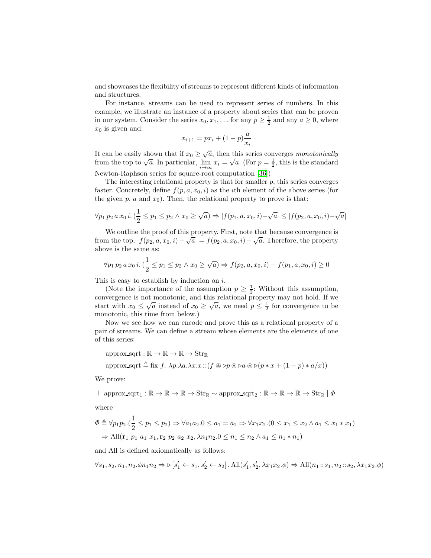and showcases the flexibility of streams to represent different kinds of information and structures.

For instance, streams can be used to represent series of numbers. In this example, we illustrate an instance of a property about series that can be proven in our system. Consider the series  $x_0, x_1, \ldots$  for any  $p \geq \frac{1}{2}$  and any  $a \geq 0$ , where  $x_0$  is given and:

$$
x_{i+1} = px_i + (1-p)\frac{a}{x_i}
$$

It can be easily shown that if  $x_0 \ge \sqrt{a}$ , then this series converges monotonically from the top to  $\sqrt{a}$ . In particular,  $\lim_{i\to\infty} x_i = \sqrt{a}$ . (For  $p = \frac{1}{2}$ , this is the standard Newton-Raphson series for square-root computation [\[36\]](#page-26-7))

The interesting relational property is that for smaller  $p$ , this series converges faster. Concretely, define  $f(p, a, x_0, i)$  as the *i*th element of the above series (for the given  $p$ ,  $a$  and  $x_0$ ). Then, the relational property to prove is that:

$$
\forall p_1 \ p_2 \ a \ x_0 \ i \ ( \frac{1}{2} \leq p_1 \leq p_2 \land x_0 \geq \sqrt{a}) \Rightarrow |f(p_1, a, x_0, i) - \sqrt{a}| \leq |f(p_2, a, x_0, i) - \sqrt{a}|
$$

We outline the proof of this property. First, note that because convergence is from the top,  $|f(p_2, a, x_0, i) - \sqrt{a}| = f(p_2, a, x_0, i) - \sqrt{a}$ . Therefore, the property above is the same as:

$$
\forall p_1 \, p_2 \, a \, x_0 \, i. \left( \frac{1}{2} \le p_1 \le p_2 \land x_0 \ge \sqrt{a} \right) \Rightarrow f(p_2, a, x_0, i) - f(p_1, a, x_0, i) \ge 0
$$

This is easy to establish by induction on i.

(Note the importance of the assumption  $p \geq \frac{1}{2}$ : Without this assumption, convergence is not monotonic, and this relational property may not hold. If we start with  $x_0 \leq \sqrt{a}$  instead of  $x_0 \geq \sqrt{a}$ , we need  $p \leq \frac{1}{2}$  for convergence to be monotonic, this time from below.)

Now we see how we can encode and prove this as a relational property of a pair of streams. We can define a stream whose elements are the elements of one of this series:

approx\_sqrt :  $\mathbb{R} \to \mathbb{R} \to \mathbb{R} \to \text{Str}_{\mathbb{R}}$ approx\_sqrt  $\triangleq$  fix f.  $\lambda p.\lambda a.\lambda x.x::(f \otimes \triangleright p \otimes \triangleright a \otimes \triangleright (p * x + (1 - p) * a/x))$ 

We prove:

$$
\vdash \mathit{approx\_sqrt_1} : \mathbb{R} \to \mathbb{R} \to \mathbb{R} \to \mathit{Str}_\mathbb{R} \sim \mathit{approx\_sqrt_2} : \mathbb{R} \to \mathbb{R} \to \mathbb{R} \to \mathit{Str}_\mathbb{R} \mid \varPhi
$$

where

$$
\Phi \triangleq \forall p_1 p_2 \ldotp (\frac{1}{2} \leq p_1 \leq p_2) \Rightarrow \forall a_1 a_2 \ldotp 0 \leq a_1 = a_2 \Rightarrow \forall x_1 x_2 \ldotp (0 \leq x_1 \leq x_2 \land a_1 \leq x_1 * x_1)
$$
  
\n
$$
\Rightarrow \text{All}(\mathbf{r}_1 \ p_1 \ a_1 \ x_1, \mathbf{r}_2 \ p_2 \ a_2 \ x_2, \lambda n_1 n_2 \ldotp 0 \leq n_1 \leq n_2 \land a_1 \leq n_1 * n_1)
$$

and All is defined axiomatically as follows:

$$
\forall s_1, s_2, n_1, n_2. \phi n_1 n_2 \Rightarrow \triangleright [s'_1 \leftarrow s_1, s'_2 \leftarrow s_2]. \text{ All}(s'_1, s'_2, \lambda x_1 x_2. \phi) \Rightarrow \text{All}(n_1 :: s_1, n_2 :: s_2, \lambda x_1 x_2. \phi)
$$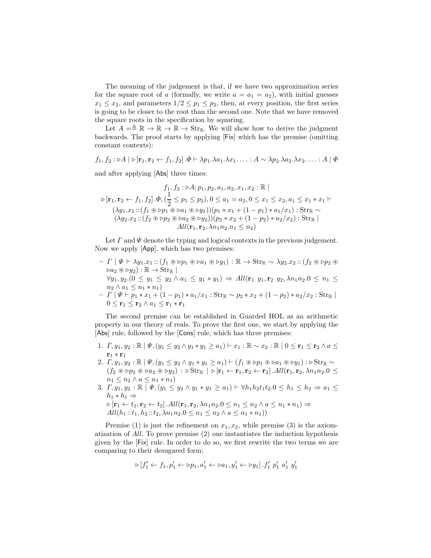The meaning of the judgement is that, if we have two approximation series for the square root of a (formally, we write  $a = a_1 = a_2$ ), with initial guesses  $x_1 \leq x_2$ , and parameters  $1/2 \leq p_1 \leq p_2$ , then, at every position, the first series is going to be closer to the root than the second one. Note that we have removed the square roots in the specification by squaring.

Let  $A = \triangleq \mathbb{R} \to \mathbb{R} \to \mathbb{R} \to \text{Str}_{\mathbb{R}}$ . We will show how to derive the judgment backwards. The proof starts by applying [Fix] which has the premise (omitting constant contexts):

 $f_1, f_2 : \triangleright A \mid \triangleright [\mathbf{r}_1, \mathbf{r}_2 \leftarrow f_1, f_2] \cdot \Phi \vdash \lambda p_1 \cdot \lambda a_1 \cdot \lambda x_1 \cdot \ldots \cdot A \sim \lambda p_2 \cdot \lambda a_2 \cdot \lambda x_2 \cdot \ldots \cdot A \mid \Phi$ 

and after applying [Abs] three times:

$$
f_1, f_2 : \triangleright A; p_1, p_2, a_1, a_2, x_1, x_2 : \mathbb{R} |
$$
  
\n
$$
\triangleright [\mathbf{r}_1, \mathbf{r}_2 \leftarrow f_1, f_2] \cdot \Phi, (\frac{1}{2} \leq p_1 \leq p_2), 0 \leq a_1 = a_2, 0 \leq x_1 \leq x_2, a_1 \leq x_1 * x_1 \vdash
$$
  
\n
$$
(\lambda y_1 \cdot x_1 :: (f_1 \otimes \triangleright p_1 \otimes \triangleright a_1 \otimes \triangleright y_1))(p_1 * x_1 + (1 - p_1) * a_1/x_1) : \text{Str}_{\mathbb{R}} \sim
$$
  
\n
$$
(\lambda y_2 \cdot x_2 :: (f_2 \otimes \triangleright p_2 \otimes \triangleright a_2 \otimes \triangleright y_2))(p_2 * x_2 + (1 - p_2) * a_2/x_2) : \text{Str}_{\mathbb{R}} |
$$
  
\n
$$
All(\mathbf{r}_1, \mathbf{r}_2, \lambda n_1 n_2 . n_1 \leq n_2)
$$

Let  $\Gamma$  and  $\Psi$  denote the typing and logical contexts in the previous judgement. Now we apply [App], which has two premises:

 $-I \mid \Psi \vdash \lambda y_1.x_1 :: (f_1 \otimes \rho_1 \otimes \rho_1 \otimes \rho_1) : \mathbb{R} \to \text{Str}_{\mathbb{R}} \sim \lambda y_2.x_2 :: (f_2 \otimes \rho_2 \otimes \rho_1)$  $\triangleright a_2 \circledast \triangleright y_2$ ) :  $\mathbb{R} \to \text{Str}_{\mathbb{R}}$  $\forall y_1, y_2.$   $(0 \le y_1 \le y_2 \land a_1 \le y_1 * y_1) \Rightarrow All(\mathbf{r}_1, y_1, \mathbf{r}_2, y_2, \lambda n_1 n_2. 0 \le n_1 \le n_2)$  $n_2 \wedge a_1 \leq n_1 * n_1$  $\Gamma | \Psi | \vdash p_1 * x_1 + (1 - p_1) * a_1/x_1 : \text{Str}_{\mathbb{R}} \sim p_2 * x_2 + (1 - p_2) * a_2/x_2 : \text{Str}_{\mathbb{R}} |$  $0 \leq \mathbf{r}_1 \leq \mathbf{r}_2 \wedge a_1 \leq \mathbf{r}_1 * \mathbf{r}_1$ 

The second premise can be established in Guarded HOL as an arithmetic property in our theory of reals. To prove the first one, we start by applying the [Abs] rule, followed by the [Cons] rule, which has three premises:

- 1.  $\Gamma, y_1, y_2 : \mathbb{R} \mid \Psi, (y_1 \leq y_2 \land y_1 * y_1 \geq a_1) \vdash x_1 : \mathbb{R} \sim x_2 : \mathbb{R} \mid 0 \leq r_1 \leq r_2 \land a \leq r_1$  $r_1 * r_1$
- 2.  $\Gamma, y_1, y_2 : \mathbb{R} \mid \Psi, (y_1 \leq y_2 \land y_1 * y_1 \geq a_1) \vdash (f_1 \otimes \mathcal{P}_1 \otimes \mathcal{P}_1 \otimes \mathcal{P}_1) : \mathcal{P} \text{Str}_\mathbb{R} \sim$  $(f_2 \otimes \neg p_2 \otimes \neg a_2 \otimes \neg y_2) : \negthinspace \triangleright \text{Str}_{\mathbb{R}} \mid \negthinspace \triangleright \left[ \mathbf{r}_1 \leftarrow \mathbf{r}_1, \mathbf{r}_2 \leftarrow \mathbf{r}_2 \right]$ . All $(\mathbf{r}_1, \mathbf{r}_2, \lambda n_1 n_2.0 \leq \lambda n_1 n_2.0 \leq \lambda n_1 n_2.0$  $n_1 \leq n_2 \wedge a \leq n_1 * n_1$
- 3.  $\Gamma, y_1, y_2 : \mathbb{R} \mid \Psi, (y_1 \leq y_2 \land y_1 * y_1 \geq a_1) \vdash \forall h_1 h_2 t_1 t_2.0 \leq h_1 \leq h_2 \Rightarrow a_1 \leq$  $h_1 * h_1 \Rightarrow$  $\triangleright$   $\left[\mathbf{r}_1 \leftarrow t_1, \mathbf{r}_2 \leftarrow t_2\right]$ .  $All(\mathbf{r}_1, \mathbf{r}_2, \lambda n_1 n_2.0 \leq n_1 \leq n_2 \land a \leq n_1 * n_1) \Rightarrow$ All $(h_1 :: t_1, h_2 :: t_2, \lambda n_1 n_2.0 \le n_1 \le n_2 \land a \le n_1 * n_1)$

Premise (1) is just the refinement on  $x_1, x_2$ , while premise (3) is the axiomatization of All. To prove premise (2) one instantiates the induction hypothesis given by the [Fix] rule. In order to do so, we first rewrite the two terms we are comparing to their desugared form:

$$
\triangleright [f'_1 \leftarrow f_1, p'_1 \leftarrow \triangleright p_1, a'_1 \leftarrow \triangleright a_1, y'_1 \leftarrow \triangleright y_1]. f'_1 p'_1 a'_1 y'_1
$$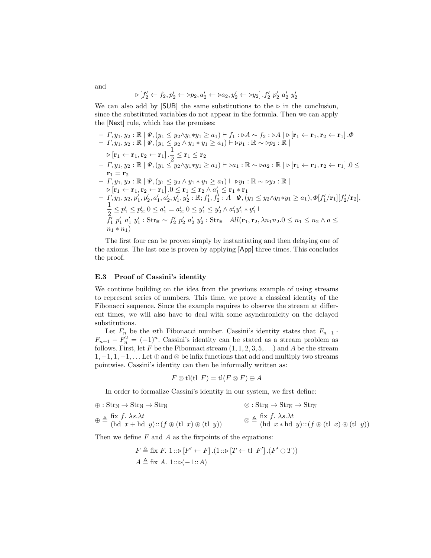$$
\triangleright [f'_2 \leftarrow f_2, p'_2 \leftarrow \triangleright p_2, a'_2 \leftarrow \triangleright a_2, y'_2 \leftarrow \triangleright y_2]. f'_2 p'_2 a'_2 y'_2
$$

We can also add by  $[SUB]$  the same substitutions to the  $\triangleright$  in the conclusion, since the substituted variables do not appear in the formula. Then we can apply the [Next] rule, which has the premises:

- 
$$
\Gamma
$$
,  $y_1, y_2 : \mathbb{R} | \Psi, (y_1 \le y_2 \land y_1 * y_1 \ge a_1) \vdash f_1 : \mathbb{A} \sim f_2 : \mathbb{A} | \mathbb{B} [r_1 \leftarrow r_1, r_2 \leftarrow r_1]. \Phi$   
\n-  $\Gamma$ ,  $y_1, y_2 : \mathbb{R} | \Psi, (y_1 \le y_2 \land y_1 * y_1 \ge a_1) \vdash \mathbb{B} p_1 : \mathbb{R} \sim \mathbb{B} p_2 : \mathbb{R} |$   
\n $\mathbb{B} [r_1 \leftarrow r_1, r_2 \leftarrow r_1]. \frac{1}{2} \le r_1 \le r_2$   
\n-  $\Gamma$ ,  $y_1, y_2 : \mathbb{R} | \Psi, (y_1 \le y_2 \land y_1 * y_1 \ge a_1) \vdash \mathbb{B} a_1 : \mathbb{R} \sim \mathbb{B} a_2 : \mathbb{R} | \mathbb{B} [r_1 \leftarrow r_1, r_2 \leftarrow r_1]. 0 \le r_1 = r_2$   
\n-  $\Gamma$ ,  $y_1, y_2 : \mathbb{R} | \Psi, (y_1 \le y_2 \land y_1 * y_1 \ge a_1) \vdash \mathbb{B} y_1 : \mathbb{R} \sim \mathbb{B} y_2 : \mathbb{R} |$   
\n $\mathbb{B} [r_1 \leftarrow r_1, r_2 \leftarrow r_1]. 0 \le r_1 \le r_2 \land a'_1 \le r_1 * r_1$   
\n-  $\Gamma$ ,  $y_1, y_2, p'_1, p'_2, a'_1, a'_2, y'_1, y'_2 : \mathbb{R}; f'_1, f'_2 : A | \Psi, (y_1 \le y_2 \land y_1 * y_1 \ge a_1), \Phi[f'_1/r_1][f'_2/r_2],$   
\n $\frac{1}{2} \le p'_1 \le p'_2, 0 \le a'_1 = a'_2, 0 \le y'_1 \le y'_2 \land a'_1 y'_1 * y'_1 \vdash$   
\n $f'_1 p'_1 a'_1 y'_1 : \text{Str}_{\mathbb{R}} \sim f'_2 p'_2 a'_2 y'_2 :$ 

The first four can be proven simply by instantiating and then delaying one of the axioms. The last one is proven by applying [App] three times. This concludes the proof.

#### E.3 Proof of Cassini's identity

We continue building on the idea from the previous example of using streams to represent series of numbers. This time, we prove a classical identity of the Fibonacci sequence. Since the example requires to observe the stream at different times, we will also have to deal with some asynchronicity on the delayed substitutions.

Let  $F_n$  be the *n*th Fibonacci number. Cassini's identity states that  $F_{n-1}$ .  $F_{n+1} - F_n^2 = (-1)^n$ . Cassini's identity can be stated as a stream problem as follows. First, let F be the Fibonnaci stream  $(1, 1, 2, 3, 5, \ldots)$  and A be the stream  $1, -1, 1, -1, \ldots$  Let  $\oplus$  and  $\otimes$  be infix functions that add and multiply two streams pointwise. Cassini's identity can then be informally written as:

$$
F \otimes \text{tl}(\text{tl } F) = \text{tl}(F \otimes F) \oplus A
$$

In order to formalize Cassini's identity in our system, we first define:

$$
\begin{array}{ll}\n\oplus: \mathop{\mathrm{Str}}\nolimits_{\mathbb{N}} \to \mathop{\mathrm{Str}}\nolimits_{\mathbb{N}} \to \mathop{\mathrm{Str}}\nolimits_{\mathbb{N}} & \otimes: \mathop{\mathrm{Str}}\nolimits_{\mathbb{N}} \to \mathop{\mathrm{Str}}\nolimits_{\mathbb{N}} \\
\oplus \triangleq \text{ fix } f. \ \lambda s. \lambda t & \qquad \qquad \otimes \triangleq \text{ fix } f. \ \lambda s. \lambda t \\
\oplus \triangleq (\text{hd } x + \text{hd } y) :: (f \circledast (\text{tl } x) \circledast (\text{tl } y)) & \qquad \qquad \otimes \triangleq (\text{hd } x * \text{hd } y) :: (f \circledast (\text{tl } x) \circledast (\text{tl } y))\n\end{array}
$$

Then we define  $F$  and  $A$  as the fixpoints of the equations:

$$
F \triangleq \text{fix } F. 1::\triangleright [F' \leftarrow F]. (1::\triangleright [T \leftarrow t1 \ F']. (F' \oplus T))
$$
  

$$
A \triangleq \text{fix } A. 1::\triangleright (-1::A)
$$

and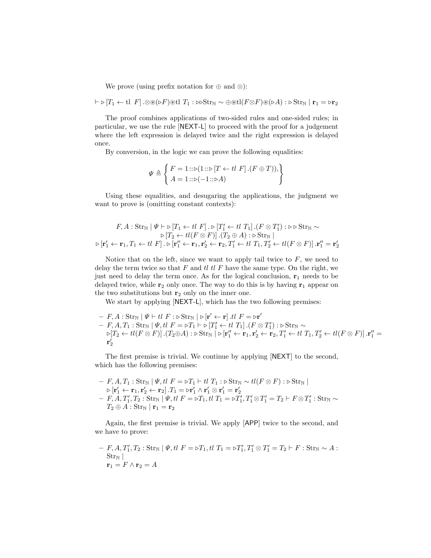We prove (using prefix notation for  $oplus$  and  $\otimes$ ):

 $\vdash \triangleright [T_1 \leftarrow \text{tl } F]$ .⊗⊛( $\triangleright F$ )⊛tl  $T_1 : \triangleright \triangleright \text{Str}_{\mathbb{N}} \sim \oplus \text{opl}(F \otimes F) \circledast (\triangleright A) : \triangleright \text{Str}_{\mathbb{N}} \mid r_1 = \triangleright r_2$ 

The proof combines applications of two-sided rules and one-sided rules; in particular, we use the rule [NEXT-L] to proceed with the proof for a judgement where the left expression is delayed twice and the right expression is delayed once.

By conversion, in the logic we can prove the following equalities:

$$
\Psi \triangleq \left\{ \begin{aligned} & F = 1::\triangleright(1::\triangleright\left[T \leftarrow tl \ F\right].\left(F \oplus T\right)), \\ & A = 1::\triangleright(-1::\triangleright A) \end{aligned} \right\}
$$

Using these equalities, and desugaring the applications, the judgment we want to prove is (omitting constant contexts):

$$
F, A: \text{Str}_{\mathbb{N}} \mid \Psi \vdash \vartriangleright [T_1 \leftarrow tl \ F] \cdot \vartriangleright [T'_1 \leftarrow tl \ T_1] \cdot (F \otimes T'_1) : \vartriangleright \vartriangleright \text{Str}_{\mathbb{N}} \sim
$$

$$
\vartriangleright [T_2 \leftarrow tl(F \otimes F)] \cdot (T_2 \oplus A) : \vartriangleright \text{Str}_{\mathbb{N}} \mid
$$

$$
\vartriangleright [\mathbf{r}'_1 \leftarrow \mathbf{r}_1, T_1 \leftarrow tl \ F] \cdot \vartriangleright [\mathbf{r}''_1 \leftarrow \mathbf{r}_1, \mathbf{r}'_2 \leftarrow \mathbf{r}_2, T'_1 \leftarrow tl \ T_1, T'_2 \leftarrow tl(F \otimes F)] \cdot \mathbf{r}''_1 = \mathbf{r}'_2
$$

Notice that on the left, since we want to apply tail twice to  $F$ , we need to delay the term twice so that  $F$  and  $tl$   $tl$   $F$  have the same type. On the right, we just need to delay the term once. As for the logical conclusion,  $r_1$  needs to be delayed twice, while  $r_2$  only once. The way to do this is by having  $r_1$  appear on the two substitutions but  $r_2$  only on the inner one.

We start by applying  $[NEXT-L]$ , which has the two following premises:

 $- F, A: \text{Str}_{\mathbb{N}} \mid \Psi \vdash tl \ F: \triangleright \text{Str}_{\mathbb{N}} \mid \triangleright [\mathbf{r}' \leftarrow \mathbf{r}] \ . tl \ F = \triangleright \mathbf{r}'$  $-F, A, T_1: \text{Str}_{\mathbb{N}} \mid \Psi, tl \ F = \varphi T_1 \vdash \varphi [T'_1 \leftarrow tl \ T_1] \ (F \otimes T'_1): \varphi \text{Str}_{\mathbb{N}} \sim$  $\triangleright[T_2 \leftarrow tl(F \otimes F)] \cdot (T_2 \oplus A) : \triangleright \text{Str}_{\mathbb{N}} \mid \triangleright [\mathbf{r}_1'' \leftarrow \mathbf{r}_1, \mathbf{r}_2' \leftarrow \mathbf{r}_2, T_1' \leftarrow tl \ T_1, T_2' \leftarrow tl(F \otimes F)] \cdot \mathbf{r}_1'' =$  ${\bf r}_2'$ 

The first premise is trivial. We continue by applying [NEXT] to the second, which has the following premises:

 $- F, A, T_1 : \text{Str}_{\mathbb{N}} \mid \Psi, tl \ F = \varphi T_1 \vdash tl \ T_1 : \varphi \text{Str}_{\mathbb{N}} \sim tl(F \otimes F) : \varphi \text{Str}_{\mathbb{N}}$  $\triangleright$   $[\mathbf{r}'_1 \leftarrow \mathbf{r}_1, \mathbf{r}'_2 \leftarrow \mathbf{r}_2]$ .  $T_1 = \triangleright \mathbf{r}'_1 \wedge \mathbf{r}'_1 \otimes \mathbf{r}'_1 = \mathbf{r}'_2$ <br>  $- F, A, T'_1, T_2 : \text{Str}_{\mathbb{N}} \mid \Psi, tl \ F = \triangleright T_1, tl \ T_1 = \triangleright T'_1, T'_1 \otimes T'_1 = T_2 \vdash F \otimes T'_1 : \text{Str}_{\mathbb{N}} \sim$  $T_2 \oplus A : \mathrm{Str}_{\mathbb{N}} \mid \mathbf{r}_1 = \mathbf{r}_2$ 

Again, the first premise is trivial. We apply [APP] twice to the second, and we have to prove:

- F, A,  $T_1'$ ,  $T_2$ : Str<sub>N</sub> |  $\Psi$ , tl F = ⊳ $T_1$ , tl  $T_1$  = ⊳ $T_1'$ ,  $T_1' \otimes T_1' = T_2$  ⊢ F : Str<sub>N</sub> ~ A :  $Str_{\mathbb{N}}$  $\mathbf{r}_1 = F \wedge \mathbf{r}_2 = A$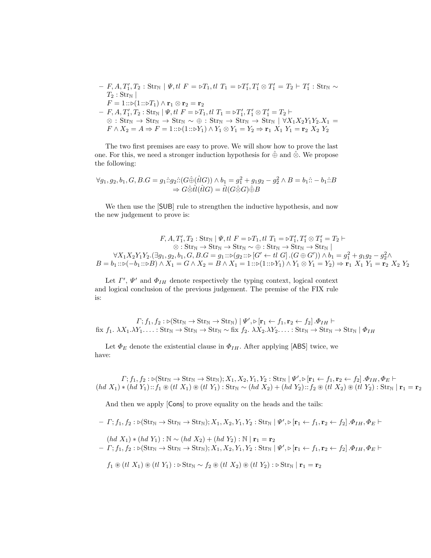- 
$$
F, A, T'_1, T_2
$$
: Str<sub>N</sub> |  $\Psi, tl \ F = \triangleright T_1, tl \ T_1 = \triangleright T'_1, T'_1 \otimes T'_1 = T_2 \vdash T'_1$ : Str<sub>N</sub> ~  
\n $T_2$ : Str<sub>N</sub> |  
\n $F = 1::\triangleright(1::\triangleright T_1) \land \mathbf{r}_1 \otimes \mathbf{r}_2 = \mathbf{r}_2$   
\n-  $F, A, T'_1, T_2$ : Str<sub>N</sub> |  $\Psi, tl \ F = \triangleright T_1, tl \ T_1 = \triangleright T'_1, T'_1 \otimes T'_1 = T_2 \vdash$   
\n $\otimes$ : Str<sub>N</sub>  $\rightarrow$  Str<sub>N</sub>  $\rightarrow$  Str<sub>N</sub>  $\sim$   $\oplus$  : Str<sub>N</sub>  $\rightarrow$  Str<sub>N</sub>  $\rightarrow$  Str<sub>N</sub>  $\rightarrow$  Str<sub>N</sub>  $\downarrow$   $\forall X_1 X_2 Y_1 Y_2. X_1 =$   
\n $F \land X_2 = A \Rightarrow F = 1::\triangleright(1::\triangleright Y_1) \land Y_1 \otimes Y_1 = Y_2 \Rightarrow \mathbf{r}_1 X_1 Y_1 = \mathbf{r}_2 X_2 Y_2$ 

The two first premises are easy to prove. We will show how to prove the last one. For this, we need a stronger induction hypothesis for  $\hat{\oplus}$  and  $\hat{\otimes}$ . We propose the following:

$$
\forall g_1, g_2, b_1, G, B.G = g_1 \hat{::} g_2 \hat{::} (G \hat{\oplus} (\hat{t} \hat{t} \hat{G})) \wedge b_1 = g_1^2 + g_1 g_2 - g_2^2 \wedge B = b_1 \hat{::} - b_1 \hat{::} B
$$
  

$$
\Rightarrow G \hat{\otimes} \hat{t} \hat{l} (\hat{t} \hat{t} \hat{G}) = \hat{t} \hat{l} (G \hat{\otimes} G) \hat{\oplus} B
$$

We then use the  $[SUB]$  rule to strengthen the inductive hypothesis, and now the new judgement to prove is:

 $F, A, T'_1, T_2 : Str_N | \Psi, tl \ F = \triangleright T_1, tl \ T_1 = \triangleright T'_1, T'_1 \otimes T'_1 = T_2 \vdash$  $\otimes: \mathop{\rm Str}\nolimits_{\mathbin{\mathbb N}}\to\mathop{\rm Str}\nolimits_{\mathbin{\mathbb N}}\sim\oplus: \mathop{\rm Str}\nolimits_{\mathbin{\mathbb N}}\to\mathop{\rm Str}\nolimits_{\mathbin{\mathbb N}}\to\mathop{\rm Str}\nolimits_{\mathbin{\mathbb N}}$  $\forall X_1 X_2 Y_1 Y_2. (\exists g_1, g_2, b_1, G, B. G = g_1 :: \triangleright (g_2 :: \triangleright [G' \leftarrow tl \ G] . (G \oplus G')) \wedge b_1 = g_1^2 + g_1 g_2 - g_2^2 \wedge$  $B = b_1 :: \triangleright (-b_1 :: \triangleright B) \land X_1 = G \land X_2 = B \land X_1 = 1 :: \triangleright (1 :: \triangleright Y_1) \land Y_1 \otimes Y_1 = Y_2) \Rightarrow \mathbf{r}_1 X_1 Y_1 = \mathbf{r}_2 X_2 Y_2$ 

Let  $\Gamma'$ ,  $\Psi'$  and  $\Phi_{IH}$  denote respectively the typing context, logical context and logical conclusion of the previous judgement. The premise of the FIX rule is:

 $\Gamma; f_1, f_2: \mathfrak{S}(\mathrm{Str}_\mathbb{N}\to \mathrm{Str}_\mathbb{N})\mid \Psi', \mathfrak{S}[{\bf r}_1\leftarrow f_1, {\bf r}_2\leftarrow f_2]\cdot \Phi_{IH} \vdash$  $\text{fix } f_1. \ \lambda X_1.\lambda Y_1.\ldots : \text{Str}_{\mathbb{N}} \to \text{Str}_{\mathbb{N}} \to \text{Str}_{\mathbb{N}} \sim \text{fix } f_2. \ \lambda X_2.\lambda Y_2.\ldots : \text{Str}_{\mathbb{N}} \to \text{Str}_{\mathbb{N}} \to \text{Str}_{\mathbb{N}} \mid \Phi_{IH}$ 

Let  $\Phi_E$  denote the existential clause in  $\Phi_{IH}$ . After applying [ABS] twice, we have:

 $\Gamma;f_1,f_2:\triangleright(\text{Str}_{\mathbb{N}}\to \text{Str}_{\mathbb{N}});X_1,X_2,Y_1,Y_2:\text{Str}_{\mathbb{N}}\mid \Psi',\triangleright[\mathbf{r}_1\leftarrow f_1,\mathbf{r}_2\leftarrow f_2]\cdot \Phi_{IH},\Phi_E\vdash$  $(hd X_1) * (hd Y_1) :: f_1 \otimes (tl X_1) \otimes (tl Y_1) : Str_N \sim (hd X_2) + (hd Y_2) :: f_2 \otimes (tl X_2) \otimes (tl Y_2) : Str_N | r_1 = r_2$ 

And then we apply [Cons] to prove equality on the heads and the tails:

$$
- I; f_1, f_2: \triangleright (\text{Str}_{\mathbb{N}} \to \text{Str}_{\mathbb{N}}); X_1, X_2, Y_1, Y_2: \text{Str}_{\mathbb{N}} \mid \Psi', \triangleright [\mathbf{r}_1 \leftarrow f_1, \mathbf{r}_2 \leftarrow f_2]. \Phi_{IH}, \Phi_E \vdash
$$

$$
(hd X_1) * (hd Y_1) : \mathbb{N} \sim (hd X_2) + (hd Y_2) : \mathbb{N} \mid \mathbf{r}_1 = \mathbf{r}_2
$$
  
-  $\Gamma$ ;  $f_1, f_2 : \mathfrak{S}(\text{Str}_{\mathbb{N}} \to \text{Str}_{\mathbb{N}}) \to \text{Str}_{\mathbb{N}}\text{; } X_1, X_2, Y_1, Y_2 : \text{Str}_{\mathbb{N}} \mid \Psi', \mathfrak{S} \mid \mathbf{r}_1 \leftarrow f_1, \mathbf{r}_2 \leftarrow f_2] . \Phi_{IH}, \Phi_E \vdash$ 

$$
f_1 \circledast (tl X_1) \circledast (tl Y_1) : \triangleright \text{Str}_{\mathbb{N}} \sim f_2 \circledast (tl X_2) \circledast (tl Y_2) : \triangleright \text{Str}_{\mathbb{N}} | \mathbf{r}_1 = \mathbf{r}_2
$$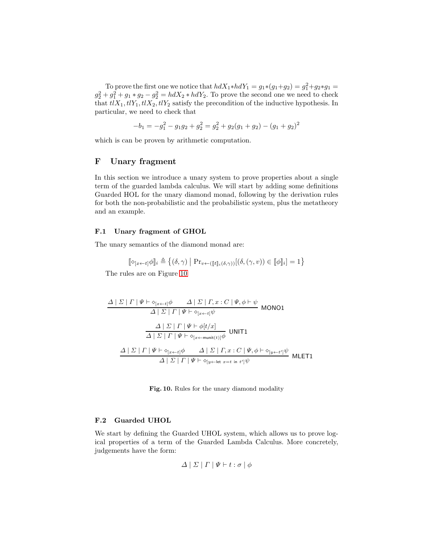To prove the first one we notice that  $hdX_1 * hdY_1 = g_1 * (g_1 + g_2) = g_1^2 + g_2 * g_1 =$  $g_2^2 + g_1^2 + g_1 * g_2 - g_2^2 = hdX_2 * hdY_2$ . To prove the second one we need to check that  $t/X_1, t/Y_1, t/X_2, t/Y_2$  satisfy the precondition of the inductive hypothesis. In particular, we need to check that

$$
-b_1 = -g_1^2 - g_1g_2 + g_2^2 = g_2^2 + g_2(g_1 + g_2) - (g_1 + g_2)^2
$$

which is can be proven by arithmetic computation.

### F Unary fragment

In this section we introduce a unary system to prove properties about a single term of the guarded lambda calculus. We will start by adding some definitions Guarded HOL for the unary diamond monad, following by the derivation rules for both the non-probabilistic and the probabilistic system, plus the metatheory and an example.

### F.1 Unary fragment of GHOL

The unary semantics of the diamond monad are:

$$
\llbracket \diamond_{[x \leftarrow t]} \phi \rrbracket_i \triangleq \{ (\delta, \gamma) \mid \Pr_{v \leftarrow (\llbracket t \rrbracket_i(\delta, \gamma))} [(\delta, (\gamma, v)) \in \llbracket \phi \rrbracket_i] = 1 \}
$$

The rules are on Figure [10](#page-43-0)

$$
\frac{\Delta | \Sigma | \Gamma | \Psi \vdash \diamond_{[x \leftarrow t]} \phi \qquad \Delta | \Sigma | \Gamma, x : C | \Psi, \phi \vdash \psi}{\Delta | \Sigma | \Gamma | \Psi \vdash \diamond_{[x \leftarrow t]} \psi} \text{ MONO1}
$$
\n
$$
\frac{\Delta | \Sigma | \Gamma | \Psi \vdash \phi[t/x]}{\Delta | \Sigma | \Gamma | \Psi \vdash \diamond_{[x \leftarrow \text{munit}(t)]} \phi} \text{ UNIT1}
$$
\n
$$
\frac{\Delta | \Sigma | \Gamma | \Psi \vdash \diamond_{[x \leftarrow t]} \phi \qquad \Delta | \Sigma | \Gamma, x : C | \Psi, \phi \vdash \diamond_{[y \leftarrow t']} \psi}{\Delta | \Sigma | \Gamma | \Psi \vdash \diamond_{[y \leftarrow \text{let } x = t \text{ in } t']} \psi} \text{ MLET1}
$$

<span id="page-43-0"></span>Fig. 10. Rules for the unary diamond modality

#### F.2 Guarded UHOL

We start by defining the Guarded UHOL system, which allows us to prove logical properties of a term of the Guarded Lambda Calculus. More concretely, judgements have the form:

$$
\varDelta \mid \varSigma \mid \varGamma \mid \varPsi \vdash t : \sigma \mid \phi
$$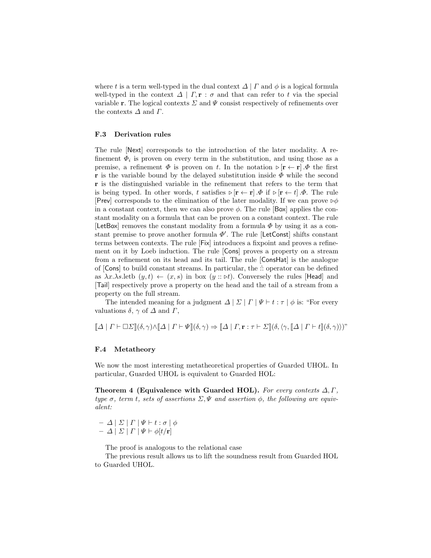where t is a term well-typed in the dual context  $\Delta | \Gamma$  and  $\phi$  is a logical formula well-typed in the context  $\Delta | \Gamma, \mathbf{r} : \sigma$  and that can refer to t via the special variable **r**. The logical contexts  $\Sigma$  and  $\Psi$  consist respectively of refinements over the contexts  $\Delta$  and  $\Gamma$ .

#### F.3 Derivation rules

The rule [Next] corresponds to the introduction of the later modality. A refinement  $\Phi_i$  is proven on every term in the substitution, and using those as a premise, a refinement  $\Phi$  is proven on t. In the notation  $\triangleright$  [**r** ← **r**].  $\Phi$  the first **r** is the variable bound by the delayed substitution inside  $\Phi$  while the second r is the distinguished variable in the refinement that refers to the term that is being typed. In other words, t satisfies  $\triangleright$  [ $\mathbf{r} \leftarrow \mathbf{r}$ ]  $\Phi$  if  $\triangleright$  [ $\mathbf{r} \leftarrow t$ ]  $\Phi$ . The rule [Prev] corresponds to the elimination of the later modality. If we can prove  $\rho\phi$ in a constant context, then we can also prove  $\phi$ . The rule [Box] applies the constant modality on a formula that can be proven on a constant context. The rule [LetBox] removes the constant modality from a formula  $\Phi$  by using it as a constant premise to prove another formula  $\Phi'$ . The rule [LetConst] shifts constant terms between contexts. The rule [Fix] introduces a fixpoint and proves a refinement on it by Loeb induction. The rule [Cons] proves a property on a stream from a refinement on its head and its tail. The rule [ConsHat] is the analogue of  $[Cons]$  to build constant streams. In particular, the  $\hat{::}$  operator can be defined as  $\lambda x.\lambda s.$ letb  $(y, t) \leftarrow (x, s)$  in box  $(y::\triangleright t)$ . Conversely the rules [Head] and [Tail] respectively prove a property on the head and the tail of a stream from a property on the full stream.

The intended meaning for a judgment  $\Delta | \Sigma | \Gamma | \Psi \vdash t : \tau | \phi$  is: "For every valuations  $\delta$ ,  $\gamma$  of  $\Delta$  and  $\Gamma$ ,

 $\llbracket \Delta \mid \Gamma \vdash \Box \Sigma \rrbracket (\delta, \gamma) \wedge \llbracket \Delta \mid \Gamma \vdash \Psi \rrbracket (\delta, \gamma) \Rightarrow \llbracket \Delta \mid \Gamma, \mathbf{r} : \tau \vdash \Sigma \rrbracket (\delta, \langle \gamma, \llbracket \Delta \mid \Gamma \vdash t \rrbracket (\delta, \gamma)) \urcorner$ 

#### F.4 Metatheory

<span id="page-44-0"></span>We now the most interesting metatheoretical properties of Guarded UHOL. In particular, Guarded UHOL is equivalent to Guarded HOL:

Theorem 4 (Equivalence with Guarded HOL). For every contexts  $\Delta, \Gamma$ , type  $\sigma$ , term t, sets of assertions  $\Sigma, \Psi$  and assertion  $\phi$ , the following are equivalent:

 $\Delta$  |  $\Sigma$  |  $\Gamma$  |  $\Psi$   $\vdash$   $t : \sigma$  |  $\phi$  $- \Delta | \Sigma | \Gamma | \Psi \vdash \phi[t/\mathbf{r}]$ 

The proof is analogous to the relational case

The previous result allows us to lift the soundness result from Guarded HOL to Guarded UHOL.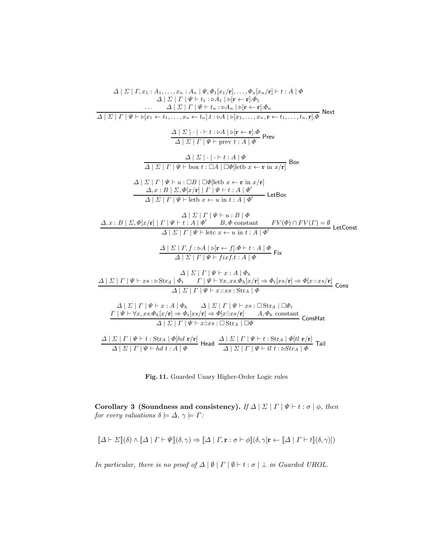$$
\Delta | \Sigma | T, x_1 : A_1, ..., x_n : A_n | \psi, \Phi_1[x_1/r], ..., \Phi_n[x_n/r] \vdash t : A | \Phi
$$
\n
$$
\frac{\Delta | \Sigma | \Gamma | \Psi \vdash t_1 : \triangleright A_1 | \triangleright [\mathbf{r} \leftarrow \mathbf{r}], \Phi_1}{\Delta | \Sigma | \Gamma | \Psi \vdash \triangleright [x_1 \leftarrow t_1, ..., x_n \leftarrow t_n], t : \triangleright A | \triangleright [x_1 \leftarrow t_1, ..., x_n, \mathbf{r} \leftarrow t_1, ..., t_n, \mathbf{r}], \Phi}
$$
 Next\n
$$
\frac{\Delta | \Sigma | \cdot | \cdot | \cdot | \cdot t_1 : \triangleright A | \cdot | \mathbf{r} \leftarrow \mathbf{r}], \Phi}{\Delta | \Sigma | \Gamma | \Psi \vdash \mathbf{p} \mathbf{p} \mathbf{v} \mathbf{v} \mathbf{t} \mathbf{a} \mathbf{a} \mathbf{b} \mathbf{r} \mathbf{r}} \mathbf{r}} \frac{\Delta | \Sigma | \cdot | \cdot | \cdot | \cdot t : \triangleright A | \cdot | \mathbf{r} \leftarrow \mathbf{r}], \Phi}{\Delta | \Sigma | \Gamma | \Psi \vdash \mathbf{p} \mathbf{v} \mathbf{v} \mathbf{t} \mathbf{a} \mathbf{a} \mathbf{b} \mathbf{r}} \frac{\Delta | \Sigma | \cdot | \cdot | \cdot | \cdot t : A | \Phi}{\Delta | \Sigma | \Gamma | \Psi \vdash \mathbf{b} \mathbf{x} \mathbf{t} \mathbf{a} \mathbf{a} \mathbf{b} \mathbf{b} \mathbf{b} \mathbf{c} \mathbf{r} \mathbf{b} \mathbf{r}} \frac{\Delta | \Sigma | \cdot | \cdot | \cdot | \mathbf{r} \mathbf{t} \mathbf{b} \mathbf{b} \mathbf{b} \mathbf{c} \mathbf{b} \mathbf{r}}{\Delta | \Sigma | \Gamma | \Psi \vdash \mathbf{b} \mathbf{x} \mathbf{t} \mathbf{a} \mathbf{b} \mathbf{b} \mathbf{b} \mathbf{b} \mathbf{b} \mathbf{r}} \mathbf{c} \mathbf{r} \mathbf{b} \mathbf{r} \mathbf{b} \mathbf{b} \mathbf{b} \mathbf{b} \mathbf{b} \mathbf{
$$

Fig. 11. Guarded Unary Higher-Order Logic rules

Corollary 3 (Soundness and consistency). If  $\Delta | \Sigma | \Gamma | \Psi \vdash t : \sigma | \phi$ , then for every valuations  $\delta \models \Delta, \gamma \models \Gamma$ :

$$
[\![\Delta \vdash \Sigma]\!](\delta) \land [\![\Delta \mid \Gamma \vdash \Psi]\!](\delta, \gamma) \Rightarrow [\![\Delta \mid \Gamma, \mathbf{r} : \sigma \vdash \phi]\!](\delta, \gamma[\mathbf{r} \leftarrow [\![\Delta \mid \Gamma \vdash t]\!](\delta, \gamma)])
$$

In particular, there is no proof of  $\Delta \mid \emptyset \mid \Gamma \mid \emptyset \vdash t : \sigma \mid \bot$  in Guarded UHOL.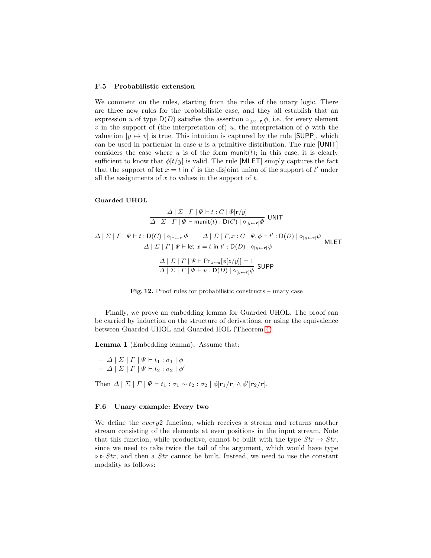#### F.5 Probabilistic extension

We comment on the rules, starting from the rules of the unary logic. There are three new rules for the probabilistic case, and they all establish that an expression u of type  $D(D)$  satisfies the assertion  $\diamond_{[y \leftarrow \mathbf{r}]} \phi$ , i.e. for every element v in the support of (the interpretation of) u, the interpretation of  $\phi$  with the valuation  $[y \mapsto v]$  is true. This intuition is captured by the rule [SUPP], which can be used in particular in case  $u$  is a primitive distribution. The rule  $[UNIT]$ considers the case where u is of the form  $\text{munit}(t)$ ; in this case, it is clearly sufficient to know that  $\phi[t/y]$  is valid. The rule [MLET] simply captures the fact that the support of let  $x = t$  in  $t'$  is the disjoint union of the support of  $t'$  under all the assignments of  $x$  to values in the support of  $t$ .

#### Guarded UHOL

$$
\frac{\Delta | \Sigma | \Gamma | \Psi \vdash t : C | \Phi[\mathbf{r}/y]}{\Delta | \Sigma | \Gamma | \Psi \vdash \text{munit}(t) : \mathsf{D}(C) | \diamond_{[y \leftarrow \mathbf{r}]} \Phi} \text{ UNIT}
$$
\n
$$
\frac{\Delta | \Sigma | \Gamma | \Psi \vdash t : \mathsf{D}(C) | \diamond_{[x \leftarrow \mathbf{r}]} \Phi} {\Delta | \Sigma | \Gamma, x : C | \Psi, \phi \vdash t' : \mathsf{D}(D) | \diamond_{[y \leftarrow \mathbf{r}]} \psi} \text{ MLET}
$$
\n
$$
\frac{\Delta | \Sigma | \Gamma | \Psi \vdash \text{let } x = t \text{ in } t' : \mathsf{D}(D) | \diamond_{[y \leftarrow \mathbf{r}]} \psi} {\Delta | \Sigma | \Gamma | \Psi \vdash \text{Pr}_{z \sim u} [\phi[z/y]] = 1} \text{ SUPP}
$$

Fig. 12. Proof rules for probabilistic constructs – unary case

Finally, we prove an embedding lemma for Guarded UHOL. The proof can be carried by induction on the structure of derivations, or using the equivalence between Guarded UHOL and Guarded HOL (Theorem [4\)](#page-44-0).

Lemma 1 (Embedding lemma). Assume that:

 $\varDelta$   $\mid$   $\Sigma$   $\mid$   $\varGamma$   $\mid$   $\varPsi$   $\vdash$   $t_1$  :  $\sigma_1$   $\mid$   $\phi$  $\Delta$  |  $\Sigma$  |  $\Gamma$  |  $\Psi$   $\vdash$   $t_2$  :  $\sigma_2$  |  $\phi'$ 

Then  $\Delta | \Sigma | \Gamma | \Psi \vdash t_1 : \sigma_1 \sim t_2 : \sigma_2 | \phi[\mathbf{r}_1/\mathbf{r}] \wedge \phi'[\mathbf{r}_2/\mathbf{r}].$ 

#### F.6 Unary example: Every two

We define the *every*2 function, which receives a stream and returns another stream consisting of the elements at even positions in the input stream. Note that this function, while productive, cannot be built with the type  $Str \rightarrow Str$ , since we need to take twice the tail of the argument, which would have type  $\triangleright$   $\triangleright$   $\triangleright$   $\mathit{Str}$ , and then a  $\mathit{Str}$  cannot be built. Instead, we need to use the constant modality as follows: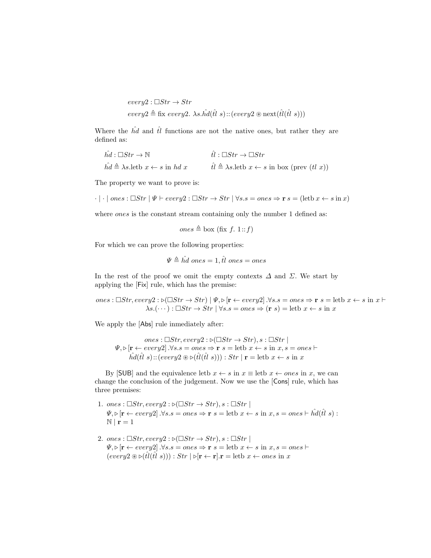$$
every2: \Box Str \rightarrow Str
$$
  
every2  $\triangleq$  fix every2.  $\lambda s.\hat{h}d(\hat{t}l s):(every2 \otimes \operatorname{next}(\hat{t}l(\hat{t}l s)))$ 

Where the  $\hat{h}$  and  $\hat{t}$  functions are not the native ones, but rather they are defined as:

$$
\hat{hd}: \Box Str \to \mathbb{N} \qquad \qquad \hat{tl}: \Box Str \to \Box Str
$$
\n
$$
\hat{hd} \triangleq \lambda s.\text{letb } x \leftarrow s \text{ in } hd \ x \qquad \qquad \hat{tl} \triangleq \lambda s.\text{letb } x \leftarrow s \text{ in box (prev (tl x))}
$$

The property we want to prove is:

$$
\cdot | \cdot | \text{ ones}: \Box Str | \Psi \vdash every2: \Box Str \rightarrow Str | \forall s.s = ones \Rightarrow \mathbf{r} s = (\text{letb } x \leftarrow s \text{ in } x)
$$

where *ones* is the constant stream containing only the number 1 defined as:

$$
ones \triangleq box
$$
 (fix  $f$ . 1:: $f$ )

For which we can prove the following properties:

$$
\Psi \triangleq \hat{hd} \ ones = 1, \hat{tl} \ ones = ones
$$

In the rest of the proof we omit the empty contexts  $\Delta$  and  $\Sigma$ . We start by applying the [Fix] rule, which has the premise:

ones :  $\Box Str, every 2 : \triangleright (\Box Str \rightarrow Str) | \Psi, \triangleright [\mathbf{r} \leftarrow every 2] \cdot \forall s.s = ones \Rightarrow \mathbf{r} s = \text{leb } x \leftarrow s \text{ in } x \vdash$  $\lambda s.(\dots) : \Box Str \rightarrow Str \mid \forall s.s = ones \Rightarrow (\mathbf{r} s) = \text{lebb } x \leftarrow s \text{ in } x$ 

We apply the [Abs] rule inmediately after:

$$
ones: \Box Str, every 2: \triangleright (\Box Str \rightarrow Str), s: \Box Str
$$
  

$$
\Psi, \triangleright [\mathbf{r} \leftarrow every 2]. \forall s.s = ones \Rightarrow \mathbf{r} \ s = \text{leb } x \leftarrow s \text{ in } x, s = ones \vdash
$$
  

$$
\hat{hd}(\hat{tl} \ s) :: (every 2 \circledast \triangleright (\hat{tl}(\hat{tl} \ s))) : Str \mid \mathbf{r} = \text{leb } x \leftarrow s \text{ in } x
$$

By [SUB] and the equivalence letb  $x \leftarrow s$  in  $x \equiv$  letb  $x \leftarrow ones$  in x, we can change the conclusion of the judgement. Now we use the [Cons] rule, which has three premises:

- 1. ones :  $\Box Str, every 2 : \triangleright (\Box Str \rightarrow Str), s : \Box Str$  $\Psi, \triangleright [\mathbf{r} \leftarrow every2] \cdot \forall s.s = ones \Rightarrow \mathbf{r} \ s = \text{leb} \ x \leftarrow s \text{ in } x, s = ones \vdash \hat{hd}(\hat{tl} \ s):$  $\mathbb{N} \mid \mathbf{r} = 1$
- 2. ones :  $\Box Str, every 2 : \triangleright (\Box Str \rightarrow Str), s : \Box Str$  $\Psi, \triangleright$  [ $\mathbf{r} \leftarrow every2$ ] . $\forall s.s = ones \Rightarrow \mathbf{r} s = \text{letb } x \leftarrow s \text{ in } x, s = ones \vdash$  $\text{(every2} \circledast \circ (\hat{t}l(\hat{t}l s))) : Str \mid \circlearrowright [\mathbf{r} \leftarrow \mathbf{r}].\mathbf{r} = \text{leib } x \leftarrow ones \text{ in } x$